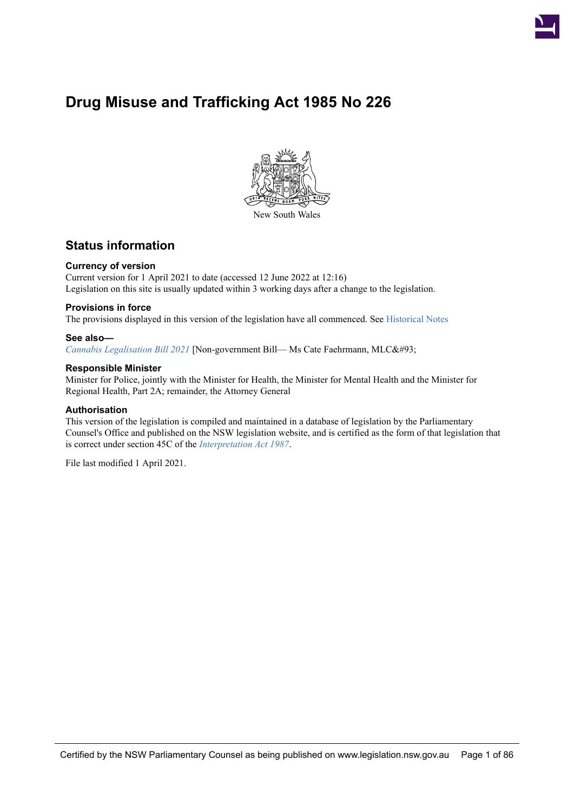

# **Drug Misuse and Trafficking Act 1985 No 226**



## **Status information**

#### **Currency of version**

Current version for 1 April 2021 to date (accessed 12 June 2022 at 12:16) Legislation on this site is usually updated within 3 working days after a change to the legislation.

#### **Provisions in force**

The provisions displayed in this version of the legislation have all commenced. See [Historical Notes](#page-77-0)

#### **See also—**

*[Cannabis Legalisation Bill 2021](https://legacy.legislation.nsw.gov.au/*/view/bill/323a2eb7-3572-413e-ba06-221b505e2eea)* [Non-government Bill— Ms Cate Faehrmann, MLC]

#### **Responsible Minister**

Minister for Police, jointly with the Minister for Health, the Minister for Mental Health and the Minister for Regional Health, Part 2A; remainder, the Attorney General

#### **Authorisation**

This version of the legislation is compiled and maintained in a database of legislation by the Parliamentary Counsel's Office and published on the NSW legislation website, and is certified as the form of that legislation that is correct under section 45C of the *[Interpretation Act 1987](https://legacy.legislation.nsw.gov.au/*/view/act/1987/15/part6a/sec45c)*.

File last modified 1 April 2021.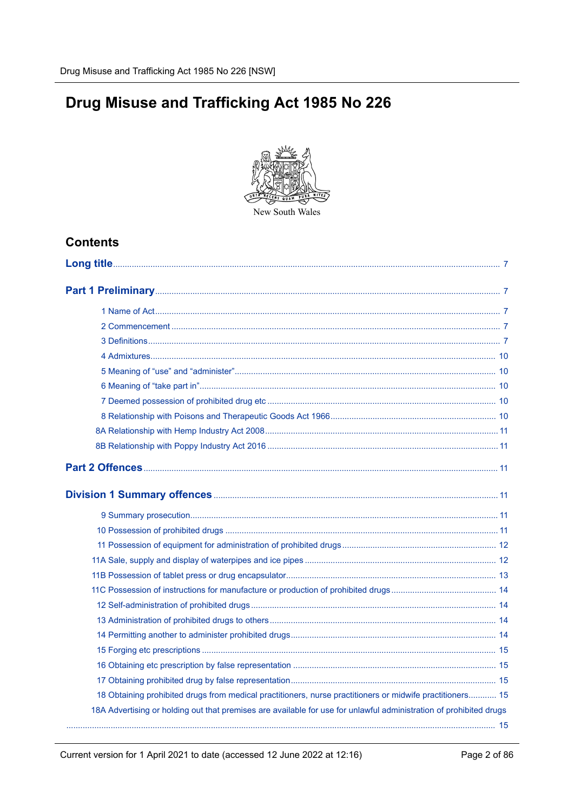# Drug Misuse and Trafficking Act 1985 No 226



## **Contents**

| 18 Obtaining prohibited drugs from medical practitioners, nurse practitioners or midwife practitioners 15          |  |
|--------------------------------------------------------------------------------------------------------------------|--|
| 18A Advertising or holding out that premises are available for use for unlawful administration of prohibited drugs |  |
|                                                                                                                    |  |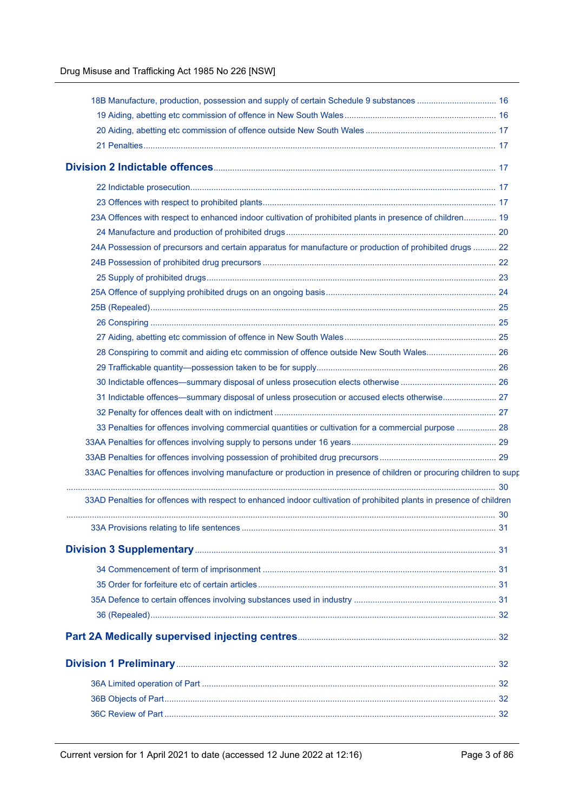| 18 Manufacture, production, possession and supply of certain Schedule 9 substances  16                                |  |
|-----------------------------------------------------------------------------------------------------------------------|--|
|                                                                                                                       |  |
|                                                                                                                       |  |
|                                                                                                                       |  |
|                                                                                                                       |  |
|                                                                                                                       |  |
|                                                                                                                       |  |
| 23A Offences with respect to enhanced indoor cultivation of prohibited plants in presence of children 19              |  |
|                                                                                                                       |  |
| 24 Possession of precursors and certain apparatus for manufacture or production of prohibited drugs  22               |  |
|                                                                                                                       |  |
|                                                                                                                       |  |
|                                                                                                                       |  |
|                                                                                                                       |  |
|                                                                                                                       |  |
|                                                                                                                       |  |
| 28 Conspiring to commit and aiding etc commission of offence outside New South Wales 26                               |  |
|                                                                                                                       |  |
|                                                                                                                       |  |
| 31 Indictable offences—summary disposal of unless prosecution or accused elects otherwise 27                          |  |
|                                                                                                                       |  |
| 33 Penalties for offences involving commercial quantities or cultivation for a commercial purpose  28                 |  |
|                                                                                                                       |  |
|                                                                                                                       |  |
| 33AC Penalties for offences involving manufacture or production in presence of children or procuring children to supp |  |
| 33AD Penalties for offences with respect to enhanced indoor cultivation of prohibited plants in presence of children  |  |
|                                                                                                                       |  |
|                                                                                                                       |  |
|                                                                                                                       |  |
|                                                                                                                       |  |
|                                                                                                                       |  |
|                                                                                                                       |  |
|                                                                                                                       |  |
|                                                                                                                       |  |
|                                                                                                                       |  |
|                                                                                                                       |  |
|                                                                                                                       |  |
|                                                                                                                       |  |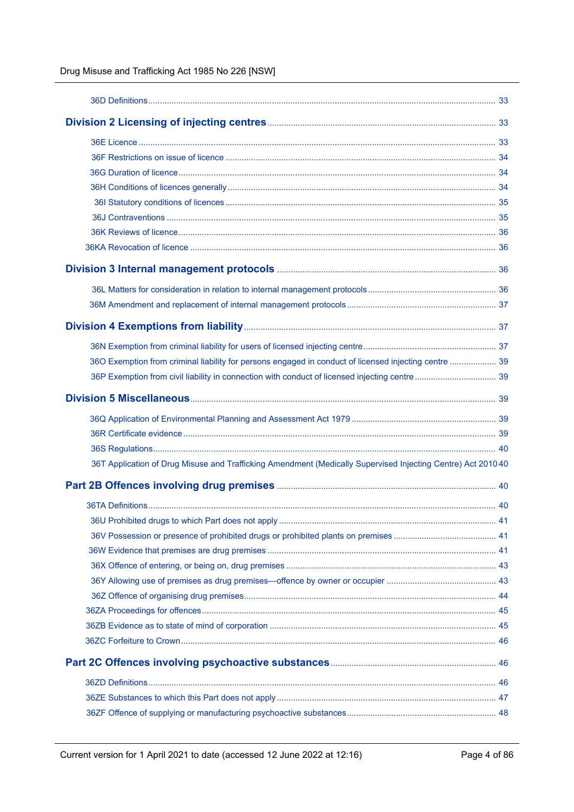Drug Misuse and Trafficking Act 1985 No 226 [NSW]

| 360 Exemption from criminal liability for persons engaged in conduct of licensed injecting centre  39        |  |
|--------------------------------------------------------------------------------------------------------------|--|
|                                                                                                              |  |
|                                                                                                              |  |
|                                                                                                              |  |
|                                                                                                              |  |
|                                                                                                              |  |
| 36T Application of Drug Misuse and Trafficking Amendment (Medically Supervised Injecting Centre) Act 2010 40 |  |
|                                                                                                              |  |
|                                                                                                              |  |
|                                                                                                              |  |
|                                                                                                              |  |
|                                                                                                              |  |
|                                                                                                              |  |
|                                                                                                              |  |
|                                                                                                              |  |
|                                                                                                              |  |
|                                                                                                              |  |
|                                                                                                              |  |
|                                                                                                              |  |
|                                                                                                              |  |
|                                                                                                              |  |
|                                                                                                              |  |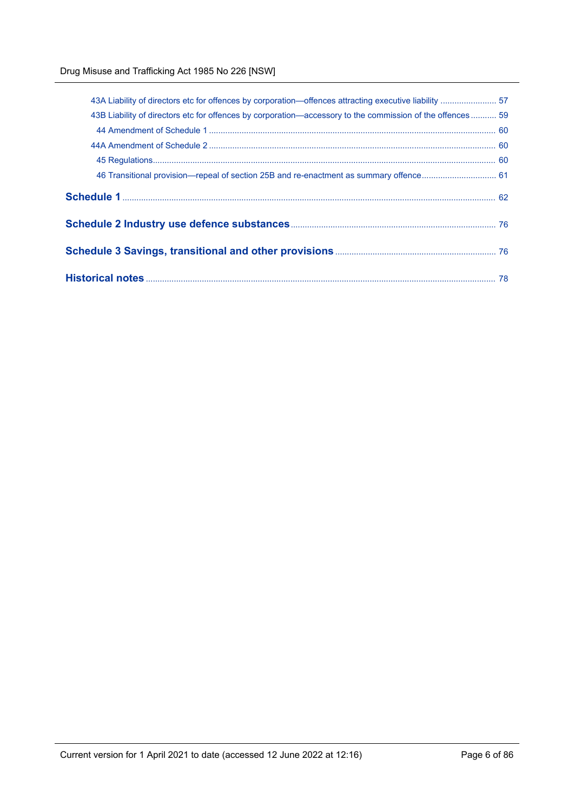| 43B Liability of directors etc for offences by corporation—accessory to the commission of the offences  59 |  |
|------------------------------------------------------------------------------------------------------------|--|
|                                                                                                            |  |
|                                                                                                            |  |
|                                                                                                            |  |
|                                                                                                            |  |
|                                                                                                            |  |
|                                                                                                            |  |
|                                                                                                            |  |
|                                                                                                            |  |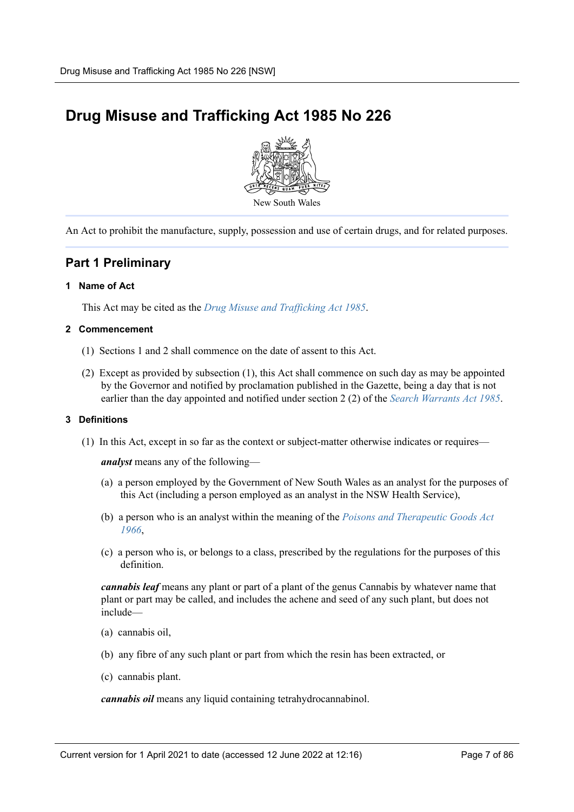# <span id="page-6-0"></span>**Drug Misuse and Trafficking Act 1985 No 226**



An Act to prohibit the manufacture, supply, possession and use of certain drugs, and for related purposes.

## <span id="page-6-1"></span>**Part 1 Preliminary**

#### <span id="page-6-2"></span>**1 Name of Act**

This Act may be cited as the *[Drug Misuse and Trafficking Act 1985](https://legacy.legislation.nsw.gov.au/*/view/act/1985/226)*.

#### <span id="page-6-3"></span>**2 Commencement**

- (1) Sections 1 and 2 shall commence on the date of assent to this Act.
- (2) Except as provided by subsection (1), this Act shall commence on such day as may be appointed by the Governor and notified by proclamation published in the Gazette, being a day that is not earlier than the day appointed and notified under section 2 (2) of the *[Search Warrants Act 1985](https://legacy.legislation.nsw.gov.au/*/view/act/1985/37)*.

#### <span id="page-6-4"></span>**3 Definitions**

(1) In this Act, except in so far as the context or subject-matter otherwise indicates or requires—

*analyst* means any of the following—

- (a) a person employed by the Government of New South Wales as an analyst for the purposes of this Act (including a person employed as an analyst in the NSW Health Service),
- (b) a person who is an analyst within the meaning of the *[Poisons and Therapeutic Goods Act](https://legacy.legislation.nsw.gov.au/*/view/act/1966/31) [1966](https://legacy.legislation.nsw.gov.au/*/view/act/1966/31)*,
- (c) a person who is, or belongs to a class, prescribed by the regulations for the purposes of this definition.

*cannabis leaf* means any plant or part of a plant of the genus Cannabis by whatever name that plant or part may be called, and includes the achene and seed of any such plant, but does not include—

- (a) cannabis oil,
- (b) any fibre of any such plant or part from which the resin has been extracted, or
- (c) cannabis plant.

*cannabis oil* means any liquid containing tetrahydrocannabinol.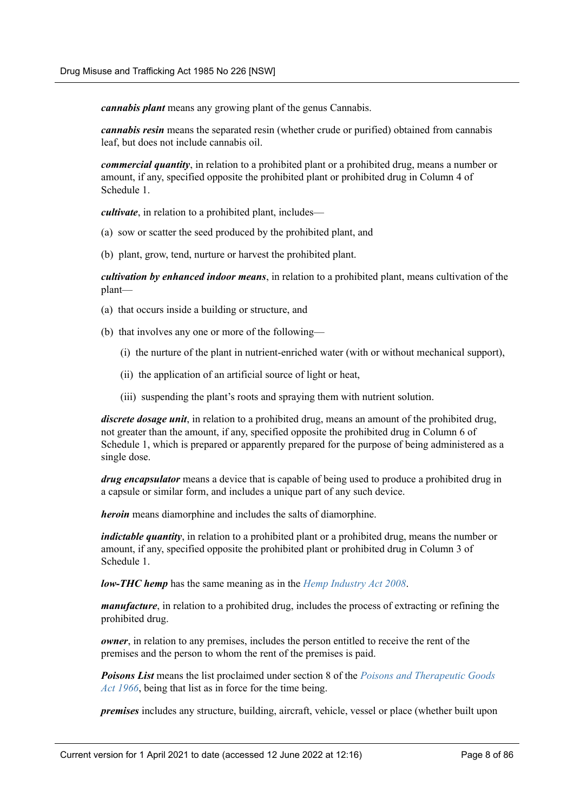*cannabis plant* means any growing plant of the genus Cannabis.

*cannabis resin* means the separated resin (whether crude or purified) obtained from cannabis leaf, but does not include cannabis oil.

*commercial quantity*, in relation to a prohibited plant or a prohibited drug, means a number or amount, if any, specified opposite the prohibited plant or prohibited drug in Column 4 of Schedule 1.

*cultivate*, in relation to a prohibited plant, includes—

- (a) sow or scatter the seed produced by the prohibited plant, and
- (b) plant, grow, tend, nurture or harvest the prohibited plant.

*cultivation by enhanced indoor means*, in relation to a prohibited plant, means cultivation of the plant—

- (a) that occurs inside a building or structure, and
- (b) that involves any one or more of the following—
	- (i) the nurture of the plant in nutrient-enriched water (with or without mechanical support),
	- (ii) the application of an artificial source of light or heat,
	- (iii) suspending the plant's roots and spraying them with nutrient solution.

*discrete dosage unit*, in relation to a prohibited drug, means an amount of the prohibited drug, not greater than the amount, if any, specified opposite the prohibited drug in Column 6 of Schedule 1, which is prepared or apparently prepared for the purpose of being administered as a single dose.

*drug encapsulator* means a device that is capable of being used to produce a prohibited drug in a capsule or similar form, and includes a unique part of any such device.

*heroin* means diamorphine and includes the salts of diamorphine.

*indictable quantity*, in relation to a prohibited plant or a prohibited drug, means the number or amount, if any, specified opposite the prohibited plant or prohibited drug in Column 3 of Schedule 1.

*low-THC hemp* has the same meaning as in the *[Hemp Industry Act 2008](https://legacy.legislation.nsw.gov.au/*/view/act/2008/58)*.

*manufacture*, in relation to a prohibited drug, includes the process of extracting or refining the prohibited drug.

*owner*, in relation to any premises, includes the person entitled to receive the rent of the premises and the person to whom the rent of the premises is paid.

*Poisons List* means the list proclaimed under section 8 of the *[Poisons and Therapeutic Goods](https://legacy.legislation.nsw.gov.au/*/view/act/1966/31) [Act 1966](https://legacy.legislation.nsw.gov.au/*/view/act/1966/31)*, being that list as in force for the time being.

*premises* includes any structure, building, aircraft, vehicle, vessel or place (whether built upon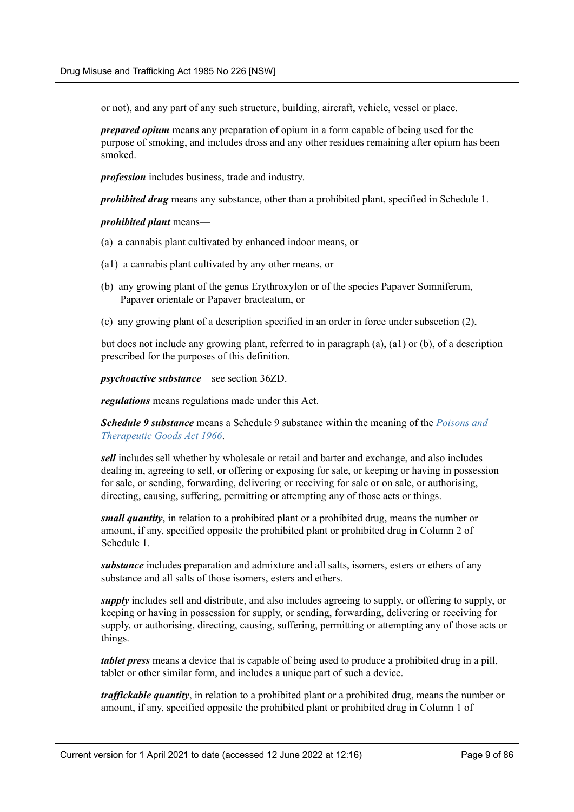or not), and any part of any such structure, building, aircraft, vehicle, vessel or place.

*prepared opium* means any preparation of opium in a form capable of being used for the purpose of smoking, and includes dross and any other residues remaining after opium has been smoked.

*profession* includes business, trade and industry.

*prohibited drug* means any substance, other than a prohibited plant, specified in Schedule 1.

*prohibited plant* means—

- (a) a cannabis plant cultivated by enhanced indoor means, or
- (a1) a cannabis plant cultivated by any other means, or
- (b) any growing plant of the genus Erythroxylon or of the species Papaver Somniferum, Papaver orientale or Papaver bracteatum, or
- (c) any growing plant of a description specified in an order in force under subsection (2),

but does not include any growing plant, referred to in paragraph (a), (a1) or (b), of a description prescribed for the purposes of this definition.

*psychoactive substance*—see section 36ZD.

*regulations* means regulations made under this Act.

*Schedule 9 substance* means a Schedule 9 substance within the meaning of the *[Poisons and](https://legacy.legislation.nsw.gov.au/*/view/act/1966/31) [Therapeutic Goods Act 1966](https://legacy.legislation.nsw.gov.au/*/view/act/1966/31)*.

*sell* includes sell whether by wholesale or retail and barter and exchange, and also includes dealing in, agreeing to sell, or offering or exposing for sale, or keeping or having in possession for sale, or sending, forwarding, delivering or receiving for sale or on sale, or authorising, directing, causing, suffering, permitting or attempting any of those acts or things.

*small quantity*, in relation to a prohibited plant or a prohibited drug, means the number or amount, if any, specified opposite the prohibited plant or prohibited drug in Column 2 of Schedule 1.

*substance* includes preparation and admixture and all salts, isomers, esters or ethers of any substance and all salts of those isomers, esters and ethers.

*supply* includes sell and distribute, and also includes agreeing to supply, or offering to supply, or keeping or having in possession for supply, or sending, forwarding, delivering or receiving for supply, or authorising, directing, causing, suffering, permitting or attempting any of those acts or things.

*tablet press* means a device that is capable of being used to produce a prohibited drug in a pill, tablet or other similar form, and includes a unique part of such a device.

*traffickable quantity*, in relation to a prohibited plant or a prohibited drug, means the number or amount, if any, specified opposite the prohibited plant or prohibited drug in Column 1 of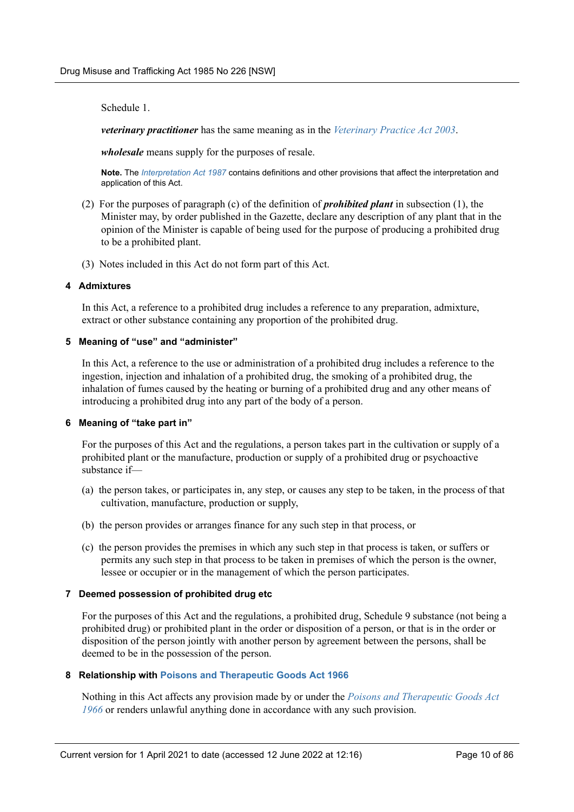Schedule 1.

*veterinary practitioner* has the same meaning as in the *[Veterinary Practice Act 2003](https://legacy.legislation.nsw.gov.au/*/view/act/2003/87)*.

*wholesale* means supply for the purposes of resale.

**Note.** The *[Interpretation Act 1987](https://legacy.legislation.nsw.gov.au/*/view/act/1987/15)* contains definitions and other provisions that affect the interpretation and application of this Act.

- (2) For the purposes of paragraph (c) of the definition of *prohibited plant* in subsection (1), the Minister may, by order published in the Gazette, declare any description of any plant that in the opinion of the Minister is capable of being used for the purpose of producing a prohibited drug to be a prohibited plant.
- (3) Notes included in this Act do not form part of this Act.

#### <span id="page-9-0"></span>**4 Admixtures**

In this Act, a reference to a prohibited drug includes a reference to any preparation, admixture, extract or other substance containing any proportion of the prohibited drug.

#### <span id="page-9-1"></span>**5 Meaning of "use" and "administer"**

In this Act, a reference to the use or administration of a prohibited drug includes a reference to the ingestion, injection and inhalation of a prohibited drug, the smoking of a prohibited drug, the inhalation of fumes caused by the heating or burning of a prohibited drug and any other means of introducing a prohibited drug into any part of the body of a person.

#### <span id="page-9-2"></span>**6 Meaning of "take part in"**

For the purposes of this Act and the regulations, a person takes part in the cultivation or supply of a prohibited plant or the manufacture, production or supply of a prohibited drug or psychoactive substance if—

- (a) the person takes, or participates in, any step, or causes any step to be taken, in the process of that cultivation, manufacture, production or supply,
- (b) the person provides or arranges finance for any such step in that process, or
- (c) the person provides the premises in which any such step in that process is taken, or suffers or permits any such step in that process to be taken in premises of which the person is the owner, lessee or occupier or in the management of which the person participates.

#### <span id="page-9-3"></span>**7 Deemed possession of prohibited drug etc**

For the purposes of this Act and the regulations, a prohibited drug, Schedule 9 substance (not being a prohibited drug) or prohibited plant in the order or disposition of a person, or that is in the order or disposition of the person jointly with another person by agreement between the persons, shall be deemed to be in the possession of the person.

#### <span id="page-9-4"></span>**8 Relationship with [Poisons and Therapeutic Goods Act 1966](https://legacy.legislation.nsw.gov.au/*/view/act/1966/31)**

Nothing in this Act affects any provision made by or under the *[Poisons and Therapeutic Goods Act](https://legacy.legislation.nsw.gov.au/*/view/act/1966/31) [1966](https://legacy.legislation.nsw.gov.au/*/view/act/1966/31)* or renders unlawful anything done in accordance with any such provision.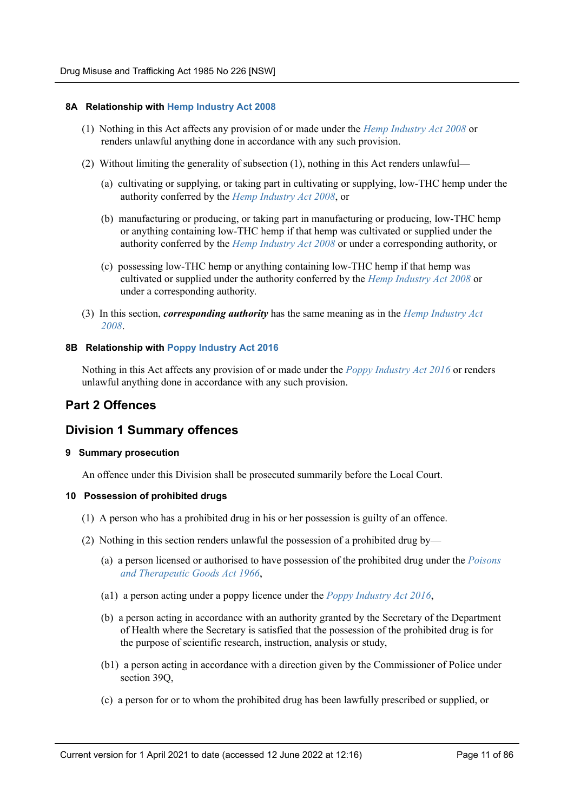#### <span id="page-10-0"></span>**8A Relationship with [Hemp Industry Act 2008](https://legacy.legislation.nsw.gov.au/*/view/act/2008/58)**

- (1) Nothing in this Act affects any provision of or made under the *[Hemp Industry Act 2008](https://legacy.legislation.nsw.gov.au/*/view/act/2008/58)* or renders unlawful anything done in accordance with any such provision.
- (2) Without limiting the generality of subsection (1), nothing in this Act renders unlawful—
	- (a) cultivating or supplying, or taking part in cultivating or supplying, low-THC hemp under the authority conferred by the *[Hemp Industry Act 2008](https://legacy.legislation.nsw.gov.au/*/view/act/2008/58)*, or
	- (b) manufacturing or producing, or taking part in manufacturing or producing, low-THC hemp or anything containing low-THC hemp if that hemp was cultivated or supplied under the authority conferred by the *[Hemp Industry Act 2008](https://legacy.legislation.nsw.gov.au/*/view/act/2008/58)* or under a corresponding authority, or
	- (c) possessing low-THC hemp or anything containing low-THC hemp if that hemp was cultivated or supplied under the authority conferred by the *[Hemp Industry Act 2008](https://legacy.legislation.nsw.gov.au/*/view/act/2008/58)* or under a corresponding authority.
- (3) In this section, *corresponding authority* has the same meaning as in the *[Hemp Industry Act](https://legacy.legislation.nsw.gov.au/*/view/act/2008/58) [2008](https://legacy.legislation.nsw.gov.au/*/view/act/2008/58)*.

#### <span id="page-10-1"></span>**8B Relationship with [Poppy Industry Act 2016](https://legacy.legislation.nsw.gov.au/*/view/act/2016/37)**

Nothing in this Act affects any provision of or made under the *[Poppy Industry Act 2016](https://legacy.legislation.nsw.gov.au/*/view/act/2016/37)* or renders unlawful anything done in accordance with any such provision.

## <span id="page-10-2"></span>**Part 2 Offences**

## <span id="page-10-3"></span>**Division 1 Summary offences**

#### <span id="page-10-4"></span>**9 Summary prosecution**

An offence under this Division shall be prosecuted summarily before the Local Court.

#### <span id="page-10-5"></span>**10 Possession of prohibited drugs**

- (1) A person who has a prohibited drug in his or her possession is guilty of an offence.
- (2) Nothing in this section renders unlawful the possession of a prohibited drug by—
	- (a) a person licensed or authorised to have possession of the prohibited drug under the *[Poisons](https://legacy.legislation.nsw.gov.au/*/view/act/1966/31) [and Therapeutic Goods Act 1966](https://legacy.legislation.nsw.gov.au/*/view/act/1966/31)*,
	- (a1) a person acting under a poppy licence under the *[Poppy Industry Act 2016](https://legacy.legislation.nsw.gov.au/*/view/act/2016/37)*,
	- (b) a person acting in accordance with an authority granted by the Secretary of the Department of Health where the Secretary is satisfied that the possession of the prohibited drug is for the purpose of scientific research, instruction, analysis or study,
	- (b1) a person acting in accordance with a direction given by the Commissioner of Police under section 39Q,
	- (c) a person for or to whom the prohibited drug has been lawfully prescribed or supplied, or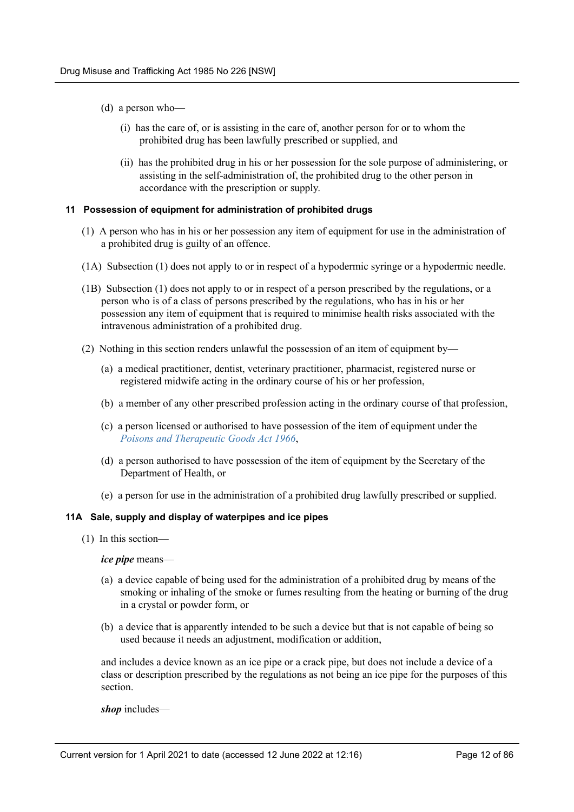- (d) a person who—
	- (i) has the care of, or is assisting in the care of, another person for or to whom the prohibited drug has been lawfully prescribed or supplied, and
	- (ii) has the prohibited drug in his or her possession for the sole purpose of administering, or assisting in the self-administration of, the prohibited drug to the other person in accordance with the prescription or supply.

#### <span id="page-11-0"></span>**11 Possession of equipment for administration of prohibited drugs**

- (1) A person who has in his or her possession any item of equipment for use in the administration of a prohibited drug is guilty of an offence.
- (1A) Subsection (1) does not apply to or in respect of a hypodermic syringe or a hypodermic needle.
- (1B) Subsection (1) does not apply to or in respect of a person prescribed by the regulations, or a person who is of a class of persons prescribed by the regulations, who has in his or her possession any item of equipment that is required to minimise health risks associated with the intravenous administration of a prohibited drug.
- (2) Nothing in this section renders unlawful the possession of an item of equipment by—
	- (a) a medical practitioner, dentist, veterinary practitioner, pharmacist, registered nurse or registered midwife acting in the ordinary course of his or her profession,
	- (b) a member of any other prescribed profession acting in the ordinary course of that profession,
	- (c) a person licensed or authorised to have possession of the item of equipment under the *[Poisons and Therapeutic Goods Act 1966](https://legacy.legislation.nsw.gov.au/*/view/act/1966/31)*,
	- (d) a person authorised to have possession of the item of equipment by the Secretary of the Department of Health, or
	- (e) a person for use in the administration of a prohibited drug lawfully prescribed or supplied.

#### <span id="page-11-1"></span>**11A Sale, supply and display of waterpipes and ice pipes**

(1) In this section—

#### *ice pipe* means—

- (a) a device capable of being used for the administration of a prohibited drug by means of the smoking or inhaling of the smoke or fumes resulting from the heating or burning of the drug in a crystal or powder form, or
- (b) a device that is apparently intended to be such a device but that is not capable of being so used because it needs an adjustment, modification or addition,

and includes a device known as an ice pipe or a crack pipe, but does not include a device of a class or description prescribed by the regulations as not being an ice pipe for the purposes of this section.

*shop* includes—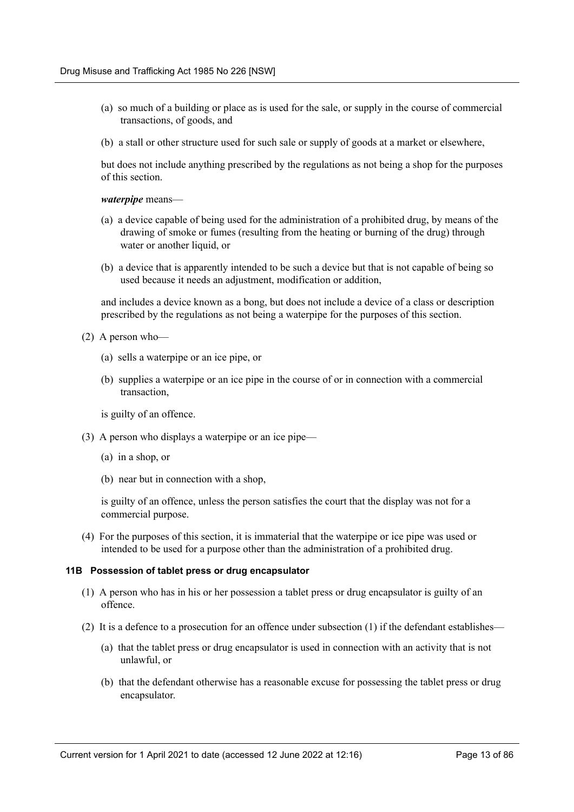- (a) so much of a building or place as is used for the sale, or supply in the course of commercial transactions, of goods, and
- (b) a stall or other structure used for such sale or supply of goods at a market or elsewhere,

but does not include anything prescribed by the regulations as not being a shop for the purposes of this section.

#### *waterpipe* means—

- (a) a device capable of being used for the administration of a prohibited drug, by means of the drawing of smoke or fumes (resulting from the heating or burning of the drug) through water or another liquid, or
- (b) a device that is apparently intended to be such a device but that is not capable of being so used because it needs an adjustment, modification or addition,

and includes a device known as a bong, but does not include a device of a class or description prescribed by the regulations as not being a waterpipe for the purposes of this section.

- (2) A person who—
	- (a) sells a waterpipe or an ice pipe, or
	- (b) supplies a waterpipe or an ice pipe in the course of or in connection with a commercial transaction,

is guilty of an offence.

- (3) A person who displays a waterpipe or an ice pipe—
	- (a) in a shop, or
	- (b) near but in connection with a shop,

is guilty of an offence, unless the person satisfies the court that the display was not for a commercial purpose.

(4) For the purposes of this section, it is immaterial that the waterpipe or ice pipe was used or intended to be used for a purpose other than the administration of a prohibited drug.

#### <span id="page-12-0"></span>**11B Possession of tablet press or drug encapsulator**

- (1) A person who has in his or her possession a tablet press or drug encapsulator is guilty of an offence.
- (2) It is a defence to a prosecution for an offence under subsection (1) if the defendant establishes—
	- (a) that the tablet press or drug encapsulator is used in connection with an activity that is not unlawful, or
	- (b) that the defendant otherwise has a reasonable excuse for possessing the tablet press or drug encapsulator.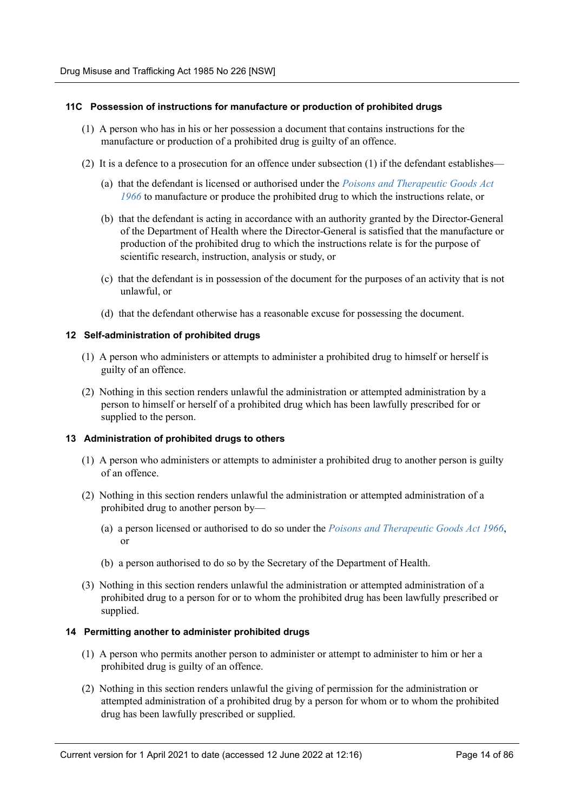#### <span id="page-13-0"></span>**11C Possession of instructions for manufacture or production of prohibited drugs**

- (1) A person who has in his or her possession a document that contains instructions for the manufacture or production of a prohibited drug is guilty of an offence.
- (2) It is a defence to a prosecution for an offence under subsection (1) if the defendant establishes—
	- (a) that the defendant is licensed or authorised under the *[Poisons and Therapeutic Goods Act](https://legacy.legislation.nsw.gov.au/*/view/act/1966/31) [1966](https://legacy.legislation.nsw.gov.au/*/view/act/1966/31)* to manufacture or produce the prohibited drug to which the instructions relate, or
	- (b) that the defendant is acting in accordance with an authority granted by the Director-General of the Department of Health where the Director-General is satisfied that the manufacture or production of the prohibited drug to which the instructions relate is for the purpose of scientific research, instruction, analysis or study, or
	- (c) that the defendant is in possession of the document for the purposes of an activity that is not unlawful, or
	- (d) that the defendant otherwise has a reasonable excuse for possessing the document.

#### <span id="page-13-1"></span>**12 Self-administration of prohibited drugs**

- (1) A person who administers or attempts to administer a prohibited drug to himself or herself is guilty of an offence.
- (2) Nothing in this section renders unlawful the administration or attempted administration by a person to himself or herself of a prohibited drug which has been lawfully prescribed for or supplied to the person.

#### <span id="page-13-2"></span>**13 Administration of prohibited drugs to others**

- (1) A person who administers or attempts to administer a prohibited drug to another person is guilty of an offence.
- (2) Nothing in this section renders unlawful the administration or attempted administration of a prohibited drug to another person by—
	- (a) a person licensed or authorised to do so under the *[Poisons and Therapeutic Goods Act 1966](https://legacy.legislation.nsw.gov.au/*/view/act/1966/31)*, or
	- (b) a person authorised to do so by the Secretary of the Department of Health.
- (3) Nothing in this section renders unlawful the administration or attempted administration of a prohibited drug to a person for or to whom the prohibited drug has been lawfully prescribed or supplied.

#### <span id="page-13-3"></span>**14 Permitting another to administer prohibited drugs**

- (1) A person who permits another person to administer or attempt to administer to him or her a prohibited drug is guilty of an offence.
- (2) Nothing in this section renders unlawful the giving of permission for the administration or attempted administration of a prohibited drug by a person for whom or to whom the prohibited drug has been lawfully prescribed or supplied.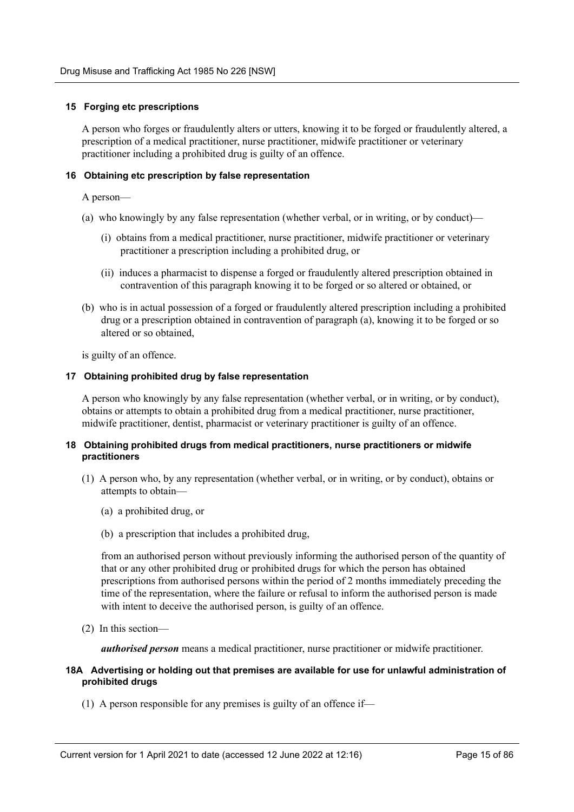#### <span id="page-14-0"></span>**15 Forging etc prescriptions**

A person who forges or fraudulently alters or utters, knowing it to be forged or fraudulently altered, a prescription of a medical practitioner, nurse practitioner, midwife practitioner or veterinary practitioner including a prohibited drug is guilty of an offence.

#### <span id="page-14-1"></span>**16 Obtaining etc prescription by false representation**

A person—

- (a) who knowingly by any false representation (whether verbal, or in writing, or by conduct)—
	- (i) obtains from a medical practitioner, nurse practitioner, midwife practitioner or veterinary practitioner a prescription including a prohibited drug, or
	- (ii) induces a pharmacist to dispense a forged or fraudulently altered prescription obtained in contravention of this paragraph knowing it to be forged or so altered or obtained, or
- (b) who is in actual possession of a forged or fraudulently altered prescription including a prohibited drug or a prescription obtained in contravention of paragraph (a), knowing it to be forged or so altered or so obtained,

is guilty of an offence.

#### <span id="page-14-2"></span>**17 Obtaining prohibited drug by false representation**

A person who knowingly by any false representation (whether verbal, or in writing, or by conduct), obtains or attempts to obtain a prohibited drug from a medical practitioner, nurse practitioner, midwife practitioner, dentist, pharmacist or veterinary practitioner is guilty of an offence.

#### <span id="page-14-3"></span>**18 Obtaining prohibited drugs from medical practitioners, nurse practitioners or midwife practitioners**

- (1) A person who, by any representation (whether verbal, or in writing, or by conduct), obtains or attempts to obtain—
	- (a) a prohibited drug, or
	- (b) a prescription that includes a prohibited drug,

from an authorised person without previously informing the authorised person of the quantity of that or any other prohibited drug or prohibited drugs for which the person has obtained prescriptions from authorised persons within the period of 2 months immediately preceding the time of the representation, where the failure or refusal to inform the authorised person is made with intent to deceive the authorised person, is guilty of an offence.

(2) In this section—

*authorised person* means a medical practitioner, nurse practitioner or midwife practitioner.

#### <span id="page-14-4"></span>**18A Advertising or holding out that premises are available for use for unlawful administration of prohibited drugs**

(1) A person responsible for any premises is guilty of an offence if—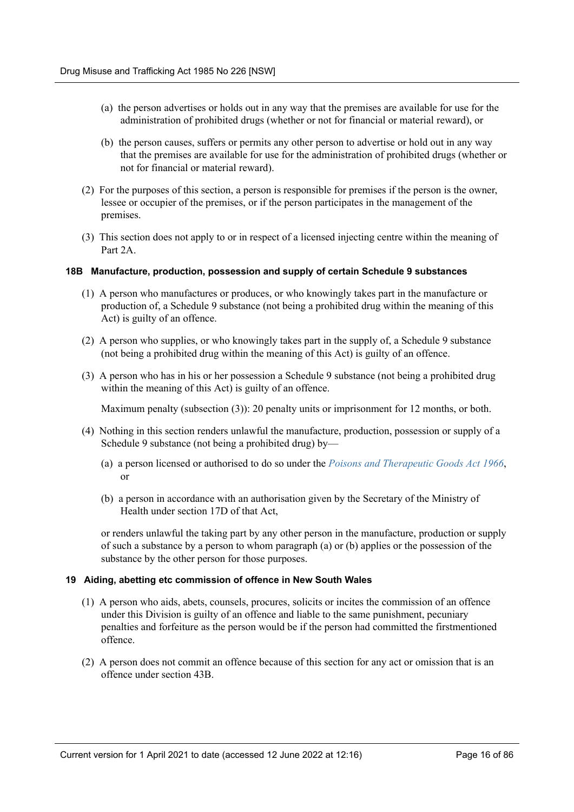- (a) the person advertises or holds out in any way that the premises are available for use for the administration of prohibited drugs (whether or not for financial or material reward), or
- (b) the person causes, suffers or permits any other person to advertise or hold out in any way that the premises are available for use for the administration of prohibited drugs (whether or not for financial or material reward).
- (2) For the purposes of this section, a person is responsible for premises if the person is the owner, lessee or occupier of the premises, or if the person participates in the management of the premises.
- (3) This section does not apply to or in respect of a licensed injecting centre within the meaning of Part 2A.

#### <span id="page-15-0"></span>**18B Manufacture, production, possession and supply of certain Schedule 9 substances**

- (1) A person who manufactures or produces, or who knowingly takes part in the manufacture or production of, a Schedule 9 substance (not being a prohibited drug within the meaning of this Act) is guilty of an offence.
- (2) A person who supplies, or who knowingly takes part in the supply of, a Schedule 9 substance (not being a prohibited drug within the meaning of this Act) is guilty of an offence.
- (3) A person who has in his or her possession a Schedule 9 substance (not being a prohibited drug within the meaning of this Act) is guilty of an offence.

Maximum penalty (subsection (3)): 20 penalty units or imprisonment for 12 months, or both.

- (4) Nothing in this section renders unlawful the manufacture, production, possession or supply of a Schedule 9 substance (not being a prohibited drug) by—
	- (a) a person licensed or authorised to do so under the *[Poisons and Therapeutic Goods Act 1966](https://legacy.legislation.nsw.gov.au/*/view/act/1966/31)*, or
	- (b) a person in accordance with an authorisation given by the Secretary of the Ministry of Health under section 17D of that Act,

or renders unlawful the taking part by any other person in the manufacture, production or supply of such a substance by a person to whom paragraph (a) or (b) applies or the possession of the substance by the other person for those purposes.

#### <span id="page-15-1"></span>**19 Aiding, abetting etc commission of offence in New South Wales**

- (1) A person who aids, abets, counsels, procures, solicits or incites the commission of an offence under this Division is guilty of an offence and liable to the same punishment, pecuniary penalties and forfeiture as the person would be if the person had committed the firstmentioned offence.
- (2) A person does not commit an offence because of this section for any act or omission that is an offence under section 43B.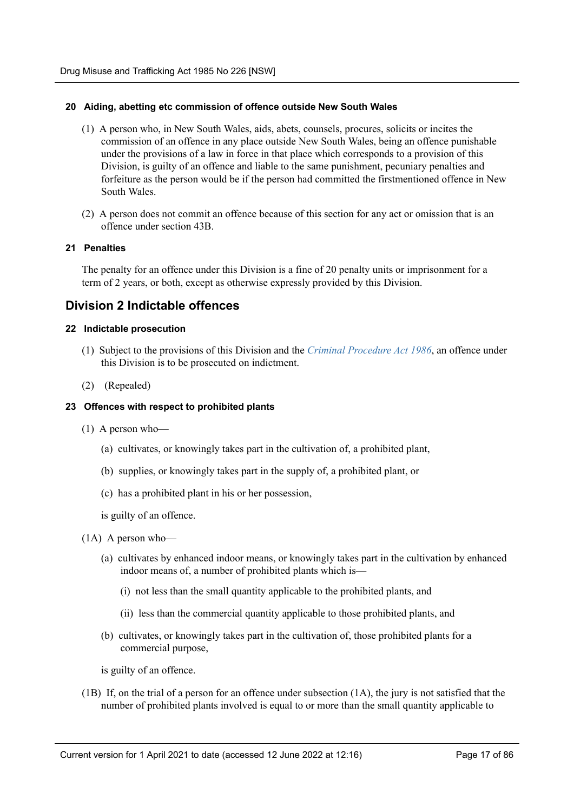#### <span id="page-16-0"></span>**20 Aiding, abetting etc commission of offence outside New South Wales**

- (1) A person who, in New South Wales, aids, abets, counsels, procures, solicits or incites the commission of an offence in any place outside New South Wales, being an offence punishable under the provisions of a law in force in that place which corresponds to a provision of this Division, is guilty of an offence and liable to the same punishment, pecuniary penalties and forfeiture as the person would be if the person had committed the firstmentioned offence in New South Wales.
- (2) A person does not commit an offence because of this section for any act or omission that is an offence under section 43B.

#### <span id="page-16-1"></span>**21 Penalties**

The penalty for an offence under this Division is a fine of 20 penalty units or imprisonment for a term of 2 years, or both, except as otherwise expressly provided by this Division.

### <span id="page-16-2"></span>**Division 2 Indictable offences**

#### <span id="page-16-3"></span>**22 Indictable prosecution**

- (1) Subject to the provisions of this Division and the *[Criminal Procedure Act 1986](https://legacy.legislation.nsw.gov.au/*/view/act/1986/209)*, an offence under this Division is to be prosecuted on indictment.
- (2) (Repealed)

#### <span id="page-16-4"></span>**23 Offences with respect to prohibited plants**

- (1) A person who—
	- (a) cultivates, or knowingly takes part in the cultivation of, a prohibited plant,
	- (b) supplies, or knowingly takes part in the supply of, a prohibited plant, or
	- (c) has a prohibited plant in his or her possession,

is guilty of an offence.

- (1A) A person who—
	- (a) cultivates by enhanced indoor means, or knowingly takes part in the cultivation by enhanced indoor means of, a number of prohibited plants which is—
		- (i) not less than the small quantity applicable to the prohibited plants, and
		- (ii) less than the commercial quantity applicable to those prohibited plants, and
	- (b) cultivates, or knowingly takes part in the cultivation of, those prohibited plants for a commercial purpose,

is guilty of an offence.

(1B) If, on the trial of a person for an offence under subsection (1A), the jury is not satisfied that the number of prohibited plants involved is equal to or more than the small quantity applicable to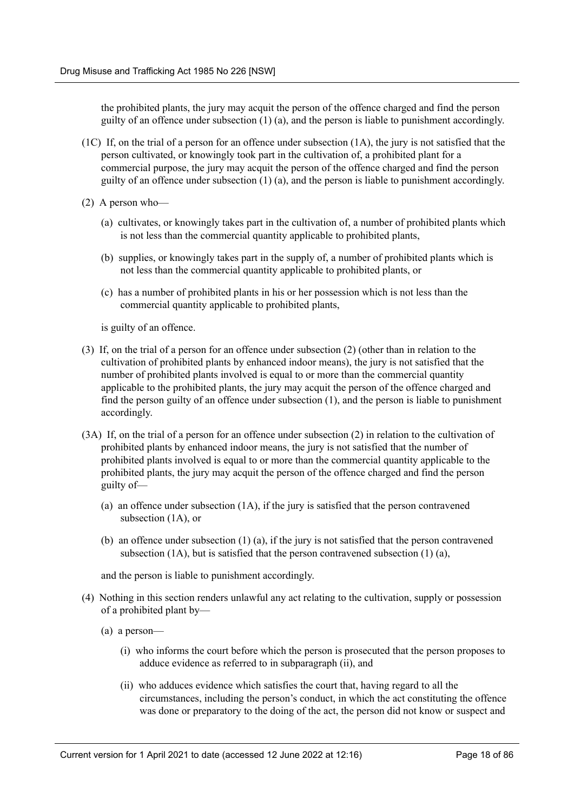the prohibited plants, the jury may acquit the person of the offence charged and find the person guilty of an offence under subsection (1) (a), and the person is liable to punishment accordingly.

- (1C) If, on the trial of a person for an offence under subsection (1A), the jury is not satisfied that the person cultivated, or knowingly took part in the cultivation of, a prohibited plant for a commercial purpose, the jury may acquit the person of the offence charged and find the person guilty of an offence under subsection (1) (a), and the person is liable to punishment accordingly.
- (2) A person who—
	- (a) cultivates, or knowingly takes part in the cultivation of, a number of prohibited plants which is not less than the commercial quantity applicable to prohibited plants,
	- (b) supplies, or knowingly takes part in the supply of, a number of prohibited plants which is not less than the commercial quantity applicable to prohibited plants, or
	- (c) has a number of prohibited plants in his or her possession which is not less than the commercial quantity applicable to prohibited plants,

is guilty of an offence.

- (3) If, on the trial of a person for an offence under subsection (2) (other than in relation to the cultivation of prohibited plants by enhanced indoor means), the jury is not satisfied that the number of prohibited plants involved is equal to or more than the commercial quantity applicable to the prohibited plants, the jury may acquit the person of the offence charged and find the person guilty of an offence under subsection (1), and the person is liable to punishment accordingly.
- (3A) If, on the trial of a person for an offence under subsection (2) in relation to the cultivation of prohibited plants by enhanced indoor means, the jury is not satisfied that the number of prohibited plants involved is equal to or more than the commercial quantity applicable to the prohibited plants, the jury may acquit the person of the offence charged and find the person guilty of—
	- (a) an offence under subsection (1A), if the jury is satisfied that the person contravened subsection (1A), or
	- (b) an offence under subsection (1) (a), if the jury is not satisfied that the person contravened subsection (1A), but is satisfied that the person contravened subsection (1) (a),

and the person is liable to punishment accordingly.

- (4) Nothing in this section renders unlawful any act relating to the cultivation, supply or possession of a prohibited plant by—
	- (a) a person—
		- (i) who informs the court before which the person is prosecuted that the person proposes to adduce evidence as referred to in subparagraph (ii), and
		- (ii) who adduces evidence which satisfies the court that, having regard to all the circumstances, including the person's conduct, in which the act constituting the offence was done or preparatory to the doing of the act, the person did not know or suspect and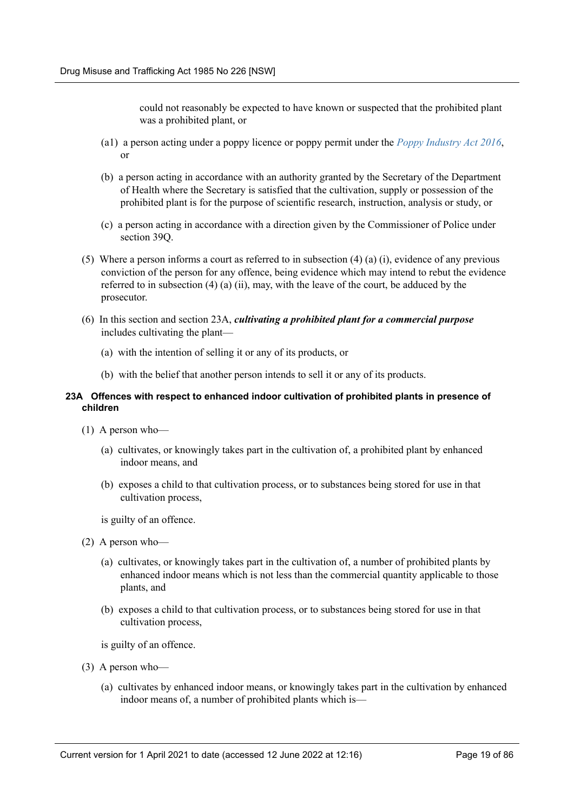could not reasonably be expected to have known or suspected that the prohibited plant was a prohibited plant, or

- (a1) a person acting under a poppy licence or poppy permit under the *[Poppy Industry Act 2016](https://legacy.legislation.nsw.gov.au/*/view/act/2016/37)*, or
- (b) a person acting in accordance with an authority granted by the Secretary of the Department of Health where the Secretary is satisfied that the cultivation, supply or possession of the prohibited plant is for the purpose of scientific research, instruction, analysis or study, or
- (c) a person acting in accordance with a direction given by the Commissioner of Police under section 39Q.
- (5) Where a person informs a court as referred to in subsection (4) (a) (i), evidence of any previous conviction of the person for any offence, being evidence which may intend to rebut the evidence referred to in subsection  $(4)$  (a) (ii), may, with the leave of the court, be adduced by the prosecutor.
- (6) In this section and section 23A, *cultivating a prohibited plant for a commercial purpose* includes cultivating the plant—
	- (a) with the intention of selling it or any of its products, or
	- (b) with the belief that another person intends to sell it or any of its products.

#### <span id="page-18-0"></span>**23A Offences with respect to enhanced indoor cultivation of prohibited plants in presence of children**

- (1) A person who—
	- (a) cultivates, or knowingly takes part in the cultivation of, a prohibited plant by enhanced indoor means, and
	- (b) exposes a child to that cultivation process, or to substances being stored for use in that cultivation process,
	- is guilty of an offence.
- (2) A person who—
	- (a) cultivates, or knowingly takes part in the cultivation of, a number of prohibited plants by enhanced indoor means which is not less than the commercial quantity applicable to those plants, and
	- (b) exposes a child to that cultivation process, or to substances being stored for use in that cultivation process,

is guilty of an offence.

- (3) A person who—
	- (a) cultivates by enhanced indoor means, or knowingly takes part in the cultivation by enhanced indoor means of, a number of prohibited plants which is—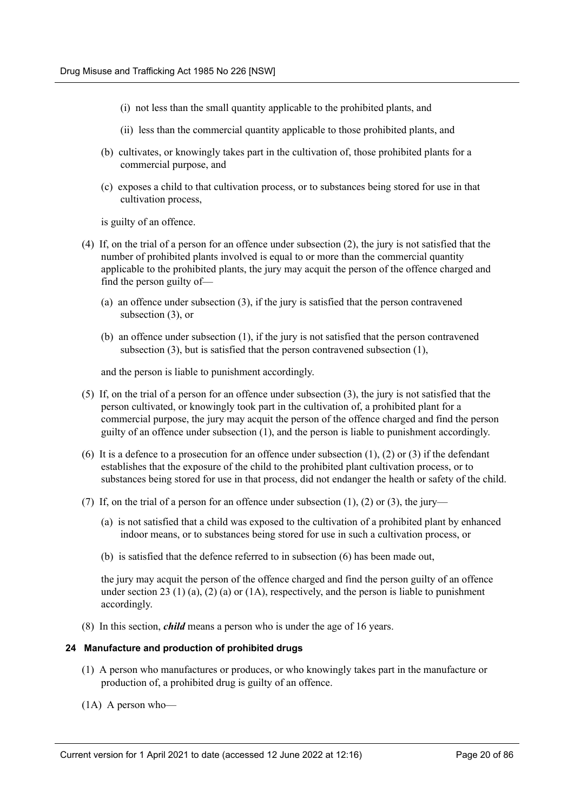- (i) not less than the small quantity applicable to the prohibited plants, and
- (ii) less than the commercial quantity applicable to those prohibited plants, and
- (b) cultivates, or knowingly takes part in the cultivation of, those prohibited plants for a commercial purpose, and
- (c) exposes a child to that cultivation process, or to substances being stored for use in that cultivation process,

is guilty of an offence.

- (4) If, on the trial of a person for an offence under subsection (2), the jury is not satisfied that the number of prohibited plants involved is equal to or more than the commercial quantity applicable to the prohibited plants, the jury may acquit the person of the offence charged and find the person guilty of—
	- (a) an offence under subsection (3), if the jury is satisfied that the person contravened subsection (3), or
	- (b) an offence under subsection (1), if the jury is not satisfied that the person contravened subsection (3), but is satisfied that the person contravened subsection (1),

and the person is liable to punishment accordingly.

- (5) If, on the trial of a person for an offence under subsection (3), the jury is not satisfied that the person cultivated, or knowingly took part in the cultivation of, a prohibited plant for a commercial purpose, the jury may acquit the person of the offence charged and find the person guilty of an offence under subsection (1), and the person is liable to punishment accordingly.
- (6) It is a defence to a prosecution for an offence under subsection  $(1)$ ,  $(2)$  or  $(3)$  if the defendant establishes that the exposure of the child to the prohibited plant cultivation process, or to substances being stored for use in that process, did not endanger the health or safety of the child.
- (7) If, on the trial of a person for an offence under subsection  $(1)$ ,  $(2)$  or  $(3)$ , the jury—
	- (a) is not satisfied that a child was exposed to the cultivation of a prohibited plant by enhanced indoor means, or to substances being stored for use in such a cultivation process, or
	- (b) is satisfied that the defence referred to in subsection (6) has been made out,

the jury may acquit the person of the offence charged and find the person guilty of an offence under section 23 (1) (a), (2) (a) or (1A), respectively, and the person is liable to punishment accordingly.

(8) In this section, *child* means a person who is under the age of 16 years.

#### <span id="page-19-0"></span>**24 Manufacture and production of prohibited drugs**

- (1) A person who manufactures or produces, or who knowingly takes part in the manufacture or production of, a prohibited drug is guilty of an offence.
- (1A) A person who—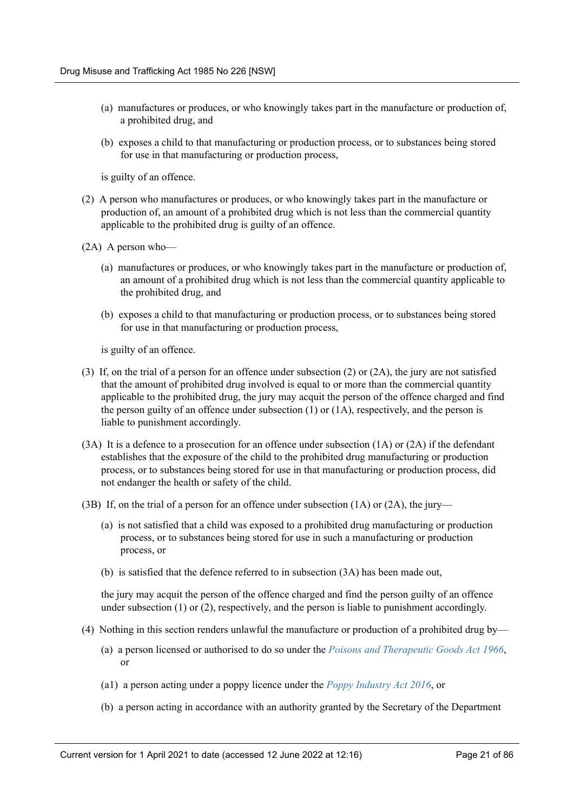- (a) manufactures or produces, or who knowingly takes part in the manufacture or production of, a prohibited drug, and
- (b) exposes a child to that manufacturing or production process, or to substances being stored for use in that manufacturing or production process,

is guilty of an offence.

- (2) A person who manufactures or produces, or who knowingly takes part in the manufacture or production of, an amount of a prohibited drug which is not less than the commercial quantity applicable to the prohibited drug is guilty of an offence.
- (2A) A person who—
	- (a) manufactures or produces, or who knowingly takes part in the manufacture or production of, an amount of a prohibited drug which is not less than the commercial quantity applicable to the prohibited drug, and
	- (b) exposes a child to that manufacturing or production process, or to substances being stored for use in that manufacturing or production process,

is guilty of an offence.

- (3) If, on the trial of a person for an offence under subsection (2) or (2A), the jury are not satisfied that the amount of prohibited drug involved is equal to or more than the commercial quantity applicable to the prohibited drug, the jury may acquit the person of the offence charged and find the person guilty of an offence under subsection  $(1)$  or  $(1A)$ , respectively, and the person is liable to punishment accordingly.
- (3A) It is a defence to a prosecution for an offence under subsection (1A) or (2A) if the defendant establishes that the exposure of the child to the prohibited drug manufacturing or production process, or to substances being stored for use in that manufacturing or production process, did not endanger the health or safety of the child.
- (3B) If, on the trial of a person for an offence under subsection (1A) or (2A), the jury—
	- (a) is not satisfied that a child was exposed to a prohibited drug manufacturing or production process, or to substances being stored for use in such a manufacturing or production process, or
	- (b) is satisfied that the defence referred to in subsection (3A) has been made out,

the jury may acquit the person of the offence charged and find the person guilty of an offence under subsection  $(1)$  or  $(2)$ , respectively, and the person is liable to punishment accordingly.

- (4) Nothing in this section renders unlawful the manufacture or production of a prohibited drug by—
	- (a) a person licensed or authorised to do so under the *[Poisons and Therapeutic Goods Act 1966](https://legacy.legislation.nsw.gov.au/*/view/act/1966/31)*, or
	- (a1) a person acting under a poppy licence under the *[Poppy Industry Act 2016](https://legacy.legislation.nsw.gov.au/*/view/act/2016/37)*, or
	- (b) a person acting in accordance with an authority granted by the Secretary of the Department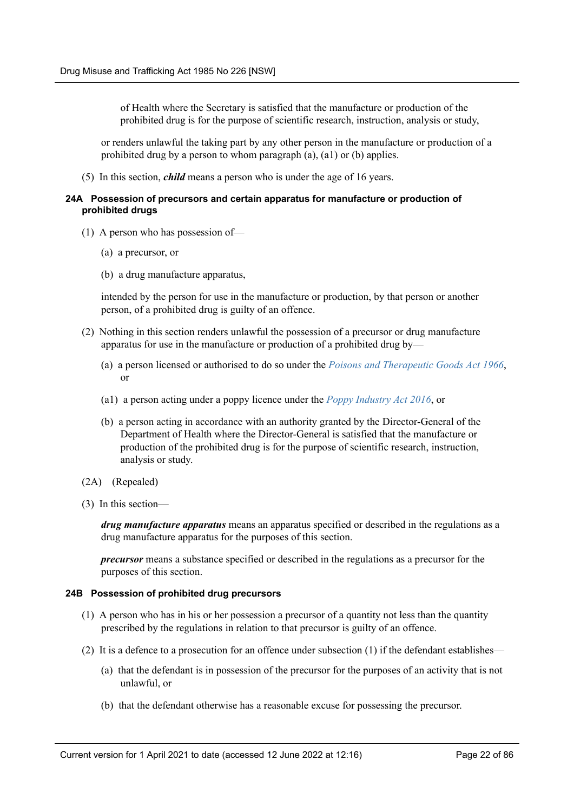of Health where the Secretary is satisfied that the manufacture or production of the prohibited drug is for the purpose of scientific research, instruction, analysis or study,

or renders unlawful the taking part by any other person in the manufacture or production of a prohibited drug by a person to whom paragraph (a), (a1) or (b) applies.

(5) In this section, *child* means a person who is under the age of 16 years.

#### <span id="page-21-0"></span>**24A Possession of precursors and certain apparatus for manufacture or production of prohibited drugs**

- (1) A person who has possession of—
	- (a) a precursor, or
	- (b) a drug manufacture apparatus,

intended by the person for use in the manufacture or production, by that person or another person, of a prohibited drug is guilty of an offence.

- (2) Nothing in this section renders unlawful the possession of a precursor or drug manufacture apparatus for use in the manufacture or production of a prohibited drug by—
	- (a) a person licensed or authorised to do so under the *[Poisons and Therapeutic Goods Act 1966](https://legacy.legislation.nsw.gov.au/*/view/act/1966/31)*, or
	- (a1) a person acting under a poppy licence under the *[Poppy Industry Act 2016](https://legacy.legislation.nsw.gov.au/*/view/act/2016/37)*, or
	- (b) a person acting in accordance with an authority granted by the Director-General of the Department of Health where the Director-General is satisfied that the manufacture or production of the prohibited drug is for the purpose of scientific research, instruction, analysis or study.
- (2A) (Repealed)
- (3) In this section—

*drug manufacture apparatus* means an apparatus specified or described in the regulations as a drug manufacture apparatus for the purposes of this section.

*precursor* means a substance specified or described in the regulations as a precursor for the purposes of this section.

#### <span id="page-21-1"></span>**24B Possession of prohibited drug precursors**

- (1) A person who has in his or her possession a precursor of a quantity not less than the quantity prescribed by the regulations in relation to that precursor is guilty of an offence.
- (2) It is a defence to a prosecution for an offence under subsection (1) if the defendant establishes—
	- (a) that the defendant is in possession of the precursor for the purposes of an activity that is not unlawful, or
	- (b) that the defendant otherwise has a reasonable excuse for possessing the precursor.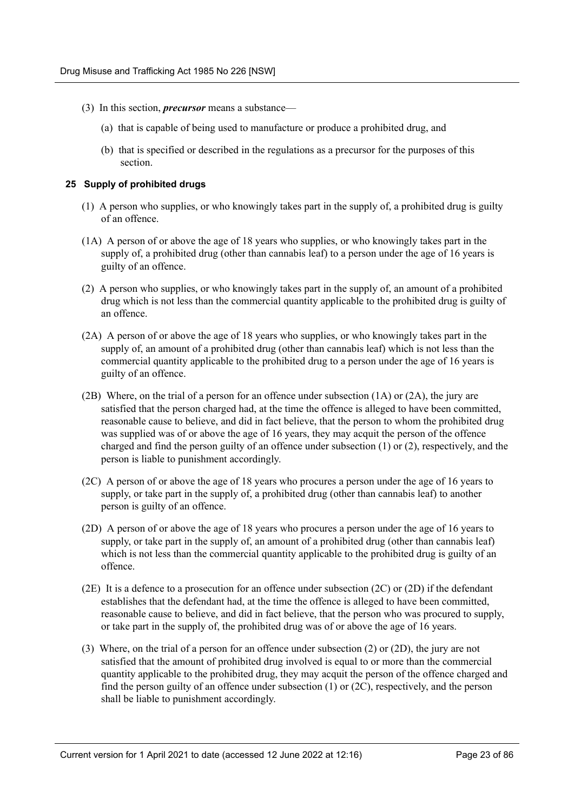- (3) In this section, *precursor* means a substance—
	- (a) that is capable of being used to manufacture or produce a prohibited drug, and
	- (b) that is specified or described in the regulations as a precursor for the purposes of this section.

#### <span id="page-22-0"></span>**25 Supply of prohibited drugs**

- (1) A person who supplies, or who knowingly takes part in the supply of, a prohibited drug is guilty of an offence.
- (1A) A person of or above the age of 18 years who supplies, or who knowingly takes part in the supply of, a prohibited drug (other than cannabis leaf) to a person under the age of 16 years is guilty of an offence.
- (2) A person who supplies, or who knowingly takes part in the supply of, an amount of a prohibited drug which is not less than the commercial quantity applicable to the prohibited drug is guilty of an offence.
- (2A) A person of or above the age of 18 years who supplies, or who knowingly takes part in the supply of, an amount of a prohibited drug (other than cannabis leaf) which is not less than the commercial quantity applicable to the prohibited drug to a person under the age of 16 years is guilty of an offence.
- (2B) Where, on the trial of a person for an offence under subsection (1A) or (2A), the jury are satisfied that the person charged had, at the time the offence is alleged to have been committed, reasonable cause to believe, and did in fact believe, that the person to whom the prohibited drug was supplied was of or above the age of 16 years, they may acquit the person of the offence charged and find the person guilty of an offence under subsection (1) or (2), respectively, and the person is liable to punishment accordingly.
- (2C) A person of or above the age of 18 years who procures a person under the age of 16 years to supply, or take part in the supply of, a prohibited drug (other than cannabis leaf) to another person is guilty of an offence.
- (2D) A person of or above the age of 18 years who procures a person under the age of 16 years to supply, or take part in the supply of, an amount of a prohibited drug (other than cannabis leaf) which is not less than the commercial quantity applicable to the prohibited drug is guilty of an offence.
- (2E) It is a defence to a prosecution for an offence under subsection (2C) or (2D) if the defendant establishes that the defendant had, at the time the offence is alleged to have been committed, reasonable cause to believe, and did in fact believe, that the person who was procured to supply, or take part in the supply of, the prohibited drug was of or above the age of 16 years.
- (3) Where, on the trial of a person for an offence under subsection (2) or (2D), the jury are not satisfied that the amount of prohibited drug involved is equal to or more than the commercial quantity applicable to the prohibited drug, they may acquit the person of the offence charged and find the person guilty of an offence under subsection (1) or (2C), respectively, and the person shall be liable to punishment accordingly.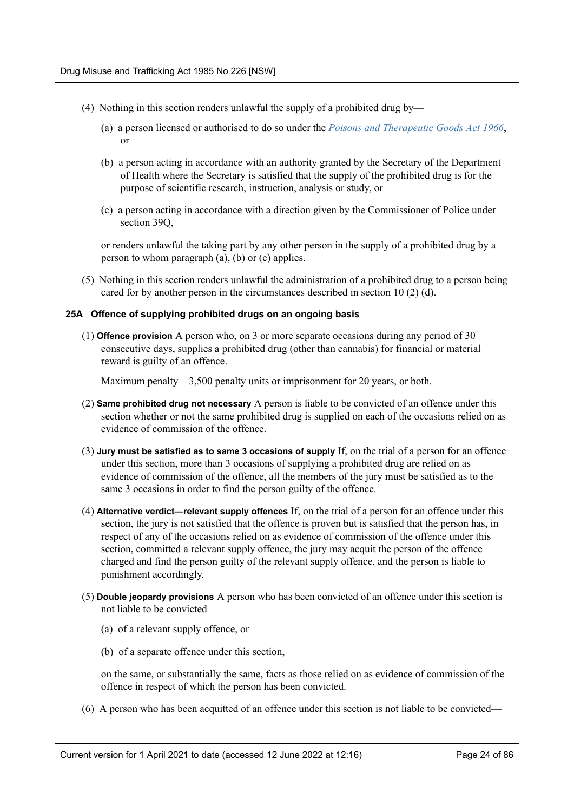- (4) Nothing in this section renders unlawful the supply of a prohibited drug by—
	- (a) a person licensed or authorised to do so under the *[Poisons and Therapeutic Goods Act 1966](https://legacy.legislation.nsw.gov.au/*/view/act/1966/31)*, or
	- (b) a person acting in accordance with an authority granted by the Secretary of the Department of Health where the Secretary is satisfied that the supply of the prohibited drug is for the purpose of scientific research, instruction, analysis or study, or
	- (c) a person acting in accordance with a direction given by the Commissioner of Police under section 39Q,

or renders unlawful the taking part by any other person in the supply of a prohibited drug by a person to whom paragraph (a), (b) or (c) applies.

(5) Nothing in this section renders unlawful the administration of a prohibited drug to a person being cared for by another person in the circumstances described in section 10 (2) (d).

#### <span id="page-23-0"></span>**25A Offence of supplying prohibited drugs on an ongoing basis**

(1) **Offence provision** A person who, on 3 or more separate occasions during any period of 30 consecutive days, supplies a prohibited drug (other than cannabis) for financial or material reward is guilty of an offence.

Maximum penalty—3,500 penalty units or imprisonment for 20 years, or both.

- (2) **Same prohibited drug not necessary** A person is liable to be convicted of an offence under this section whether or not the same prohibited drug is supplied on each of the occasions relied on as evidence of commission of the offence.
- (3) **Jury must be satisfied as to same 3 occasions of supply** If, on the trial of a person for an offence under this section, more than 3 occasions of supplying a prohibited drug are relied on as evidence of commission of the offence, all the members of the jury must be satisfied as to the same 3 occasions in order to find the person guilty of the offence.
- (4) **Alternative verdict—relevant supply offences** If, on the trial of a person for an offence under this section, the jury is not satisfied that the offence is proven but is satisfied that the person has, in respect of any of the occasions relied on as evidence of commission of the offence under this section, committed a relevant supply offence, the jury may acquit the person of the offence charged and find the person guilty of the relevant supply offence, and the person is liable to punishment accordingly.
- (5) **Double jeopardy provisions** A person who has been convicted of an offence under this section is not liable to be convicted—
	- (a) of a relevant supply offence, or
	- (b) of a separate offence under this section,

on the same, or substantially the same, facts as those relied on as evidence of commission of the offence in respect of which the person has been convicted.

(6) A person who has been acquitted of an offence under this section is not liable to be convicted—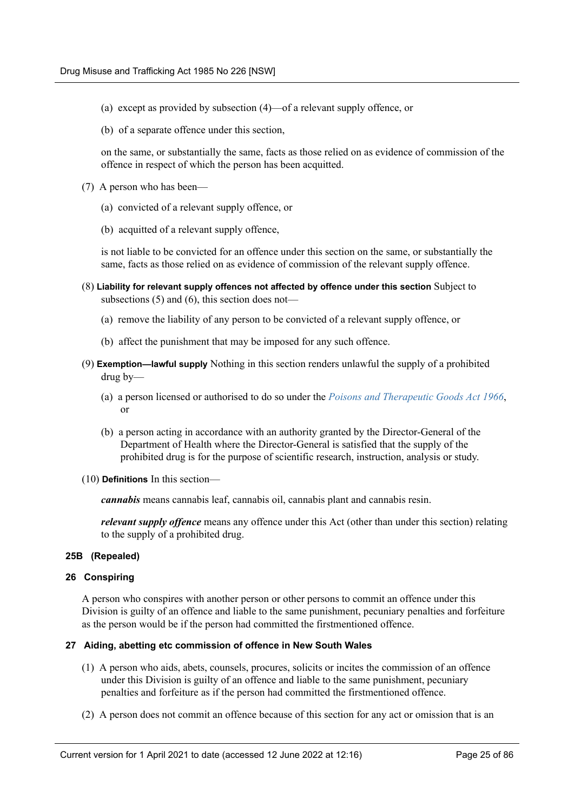- (a) except as provided by subsection (4)—of a relevant supply offence, or
- (b) of a separate offence under this section,

on the same, or substantially the same, facts as those relied on as evidence of commission of the offence in respect of which the person has been acquitted.

- (7) A person who has been—
	- (a) convicted of a relevant supply offence, or
	- (b) acquitted of a relevant supply offence,

is not liable to be convicted for an offence under this section on the same, or substantially the same, facts as those relied on as evidence of commission of the relevant supply offence.

- (8) **Liability for relevant supply offences not affected by offence under this section** Subject to subsections (5) and (6), this section does not—
	- (a) remove the liability of any person to be convicted of a relevant supply offence, or
	- (b) affect the punishment that may be imposed for any such offence.
- (9) **Exemption—lawful supply** Nothing in this section renders unlawful the supply of a prohibited drug by—
	- (a) a person licensed or authorised to do so under the *[Poisons and Therapeutic Goods Act 1966](https://legacy.legislation.nsw.gov.au/*/view/act/1966/31)*, or
	- (b) a person acting in accordance with an authority granted by the Director-General of the Department of Health where the Director-General is satisfied that the supply of the prohibited drug is for the purpose of scientific research, instruction, analysis or study.
- (10) **Definitions** In this section—

*cannabis* means cannabis leaf, cannabis oil, cannabis plant and cannabis resin.

*relevant supply offence* means any offence under this Act (other than under this section) relating to the supply of a prohibited drug.

#### <span id="page-24-0"></span>**25B (Repealed)**

#### <span id="page-24-1"></span>**26 Conspiring**

A person who conspires with another person or other persons to commit an offence under this Division is guilty of an offence and liable to the same punishment, pecuniary penalties and forfeiture as the person would be if the person had committed the firstmentioned offence.

#### <span id="page-24-2"></span>**27 Aiding, abetting etc commission of offence in New South Wales**

- (1) A person who aids, abets, counsels, procures, solicits or incites the commission of an offence under this Division is guilty of an offence and liable to the same punishment, pecuniary penalties and forfeiture as if the person had committed the firstmentioned offence.
- (2) A person does not commit an offence because of this section for any act or omission that is an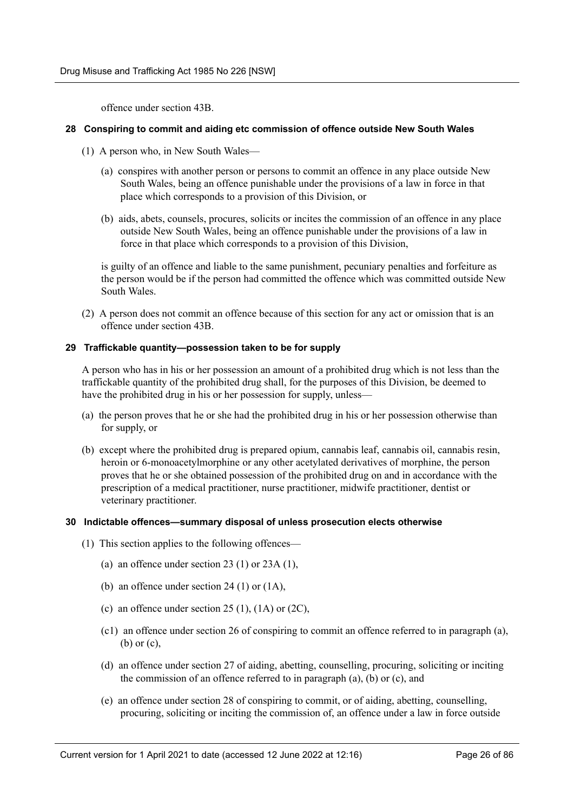offence under section 43B.

#### <span id="page-25-0"></span>**28 Conspiring to commit and aiding etc commission of offence outside New South Wales**

- (1) A person who, in New South Wales—
	- (a) conspires with another person or persons to commit an offence in any place outside New South Wales, being an offence punishable under the provisions of a law in force in that place which corresponds to a provision of this Division, or
	- (b) aids, abets, counsels, procures, solicits or incites the commission of an offence in any place outside New South Wales, being an offence punishable under the provisions of a law in force in that place which corresponds to a provision of this Division,

is guilty of an offence and liable to the same punishment, pecuniary penalties and forfeiture as the person would be if the person had committed the offence which was committed outside New South Wales.

(2) A person does not commit an offence because of this section for any act or omission that is an offence under section 43B.

#### <span id="page-25-1"></span>**29 Traffickable quantity—possession taken to be for supply**

A person who has in his or her possession an amount of a prohibited drug which is not less than the traffickable quantity of the prohibited drug shall, for the purposes of this Division, be deemed to have the prohibited drug in his or her possession for supply, unless—

- (a) the person proves that he or she had the prohibited drug in his or her possession otherwise than for supply, or
- (b) except where the prohibited drug is prepared opium, cannabis leaf, cannabis oil, cannabis resin, heroin or 6-monoacetylmorphine or any other acetylated derivatives of morphine, the person proves that he or she obtained possession of the prohibited drug on and in accordance with the prescription of a medical practitioner, nurse practitioner, midwife practitioner, dentist or veterinary practitioner.

#### <span id="page-25-2"></span>**30 Indictable offences—summary disposal of unless prosecution elects otherwise**

- (1) This section applies to the following offences—
	- (a) an offence under section 23 (1) or 23A (1),
	- (b) an offence under section 24 (1) or  $(1A)$ ,
	- (c) an offence under section 25 (1),  $(1A)$  or  $(2C)$ ,
	- (c1) an offence under section 26 of conspiring to commit an offence referred to in paragraph (a), (b) or (c),
	- (d) an offence under section 27 of aiding, abetting, counselling, procuring, soliciting or inciting the commission of an offence referred to in paragraph (a), (b) or (c), and
	- (e) an offence under section 28 of conspiring to commit, or of aiding, abetting, counselling, procuring, soliciting or inciting the commission of, an offence under a law in force outside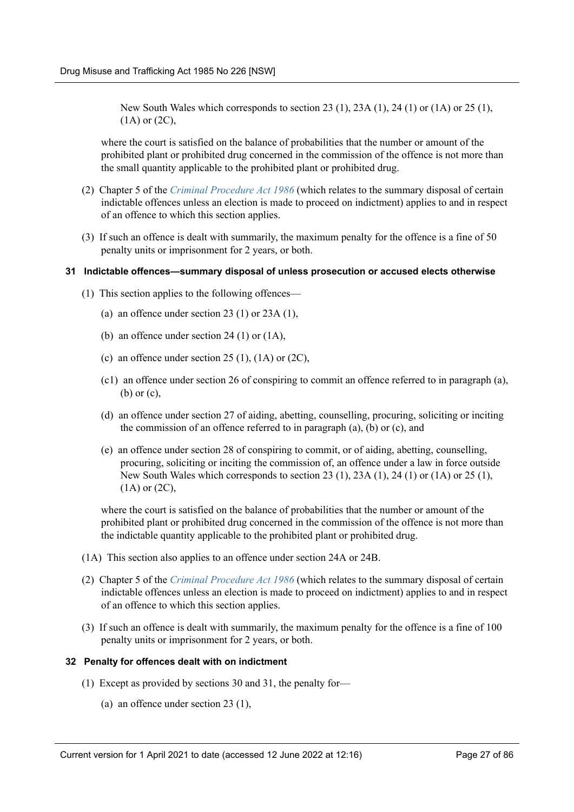New South Wales which corresponds to section 23 (1), 23A (1), 24 (1) or (1A) or 25 (1), (1A) or (2C),

where the court is satisfied on the balance of probabilities that the number or amount of the prohibited plant or prohibited drug concerned in the commission of the offence is not more than the small quantity applicable to the prohibited plant or prohibited drug.

- (2) Chapter 5 of the *[Criminal Procedure Act 1986](https://legacy.legislation.nsw.gov.au/*/view/act/1986/209)* (which relates to the summary disposal of certain indictable offences unless an election is made to proceed on indictment) applies to and in respect of an offence to which this section applies.
- (3) If such an offence is dealt with summarily, the maximum penalty for the offence is a fine of 50 penalty units or imprisonment for 2 years, or both.

#### <span id="page-26-0"></span>**31 Indictable offences—summary disposal of unless prosecution or accused elects otherwise**

- (1) This section applies to the following offences—
	- (a) an offence under section 23 (1) or 23A (1),
	- (b) an offence under section 24 (1) or (1A),
	- (c) an offence under section 25 (1),  $(1A)$  or  $(2C)$ ,
	- (c1) an offence under section 26 of conspiring to commit an offence referred to in paragraph (a), (b) or (c),
	- (d) an offence under section 27 of aiding, abetting, counselling, procuring, soliciting or inciting the commission of an offence referred to in paragraph (a), (b) or (c), and
	- (e) an offence under section 28 of conspiring to commit, or of aiding, abetting, counselling, procuring, soliciting or inciting the commission of, an offence under a law in force outside New South Wales which corresponds to section 23 (1), 23A (1), 24 (1) or (1A) or 25 (1),  $(1A)$  or  $(2C)$ ,

where the court is satisfied on the balance of probabilities that the number or amount of the prohibited plant or prohibited drug concerned in the commission of the offence is not more than the indictable quantity applicable to the prohibited plant or prohibited drug.

- (1A) This section also applies to an offence under section 24A or 24B.
- (2) Chapter 5 of the *[Criminal Procedure Act 1986](https://legacy.legislation.nsw.gov.au/*/view/act/1986/209)* (which relates to the summary disposal of certain indictable offences unless an election is made to proceed on indictment) applies to and in respect of an offence to which this section applies.
- (3) If such an offence is dealt with summarily, the maximum penalty for the offence is a fine of 100 penalty units or imprisonment for 2 years, or both.

#### <span id="page-26-1"></span>**32 Penalty for offences dealt with on indictment**

- (1) Except as provided by sections 30 and 31, the penalty for—
	- (a) an offence under section 23 (1),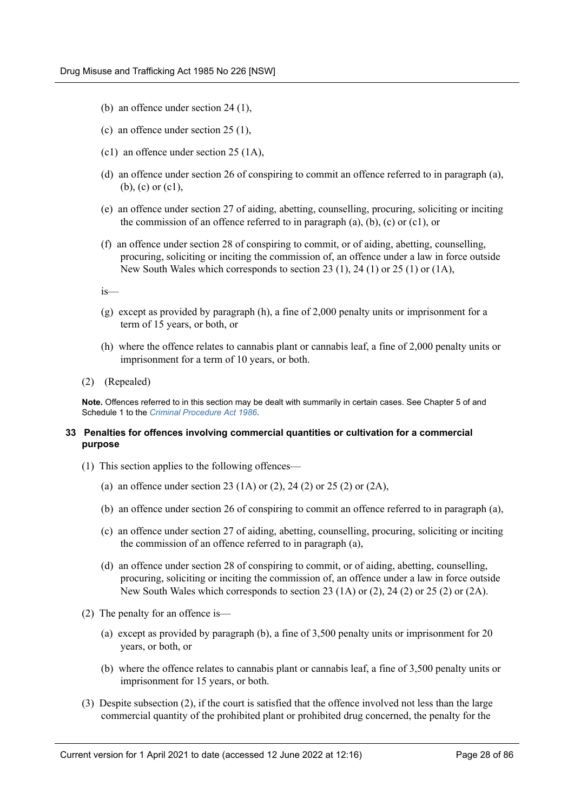- (b) an offence under section 24 (1),
- (c) an offence under section 25 (1),
- (c1) an offence under section 25 (1A),
- (d) an offence under section 26 of conspiring to commit an offence referred to in paragraph (a), (b), (c) or (c1),
- (e) an offence under section 27 of aiding, abetting, counselling, procuring, soliciting or inciting the commission of an offence referred to in paragraph (a), (b), (c) or (c1), or
- (f) an offence under section 28 of conspiring to commit, or of aiding, abetting, counselling, procuring, soliciting or inciting the commission of, an offence under a law in force outside New South Wales which corresponds to section 23 (1), 24 (1) or 25 (1) or (1A),

is—

- (g) except as provided by paragraph (h), a fine of 2,000 penalty units or imprisonment for a term of 15 years, or both, or
- (h) where the offence relates to cannabis plant or cannabis leaf, a fine of 2,000 penalty units or imprisonment for a term of 10 years, or both.
- (2) (Repealed)

**Note.** Offences referred to in this section may be dealt with summarily in certain cases. See Chapter 5 of and Schedule 1 to the *[Criminal Procedure Act 1986](https://legacy.legislation.nsw.gov.au/*/view/act/1986/209)*.

#### <span id="page-27-0"></span>**33 Penalties for offences involving commercial quantities or cultivation for a commercial purpose**

- (1) This section applies to the following offences—
	- (a) an offence under section 23 (1A) or (2), 24 (2) or 25 (2) or (2A),
	- (b) an offence under section 26 of conspiring to commit an offence referred to in paragraph (a),
	- (c) an offence under section 27 of aiding, abetting, counselling, procuring, soliciting or inciting the commission of an offence referred to in paragraph (a),
	- (d) an offence under section 28 of conspiring to commit, or of aiding, abetting, counselling, procuring, soliciting or inciting the commission of, an offence under a law in force outside New South Wales which corresponds to section 23 (1A) or (2), 24 (2) or 25 (2) or (2A).
- (2) The penalty for an offence is—
	- (a) except as provided by paragraph (b), a fine of 3,500 penalty units or imprisonment for 20 years, or both, or
	- (b) where the offence relates to cannabis plant or cannabis leaf, a fine of 3,500 penalty units or imprisonment for 15 years, or both.
- (3) Despite subsection (2), if the court is satisfied that the offence involved not less than the large commercial quantity of the prohibited plant or prohibited drug concerned, the penalty for the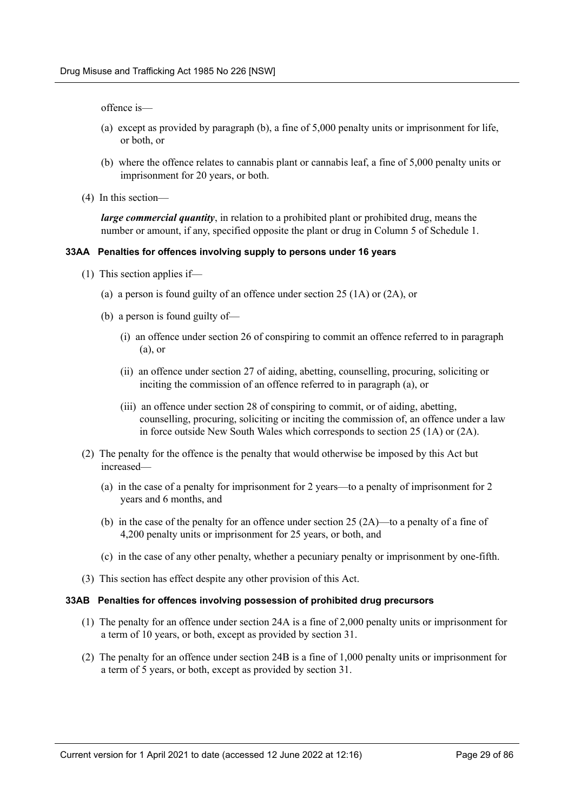offence is—

- (a) except as provided by paragraph (b), a fine of 5,000 penalty units or imprisonment for life, or both, or
- (b) where the offence relates to cannabis plant or cannabis leaf, a fine of 5,000 penalty units or imprisonment for 20 years, or both.
- (4) In this section—

*large commercial quantity*, in relation to a prohibited plant or prohibited drug, means the number or amount, if any, specified opposite the plant or drug in Column 5 of Schedule 1.

#### <span id="page-28-0"></span>**33AA Penalties for offences involving supply to persons under 16 years**

- (1) This section applies if—
	- (a) a person is found guilty of an offence under section 25 (1A) or (2A), or
	- (b) a person is found guilty of—
		- (i) an offence under section 26 of conspiring to commit an offence referred to in paragraph (a), or
		- (ii) an offence under section 27 of aiding, abetting, counselling, procuring, soliciting or inciting the commission of an offence referred to in paragraph (a), or
		- (iii) an offence under section 28 of conspiring to commit, or of aiding, abetting, counselling, procuring, soliciting or inciting the commission of, an offence under a law in force outside New South Wales which corresponds to section 25 (1A) or (2A).
- (2) The penalty for the offence is the penalty that would otherwise be imposed by this Act but increased—
	- (a) in the case of a penalty for imprisonment for 2 years—to a penalty of imprisonment for 2 years and 6 months, and
	- (b) in the case of the penalty for an offence under section  $25 (2A)$ —to a penalty of a fine of 4,200 penalty units or imprisonment for 25 years, or both, and
	- (c) in the case of any other penalty, whether a pecuniary penalty or imprisonment by one-fifth.
- (3) This section has effect despite any other provision of this Act.

#### <span id="page-28-1"></span>**33AB Penalties for offences involving possession of prohibited drug precursors**

- (1) The penalty for an offence under section 24A is a fine of 2,000 penalty units or imprisonment for a term of 10 years, or both, except as provided by section 31.
- (2) The penalty for an offence under section 24B is a fine of 1,000 penalty units or imprisonment for a term of 5 years, or both, except as provided by section 31.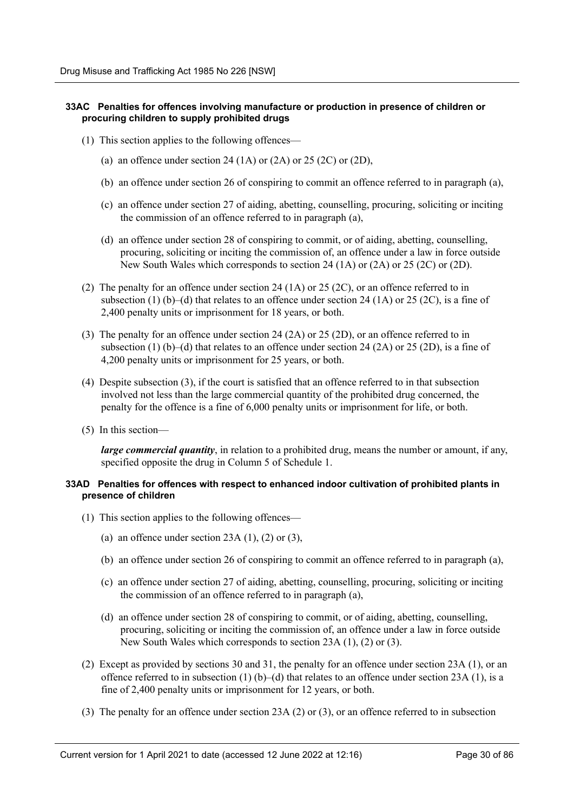#### <span id="page-29-0"></span>**33AC Penalties for offences involving manufacture or production in presence of children or procuring children to supply prohibited drugs**

- (1) This section applies to the following offences—
	- (a) an offence under section 24 (1A) or  $(2A)$  or  $25 (2C)$  or  $(2D)$ ,
	- (b) an offence under section 26 of conspiring to commit an offence referred to in paragraph (a),
	- (c) an offence under section 27 of aiding, abetting, counselling, procuring, soliciting or inciting the commission of an offence referred to in paragraph (a),
	- (d) an offence under section 28 of conspiring to commit, or of aiding, abetting, counselling, procuring, soliciting or inciting the commission of, an offence under a law in force outside New South Wales which corresponds to section 24 (1A) or (2A) or 25 (2C) or (2D).
- (2) The penalty for an offence under section 24 (1A) or 25 (2C), or an offence referred to in subsection (1) (b)–(d) that relates to an offence under section 24 (1A) or 25 (2C), is a fine of 2,400 penalty units or imprisonment for 18 years, or both.
- (3) The penalty for an offence under section 24 (2A) or 25 (2D), or an offence referred to in subsection (1) (b)–(d) that relates to an offence under section 24 (2A) or 25 (2D), is a fine of 4,200 penalty units or imprisonment for 25 years, or both.
- (4) Despite subsection (3), if the court is satisfied that an offence referred to in that subsection involved not less than the large commercial quantity of the prohibited drug concerned, the penalty for the offence is a fine of 6,000 penalty units or imprisonment for life, or both.
- (5) In this section—

*large commercial quantity*, in relation to a prohibited drug, means the number or amount, if any, specified opposite the drug in Column 5 of Schedule 1.

#### <span id="page-29-1"></span>**33AD Penalties for offences with respect to enhanced indoor cultivation of prohibited plants in presence of children**

- (1) This section applies to the following offences—
	- (a) an offence under section  $23A(1)$ ,  $(2)$  or  $(3)$ ,
	- (b) an offence under section 26 of conspiring to commit an offence referred to in paragraph (a),
	- (c) an offence under section 27 of aiding, abetting, counselling, procuring, soliciting or inciting the commission of an offence referred to in paragraph (a),
	- (d) an offence under section 28 of conspiring to commit, or of aiding, abetting, counselling, procuring, soliciting or inciting the commission of, an offence under a law in force outside New South Wales which corresponds to section 23A (1), (2) or (3).
- (2) Except as provided by sections 30 and 31, the penalty for an offence under section 23A (1), or an offence referred to in subsection (1) (b)–(d) that relates to an offence under section 23A (1), is a fine of 2,400 penalty units or imprisonment for 12 years, or both.
- (3) The penalty for an offence under section 23A (2) or (3), or an offence referred to in subsection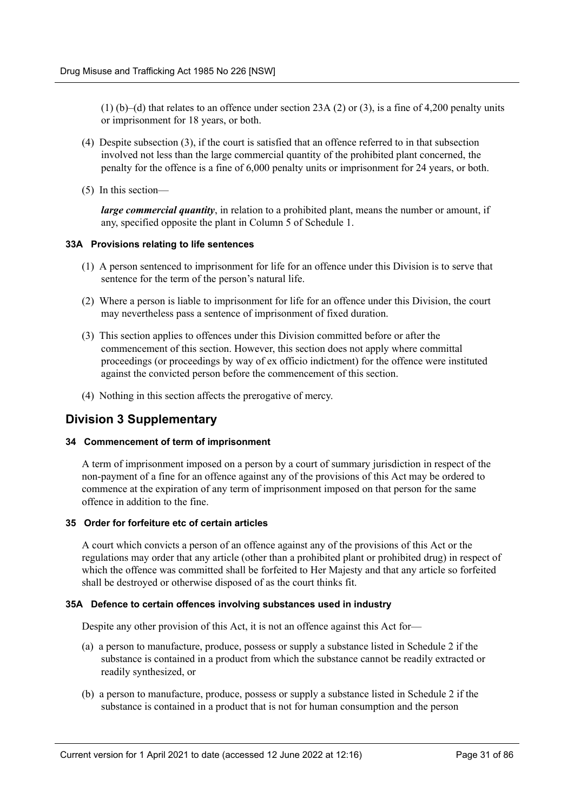(1) (b)–(d) that relates to an offence under section 23A (2) or (3), is a fine of 4,200 penalty units or imprisonment for 18 years, or both.

- (4) Despite subsection (3), if the court is satisfied that an offence referred to in that subsection involved not less than the large commercial quantity of the prohibited plant concerned, the penalty for the offence is a fine of 6,000 penalty units or imprisonment for 24 years, or both.
- (5) In this section—

*large commercial quantity*, in relation to a prohibited plant, means the number or amount, if any, specified opposite the plant in Column 5 of Schedule 1.

#### <span id="page-30-0"></span>**33A Provisions relating to life sentences**

- (1) A person sentenced to imprisonment for life for an offence under this Division is to serve that sentence for the term of the person's natural life.
- (2) Where a person is liable to imprisonment for life for an offence under this Division, the court may nevertheless pass a sentence of imprisonment of fixed duration.
- (3) This section applies to offences under this Division committed before or after the commencement of this section. However, this section does not apply where committal proceedings (or proceedings by way of ex officio indictment) for the offence were instituted against the convicted person before the commencement of this section.
- (4) Nothing in this section affects the prerogative of mercy.

## <span id="page-30-1"></span>**Division 3 Supplementary**

#### <span id="page-30-2"></span>**34 Commencement of term of imprisonment**

A term of imprisonment imposed on a person by a court of summary jurisdiction in respect of the non-payment of a fine for an offence against any of the provisions of this Act may be ordered to commence at the expiration of any term of imprisonment imposed on that person for the same offence in addition to the fine.

#### <span id="page-30-3"></span>**35 Order for forfeiture etc of certain articles**

A court which convicts a person of an offence against any of the provisions of this Act or the regulations may order that any article (other than a prohibited plant or prohibited drug) in respect of which the offence was committed shall be forfeited to Her Majesty and that any article so forfeited shall be destroyed or otherwise disposed of as the court thinks fit.

#### <span id="page-30-4"></span>**35A Defence to certain offences involving substances used in industry**

Despite any other provision of this Act, it is not an offence against this Act for—

- (a) a person to manufacture, produce, possess or supply a substance listed in Schedule 2 if the substance is contained in a product from which the substance cannot be readily extracted or readily synthesized, or
- (b) a person to manufacture, produce, possess or supply a substance listed in Schedule 2 if the substance is contained in a product that is not for human consumption and the person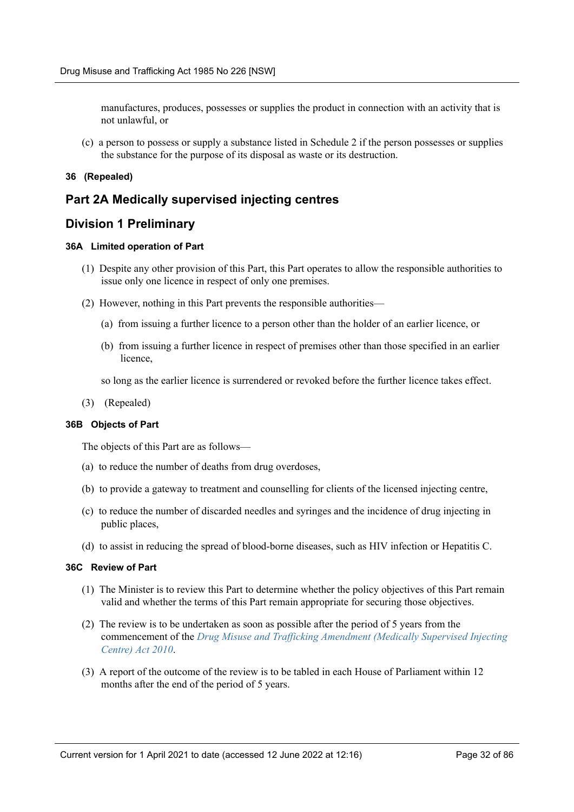manufactures, produces, possesses or supplies the product in connection with an activity that is not unlawful, or

(c) a person to possess or supply a substance listed in Schedule 2 if the person possesses or supplies the substance for the purpose of its disposal as waste or its destruction.

#### <span id="page-31-0"></span>**36 (Repealed)**

### <span id="page-31-1"></span>**Part 2A Medically supervised injecting centres**

### <span id="page-31-2"></span>**Division 1 Preliminary**

#### <span id="page-31-3"></span>**36A Limited operation of Part**

- (1) Despite any other provision of this Part, this Part operates to allow the responsible authorities to issue only one licence in respect of only one premises.
- (2) However, nothing in this Part prevents the responsible authorities—
	- (a) from issuing a further licence to a person other than the holder of an earlier licence, or
	- (b) from issuing a further licence in respect of premises other than those specified in an earlier licence,
	- so long as the earlier licence is surrendered or revoked before the further licence takes effect.
- (3) (Repealed)

#### <span id="page-31-4"></span>**36B Objects of Part**

The objects of this Part are as follows—

- (a) to reduce the number of deaths from drug overdoses,
- (b) to provide a gateway to treatment and counselling for clients of the licensed injecting centre,
- (c) to reduce the number of discarded needles and syringes and the incidence of drug injecting in public places,
- (d) to assist in reducing the spread of blood-borne diseases, such as HIV infection or Hepatitis C.

#### <span id="page-31-5"></span>**36C Review of Part**

- (1) The Minister is to review this Part to determine whether the policy objectives of this Part remain valid and whether the terms of this Part remain appropriate for securing those objectives.
- (2) The review is to be undertaken as soon as possible after the period of 5 years from the commencement of the *[Drug Misuse and Trafficking Amendment \(Medically Supervised Injecting](https://legacy.legislation.nsw.gov.au/*/view/act/2010/81) [Centre\) Act 2010](https://legacy.legislation.nsw.gov.au/*/view/act/2010/81)*.
- (3) A report of the outcome of the review is to be tabled in each House of Parliament within 12 months after the end of the period of 5 years.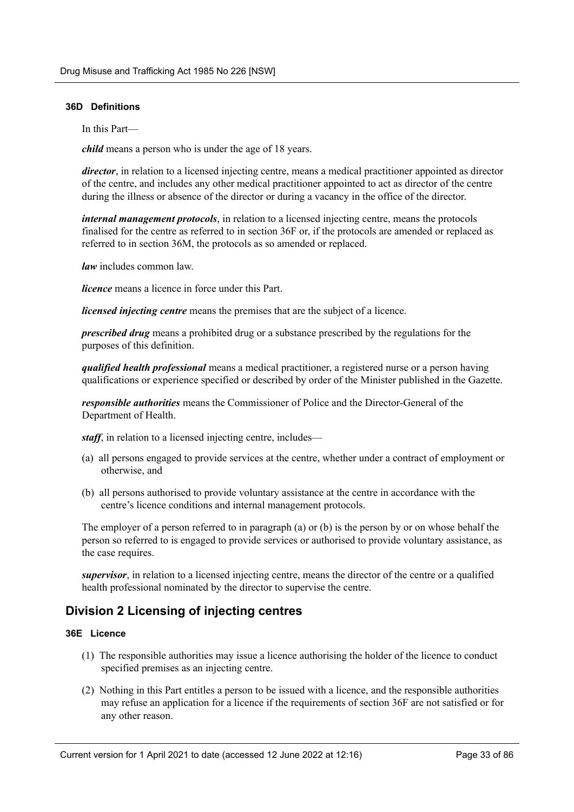#### <span id="page-32-0"></span>**36D Definitions**

In this Part—

*child* means a person who is under the age of 18 years.

*director*, in relation to a licensed injecting centre, means a medical practitioner appointed as director of the centre, and includes any other medical practitioner appointed to act as director of the centre during the illness or absence of the director or during a vacancy in the office of the director.

*internal management protocols*, in relation to a licensed injecting centre, means the protocols finalised for the centre as referred to in section 36F or, if the protocols are amended or replaced as referred to in section 36M, the protocols as so amended or replaced.

*law* includes common law.

*licence* means a licence in force under this Part.

*licensed injecting centre* means the premises that are the subject of a licence.

*prescribed drug* means a prohibited drug or a substance prescribed by the regulations for the purposes of this definition.

*qualified health professional* means a medical practitioner, a registered nurse or a person having qualifications or experience specified or described by order of the Minister published in the Gazette.

*responsible authorities* means the Commissioner of Police and the Director-General of the Department of Health.

*staff*, in relation to a licensed injecting centre, includes—

- (a) all persons engaged to provide services at the centre, whether under a contract of employment or otherwise, and
- (b) all persons authorised to provide voluntary assistance at the centre in accordance with the centre's licence conditions and internal management protocols.

The employer of a person referred to in paragraph (a) or (b) is the person by or on whose behalf the person so referred to is engaged to provide services or authorised to provide voluntary assistance, as the case requires.

*supervisor*, in relation to a licensed injecting centre, means the director of the centre or a qualified health professional nominated by the director to supervise the centre.

## <span id="page-32-1"></span>**Division 2 Licensing of injecting centres**

#### <span id="page-32-2"></span>**36E Licence**

- (1) The responsible authorities may issue a licence authorising the holder of the licence to conduct specified premises as an injecting centre.
- (2) Nothing in this Part entitles a person to be issued with a licence, and the responsible authorities may refuse an application for a licence if the requirements of section 36F are not satisfied or for any other reason.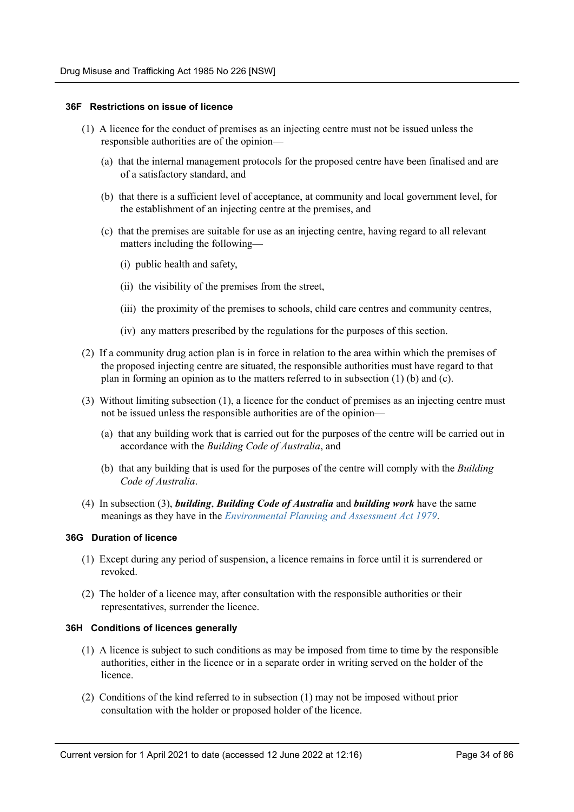#### <span id="page-33-0"></span>**36F Restrictions on issue of licence**

- (1) A licence for the conduct of premises as an injecting centre must not be issued unless the responsible authorities are of the opinion—
	- (a) that the internal management protocols for the proposed centre have been finalised and are of a satisfactory standard, and
	- (b) that there is a sufficient level of acceptance, at community and local government level, for the establishment of an injecting centre at the premises, and
	- (c) that the premises are suitable for use as an injecting centre, having regard to all relevant matters including the following—
		- (i) public health and safety,
		- (ii) the visibility of the premises from the street,
		- (iii) the proximity of the premises to schools, child care centres and community centres,
		- (iv) any matters prescribed by the regulations for the purposes of this section.
- (2) If a community drug action plan is in force in relation to the area within which the premises of the proposed injecting centre are situated, the responsible authorities must have regard to that plan in forming an opinion as to the matters referred to in subsection (1) (b) and (c).
- (3) Without limiting subsection (1), a licence for the conduct of premises as an injecting centre must not be issued unless the responsible authorities are of the opinion—
	- (a) that any building work that is carried out for the purposes of the centre will be carried out in accordance with the *Building Code of Australia*, and
	- (b) that any building that is used for the purposes of the centre will comply with the *Building Code of Australia*.
- (4) In subsection (3), *building*, *Building Code of Australia* and *building work* have the same meanings as they have in the *[Environmental Planning and Assessment Act 1979](https://legacy.legislation.nsw.gov.au/*/view/act/1979/203)*.

#### <span id="page-33-1"></span>**36G Duration of licence**

- (1) Except during any period of suspension, a licence remains in force until it is surrendered or revoked.
- (2) The holder of a licence may, after consultation with the responsible authorities or their representatives, surrender the licence.

#### <span id="page-33-2"></span>**36H Conditions of licences generally**

- (1) A licence is subject to such conditions as may be imposed from time to time by the responsible authorities, either in the licence or in a separate order in writing served on the holder of the licence.
- (2) Conditions of the kind referred to in subsection (1) may not be imposed without prior consultation with the holder or proposed holder of the licence.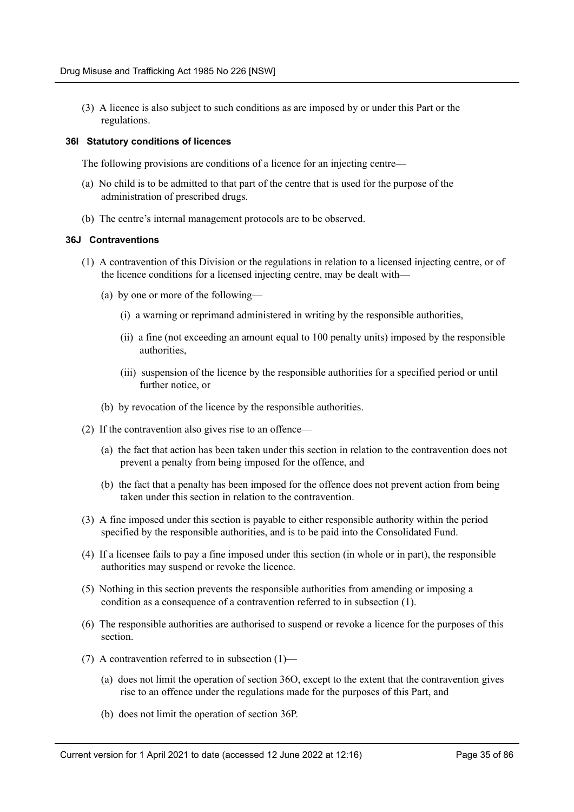(3) A licence is also subject to such conditions as are imposed by or under this Part or the regulations.

#### <span id="page-34-0"></span>**36I Statutory conditions of licences**

The following provisions are conditions of a licence for an injecting centre—

- (a) No child is to be admitted to that part of the centre that is used for the purpose of the administration of prescribed drugs.
- (b) The centre's internal management protocols are to be observed.

#### <span id="page-34-1"></span>**36J Contraventions**

- (1) A contravention of this Division or the regulations in relation to a licensed injecting centre, or of the licence conditions for a licensed injecting centre, may be dealt with—
	- (a) by one or more of the following—
		- (i) a warning or reprimand administered in writing by the responsible authorities,
		- (ii) a fine (not exceeding an amount equal to 100 penalty units) imposed by the responsible authorities,
		- (iii) suspension of the licence by the responsible authorities for a specified period or until further notice, or
	- (b) by revocation of the licence by the responsible authorities.
- (2) If the contravention also gives rise to an offence—
	- (a) the fact that action has been taken under this section in relation to the contravention does not prevent a penalty from being imposed for the offence, and
	- (b) the fact that a penalty has been imposed for the offence does not prevent action from being taken under this section in relation to the contravention.
- (3) A fine imposed under this section is payable to either responsible authority within the period specified by the responsible authorities, and is to be paid into the Consolidated Fund.
- (4) If a licensee fails to pay a fine imposed under this section (in whole or in part), the responsible authorities may suspend or revoke the licence.
- (5) Nothing in this section prevents the responsible authorities from amending or imposing a condition as a consequence of a contravention referred to in subsection (1).
- (6) The responsible authorities are authorised to suspend or revoke a licence for the purposes of this section.
- (7) A contravention referred to in subsection (1)—
	- (a) does not limit the operation of section 36O, except to the extent that the contravention gives rise to an offence under the regulations made for the purposes of this Part, and
	- (b) does not limit the operation of section 36P.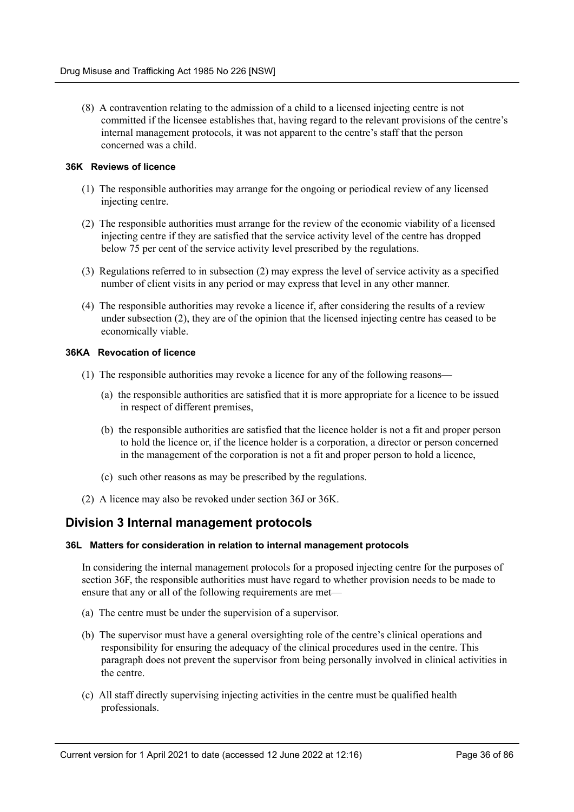(8) A contravention relating to the admission of a child to a licensed injecting centre is not committed if the licensee establishes that, having regard to the relevant provisions of the centre's internal management protocols, it was not apparent to the centre's staff that the person concerned was a child.

#### <span id="page-35-0"></span>**36K Reviews of licence**

- (1) The responsible authorities may arrange for the ongoing or periodical review of any licensed injecting centre.
- (2) The responsible authorities must arrange for the review of the economic viability of a licensed injecting centre if they are satisfied that the service activity level of the centre has dropped below 75 per cent of the service activity level prescribed by the regulations.
- (3) Regulations referred to in subsection (2) may express the level of service activity as a specified number of client visits in any period or may express that level in any other manner.
- (4) The responsible authorities may revoke a licence if, after considering the results of a review under subsection (2), they are of the opinion that the licensed injecting centre has ceased to be economically viable.

#### <span id="page-35-1"></span>**36KA Revocation of licence**

- (1) The responsible authorities may revoke a licence for any of the following reasons—
	- (a) the responsible authorities are satisfied that it is more appropriate for a licence to be issued in respect of different premises,
	- (b) the responsible authorities are satisfied that the licence holder is not a fit and proper person to hold the licence or, if the licence holder is a corporation, a director or person concerned in the management of the corporation is not a fit and proper person to hold a licence,
	- (c) such other reasons as may be prescribed by the regulations.
- (2) A licence may also be revoked under section 36J or 36K.

## <span id="page-35-2"></span>**Division 3 Internal management protocols**

#### <span id="page-35-3"></span>**36L Matters for consideration in relation to internal management protocols**

In considering the internal management protocols for a proposed injecting centre for the purposes of section 36F, the responsible authorities must have regard to whether provision needs to be made to ensure that any or all of the following requirements are met—

- (a) The centre must be under the supervision of a supervisor.
- (b) The supervisor must have a general oversighting role of the centre's clinical operations and responsibility for ensuring the adequacy of the clinical procedures used in the centre. This paragraph does not prevent the supervisor from being personally involved in clinical activities in the centre.
- (c) All staff directly supervising injecting activities in the centre must be qualified health professionals.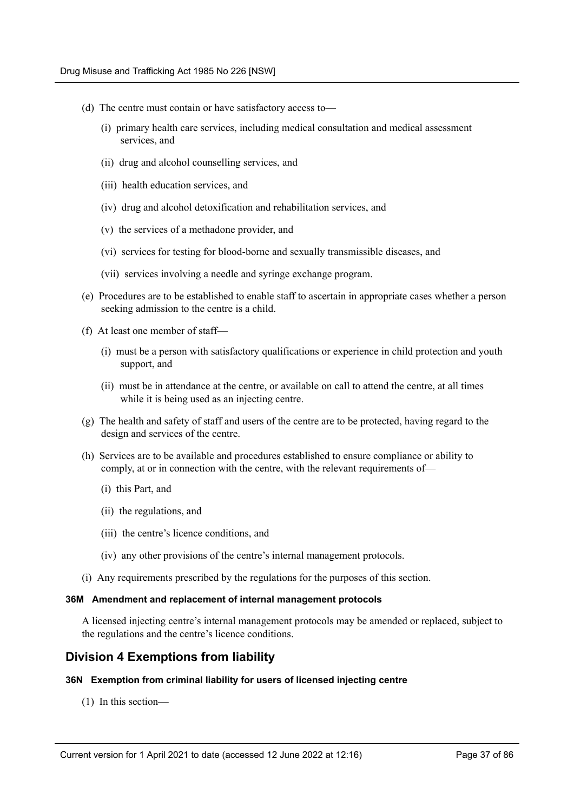- (d) The centre must contain or have satisfactory access to—
	- (i) primary health care services, including medical consultation and medical assessment services, and
	- (ii) drug and alcohol counselling services, and
	- (iii) health education services, and
	- (iv) drug and alcohol detoxification and rehabilitation services, and
	- (v) the services of a methadone provider, and
	- (vi) services for testing for blood-borne and sexually transmissible diseases, and
	- (vii) services involving a needle and syringe exchange program.
- (e) Procedures are to be established to enable staff to ascertain in appropriate cases whether a person seeking admission to the centre is a child.
- (f) At least one member of staff—
	- (i) must be a person with satisfactory qualifications or experience in child protection and youth support, and
	- (ii) must be in attendance at the centre, or available on call to attend the centre, at all times while it is being used as an injecting centre.
- (g) The health and safety of staff and users of the centre are to be protected, having regard to the design and services of the centre.
- (h) Services are to be available and procedures established to ensure compliance or ability to comply, at or in connection with the centre, with the relevant requirements of—
	- (i) this Part, and
	- (ii) the regulations, and
	- (iii) the centre's licence conditions, and
	- (iv) any other provisions of the centre's internal management protocols.
- (i) Any requirements prescribed by the regulations for the purposes of this section.

#### **36M Amendment and replacement of internal management protocols**

A licensed injecting centre's internal management protocols may be amended or replaced, subject to the regulations and the centre's licence conditions.

# **Division 4 Exemptions from liability**

## **36N Exemption from criminal liability for users of licensed injecting centre**

(1) In this section—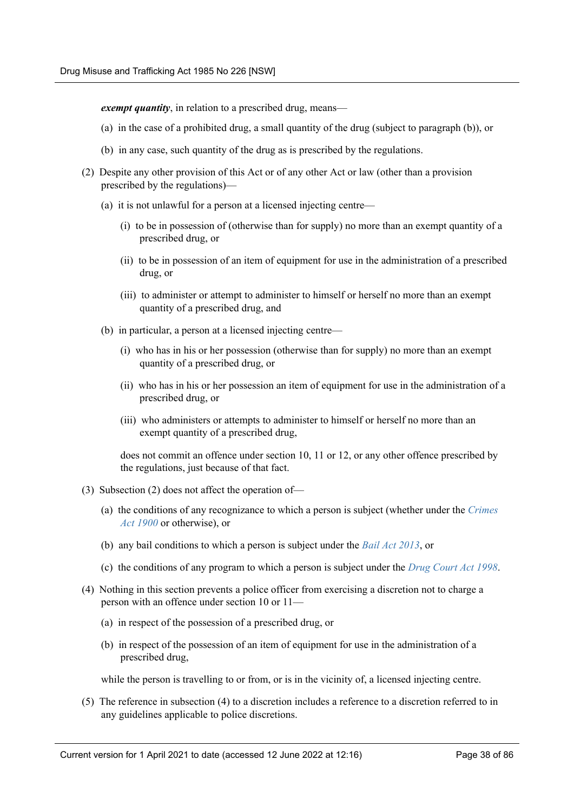*exempt quantity*, in relation to a prescribed drug, means—

- (a) in the case of a prohibited drug, a small quantity of the drug (subject to paragraph (b)), or
- (b) in any case, such quantity of the drug as is prescribed by the regulations.
- (2) Despite any other provision of this Act or of any other Act or law (other than a provision prescribed by the regulations)—
	- (a) it is not unlawful for a person at a licensed injecting centre—
		- (i) to be in possession of (otherwise than for supply) no more than an exempt quantity of a prescribed drug, or
		- (ii) to be in possession of an item of equipment for use in the administration of a prescribed drug, or
		- (iii) to administer or attempt to administer to himself or herself no more than an exempt quantity of a prescribed drug, and
	- (b) in particular, a person at a licensed injecting centre—
		- (i) who has in his or her possession (otherwise than for supply) no more than an exempt quantity of a prescribed drug, or
		- (ii) who has in his or her possession an item of equipment for use in the administration of a prescribed drug, or
		- (iii) who administers or attempts to administer to himself or herself no more than an exempt quantity of a prescribed drug,

does not commit an offence under section 10, 11 or 12, or any other offence prescribed by the regulations, just because of that fact.

- (3) Subsection (2) does not affect the operation of—
	- (a) the conditions of any recognizance to which a person is subject (whether under the *[Crimes](https://legacy.legislation.nsw.gov.au/*/view/act/1900/40) [Act 1900](https://legacy.legislation.nsw.gov.au/*/view/act/1900/40)* or otherwise), or
	- (b) any bail conditions to which a person is subject under the *[Bail Act 2013](https://legacy.legislation.nsw.gov.au/*/view/act/2013/26)*, or
	- (c) the conditions of any program to which a person is subject under the *[Drug Court Act 1998](https://legacy.legislation.nsw.gov.au/*/view/act/1998/150)*.
- (4) Nothing in this section prevents a police officer from exercising a discretion not to charge a person with an offence under section 10 or 11—
	- (a) in respect of the possession of a prescribed drug, or
	- (b) in respect of the possession of an item of equipment for use in the administration of a prescribed drug,

while the person is travelling to or from, or is in the vicinity of, a licensed injecting centre.

(5) The reference in subsection (4) to a discretion includes a reference to a discretion referred to in any guidelines applicable to police discretions.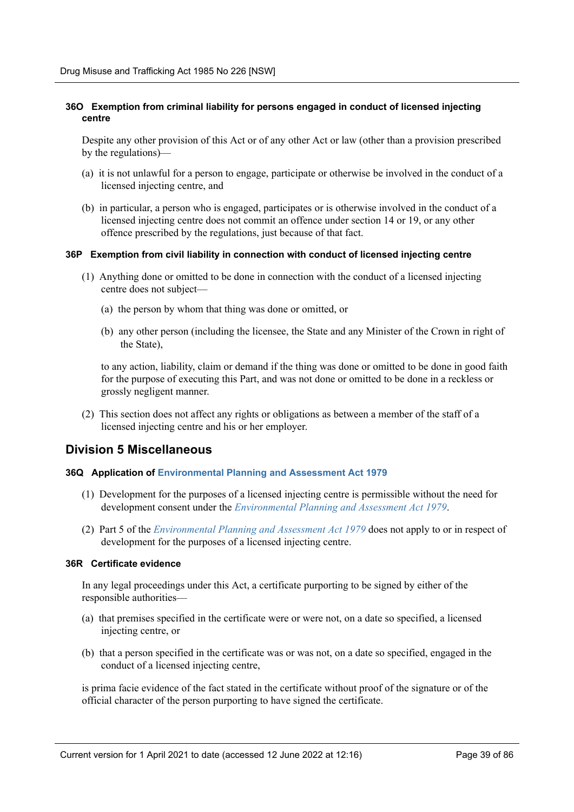# **36O Exemption from criminal liability for persons engaged in conduct of licensed injecting centre**

Despite any other provision of this Act or of any other Act or law (other than a provision prescribed by the regulations)—

- (a) it is not unlawful for a person to engage, participate or otherwise be involved in the conduct of a licensed injecting centre, and
- (b) in particular, a person who is engaged, participates or is otherwise involved in the conduct of a licensed injecting centre does not commit an offence under section 14 or 19, or any other offence prescribed by the regulations, just because of that fact.

#### **36P Exemption from civil liability in connection with conduct of licensed injecting centre**

- (1) Anything done or omitted to be done in connection with the conduct of a licensed injecting centre does not subject—
	- (a) the person by whom that thing was done or omitted, or
	- (b) any other person (including the licensee, the State and any Minister of the Crown in right of the State),

to any action, liability, claim or demand if the thing was done or omitted to be done in good faith for the purpose of executing this Part, and was not done or omitted to be done in a reckless or grossly negligent manner.

(2) This section does not affect any rights or obligations as between a member of the staff of a licensed injecting centre and his or her employer.

# **Division 5 Miscellaneous**

## **36Q Application of [Environmental Planning and Assessment Act 1979](https://legacy.legislation.nsw.gov.au/*/view/act/1979/203)**

- (1) Development for the purposes of a licensed injecting centre is permissible without the need for development consent under the *[Environmental Planning and Assessment Act 1979](https://legacy.legislation.nsw.gov.au/*/view/act/1979/203)*.
- (2) Part 5 of the *[Environmental Planning and Assessment Act 1979](https://legacy.legislation.nsw.gov.au/*/view/act/1979/203)* does not apply to or in respect of development for the purposes of a licensed injecting centre.

## **36R Certificate evidence**

In any legal proceedings under this Act, a certificate purporting to be signed by either of the responsible authorities—

- (a) that premises specified in the certificate were or were not, on a date so specified, a licensed injecting centre, or
- (b) that a person specified in the certificate was or was not, on a date so specified, engaged in the conduct of a licensed injecting centre,

is prima facie evidence of the fact stated in the certificate without proof of the signature or of the official character of the person purporting to have signed the certificate.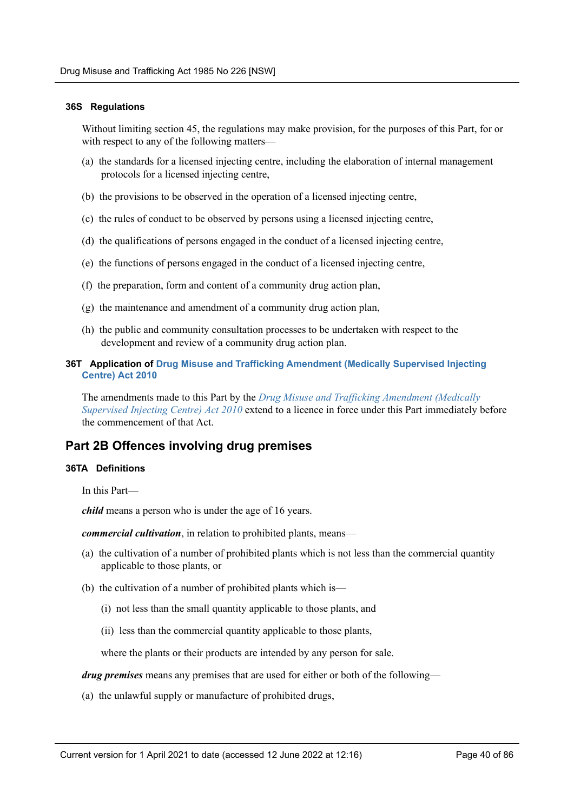### **36S Regulations**

Without limiting section 45, the regulations may make provision, for the purposes of this Part, for or with respect to any of the following matters—

- (a) the standards for a licensed injecting centre, including the elaboration of internal management protocols for a licensed injecting centre,
- (b) the provisions to be observed in the operation of a licensed injecting centre,
- (c) the rules of conduct to be observed by persons using a licensed injecting centre,
- (d) the qualifications of persons engaged in the conduct of a licensed injecting centre,
- (e) the functions of persons engaged in the conduct of a licensed injecting centre,
- (f) the preparation, form and content of a community drug action plan,
- (g) the maintenance and amendment of a community drug action plan,
- (h) the public and community consultation processes to be undertaken with respect to the development and review of a community drug action plan.

## **36T Application of [Drug Misuse and Trafficking Amendment \(Medically Supervised Injecting](https://legacy.legislation.nsw.gov.au/*/view/act/2010/81) [Centre\) Act 2010](https://legacy.legislation.nsw.gov.au/*/view/act/2010/81)**

The amendments made to this Part by the *[Drug Misuse and Trafficking Amendment \(Medically](https://legacy.legislation.nsw.gov.au/*/view/act/2010/81) [Supervised Injecting Centre\) Act 2010](https://legacy.legislation.nsw.gov.au/*/view/act/2010/81)* extend to a licence in force under this Part immediately before the commencement of that Act.

# **Part 2B Offences involving drug premises**

## **36TA Definitions**

In this Part—

*child* means a person who is under the age of 16 years.

*commercial cultivation*, in relation to prohibited plants, means—

- (a) the cultivation of a number of prohibited plants which is not less than the commercial quantity applicable to those plants, or
- (b) the cultivation of a number of prohibited plants which is—
	- (i) not less than the small quantity applicable to those plants, and
	- (ii) less than the commercial quantity applicable to those plants,

where the plants or their products are intended by any person for sale.

*drug premises* means any premises that are used for either or both of the following—

(a) the unlawful supply or manufacture of prohibited drugs,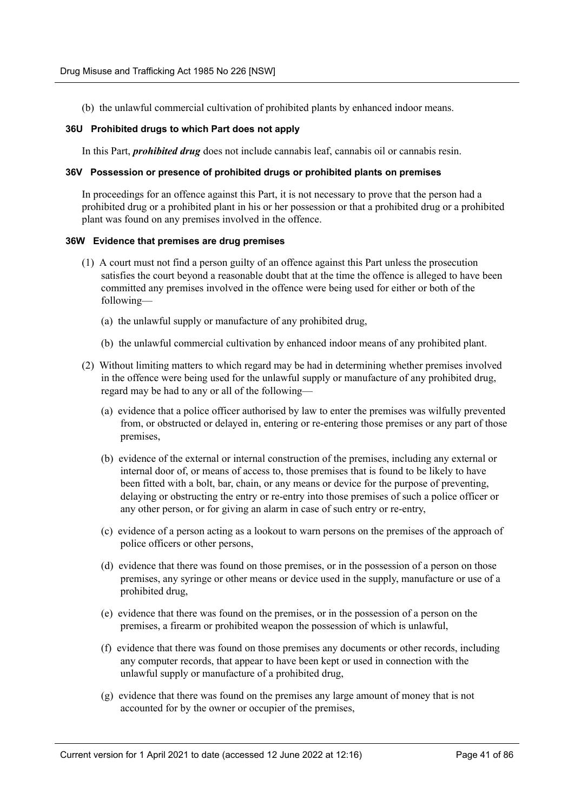(b) the unlawful commercial cultivation of prohibited plants by enhanced indoor means.

### **36U Prohibited drugs to which Part does not apply**

In this Part, *prohibited drug* does not include cannabis leaf, cannabis oil or cannabis resin.

#### **36V Possession or presence of prohibited drugs or prohibited plants on premises**

In proceedings for an offence against this Part, it is not necessary to prove that the person had a prohibited drug or a prohibited plant in his or her possession or that a prohibited drug or a prohibited plant was found on any premises involved in the offence.

#### **36W Evidence that premises are drug premises**

- (1) A court must not find a person guilty of an offence against this Part unless the prosecution satisfies the court beyond a reasonable doubt that at the time the offence is alleged to have been committed any premises involved in the offence were being used for either or both of the following—
	- (a) the unlawful supply or manufacture of any prohibited drug,
	- (b) the unlawful commercial cultivation by enhanced indoor means of any prohibited plant.
- (2) Without limiting matters to which regard may be had in determining whether premises involved in the offence were being used for the unlawful supply or manufacture of any prohibited drug, regard may be had to any or all of the following—
	- (a) evidence that a police officer authorised by law to enter the premises was wilfully prevented from, or obstructed or delayed in, entering or re-entering those premises or any part of those premises,
	- (b) evidence of the external or internal construction of the premises, including any external or internal door of, or means of access to, those premises that is found to be likely to have been fitted with a bolt, bar, chain, or any means or device for the purpose of preventing, delaying or obstructing the entry or re-entry into those premises of such a police officer or any other person, or for giving an alarm in case of such entry or re-entry,
	- (c) evidence of a person acting as a lookout to warn persons on the premises of the approach of police officers or other persons,
	- (d) evidence that there was found on those premises, or in the possession of a person on those premises, any syringe or other means or device used in the supply, manufacture or use of a prohibited drug,
	- (e) evidence that there was found on the premises, or in the possession of a person on the premises, a firearm or prohibited weapon the possession of which is unlawful,
	- (f) evidence that there was found on those premises any documents or other records, including any computer records, that appear to have been kept or used in connection with the unlawful supply or manufacture of a prohibited drug,
	- (g) evidence that there was found on the premises any large amount of money that is not accounted for by the owner or occupier of the premises,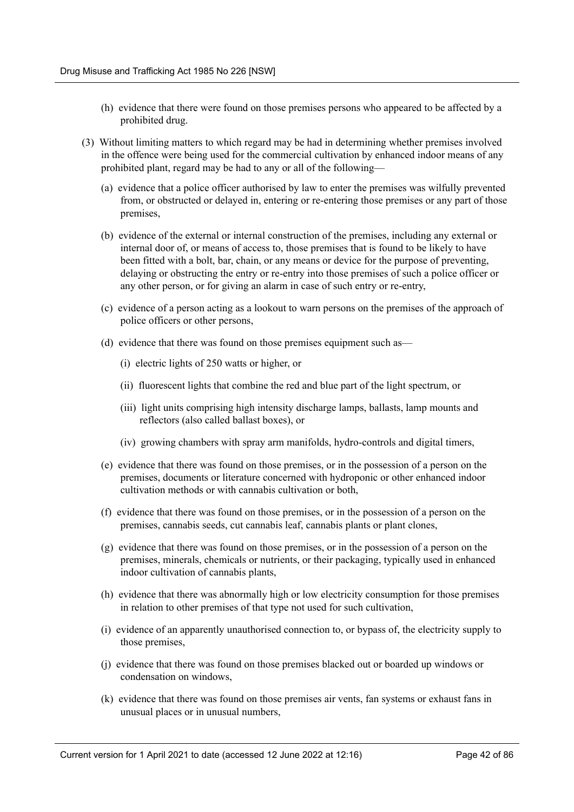- (h) evidence that there were found on those premises persons who appeared to be affected by a prohibited drug.
- (3) Without limiting matters to which regard may be had in determining whether premises involved in the offence were being used for the commercial cultivation by enhanced indoor means of any prohibited plant, regard may be had to any or all of the following—
	- (a) evidence that a police officer authorised by law to enter the premises was wilfully prevented from, or obstructed or delayed in, entering or re-entering those premises or any part of those premises,
	- (b) evidence of the external or internal construction of the premises, including any external or internal door of, or means of access to, those premises that is found to be likely to have been fitted with a bolt, bar, chain, or any means or device for the purpose of preventing, delaying or obstructing the entry or re-entry into those premises of such a police officer or any other person, or for giving an alarm in case of such entry or re-entry,
	- (c) evidence of a person acting as a lookout to warn persons on the premises of the approach of police officers or other persons,
	- (d) evidence that there was found on those premises equipment such as—
		- (i) electric lights of 250 watts or higher, or
		- (ii) fluorescent lights that combine the red and blue part of the light spectrum, or
		- (iii) light units comprising high intensity discharge lamps, ballasts, lamp mounts and reflectors (also called ballast boxes), or
		- (iv) growing chambers with spray arm manifolds, hydro-controls and digital timers,
	- (e) evidence that there was found on those premises, or in the possession of a person on the premises, documents or literature concerned with hydroponic or other enhanced indoor cultivation methods or with cannabis cultivation or both,
	- (f) evidence that there was found on those premises, or in the possession of a person on the premises, cannabis seeds, cut cannabis leaf, cannabis plants or plant clones,
	- (g) evidence that there was found on those premises, or in the possession of a person on the premises, minerals, chemicals or nutrients, or their packaging, typically used in enhanced indoor cultivation of cannabis plants,
	- (h) evidence that there was abnormally high or low electricity consumption for those premises in relation to other premises of that type not used for such cultivation,
	- (i) evidence of an apparently unauthorised connection to, or bypass of, the electricity supply to those premises,
	- (j) evidence that there was found on those premises blacked out or boarded up windows or condensation on windows,
	- (k) evidence that there was found on those premises air vents, fan systems or exhaust fans in unusual places or in unusual numbers,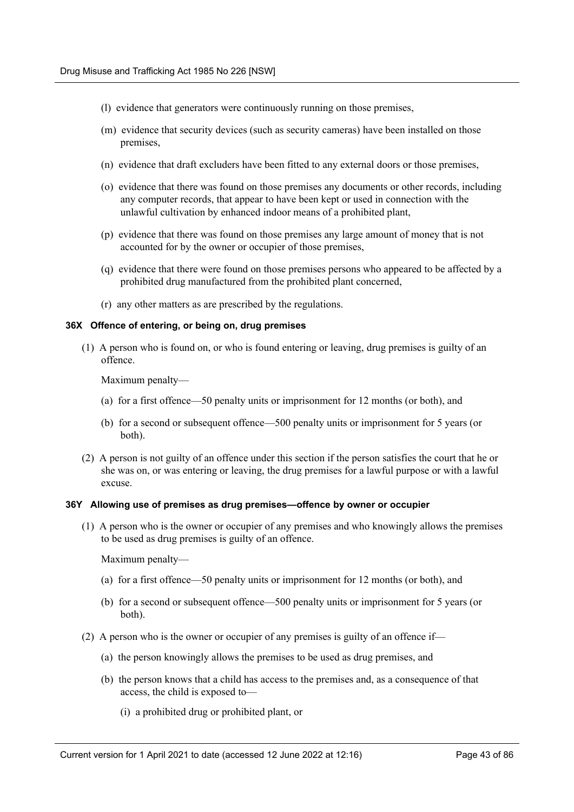- (l) evidence that generators were continuously running on those premises,
- (m) evidence that security devices (such as security cameras) have been installed on those premises,
- (n) evidence that draft excluders have been fitted to any external doors or those premises,
- (o) evidence that there was found on those premises any documents or other records, including any computer records, that appear to have been kept or used in connection with the unlawful cultivation by enhanced indoor means of a prohibited plant,
- (p) evidence that there was found on those premises any large amount of money that is not accounted for by the owner or occupier of those premises,
- (q) evidence that there were found on those premises persons who appeared to be affected by a prohibited drug manufactured from the prohibited plant concerned,
- (r) any other matters as are prescribed by the regulations.

## **36X Offence of entering, or being on, drug premises**

(1) A person who is found on, or who is found entering or leaving, drug premises is guilty of an offence.

Maximum penalty—

- (a) for a first offence—50 penalty units or imprisonment for 12 months (or both), and
- (b) for a second or subsequent offence—500 penalty units or imprisonment for 5 years (or both).
- (2) A person is not guilty of an offence under this section if the person satisfies the court that he or she was on, or was entering or leaving, the drug premises for a lawful purpose or with a lawful excuse.

#### **36Y Allowing use of premises as drug premises—offence by owner or occupier**

(1) A person who is the owner or occupier of any premises and who knowingly allows the premises to be used as drug premises is guilty of an offence.

Maximum penalty—

- (a) for a first offence—50 penalty units or imprisonment for 12 months (or both), and
- (b) for a second or subsequent offence—500 penalty units or imprisonment for 5 years (or both).
- (2) A person who is the owner or occupier of any premises is guilty of an offence if—
	- (a) the person knowingly allows the premises to be used as drug premises, and
	- (b) the person knows that a child has access to the premises and, as a consequence of that access, the child is exposed to—
		- (i) a prohibited drug or prohibited plant, or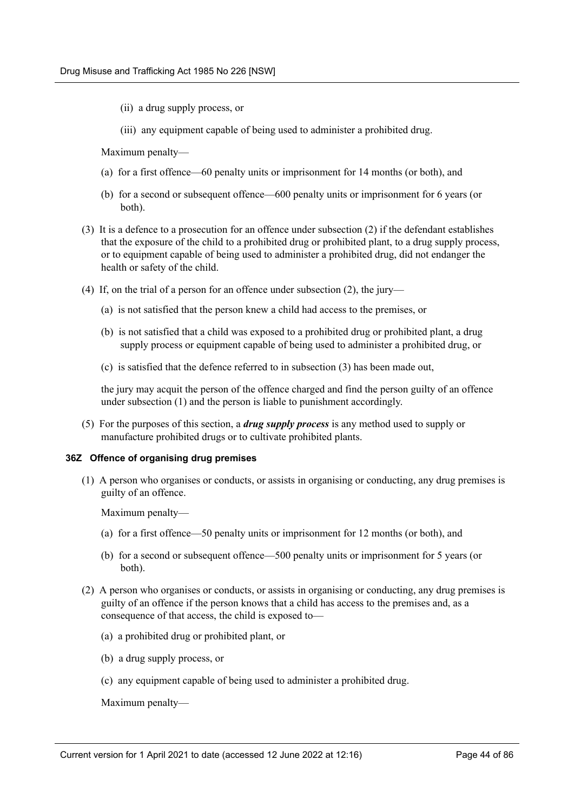- (ii) a drug supply process, or
- (iii) any equipment capable of being used to administer a prohibited drug.

Maximum penalty—

- (a) for a first offence—60 penalty units or imprisonment for 14 months (or both), and
- (b) for a second or subsequent offence—600 penalty units or imprisonment for 6 years (or both).
- (3) It is a defence to a prosecution for an offence under subsection (2) if the defendant establishes that the exposure of the child to a prohibited drug or prohibited plant, to a drug supply process, or to equipment capable of being used to administer a prohibited drug, did not endanger the health or safety of the child.
- (4) If, on the trial of a person for an offence under subsection (2), the jury—
	- (a) is not satisfied that the person knew a child had access to the premises, or
	- (b) is not satisfied that a child was exposed to a prohibited drug or prohibited plant, a drug supply process or equipment capable of being used to administer a prohibited drug, or
	- (c) is satisfied that the defence referred to in subsection (3) has been made out,

the jury may acquit the person of the offence charged and find the person guilty of an offence under subsection (1) and the person is liable to punishment accordingly.

(5) For the purposes of this section, a *drug supply process* is any method used to supply or manufacture prohibited drugs or to cultivate prohibited plants.

#### **36Z Offence of organising drug premises**

(1) A person who organises or conducts, or assists in organising or conducting, any drug premises is guilty of an offence.

Maximum penalty—

- (a) for a first offence—50 penalty units or imprisonment for 12 months (or both), and
- (b) for a second or subsequent offence—500 penalty units or imprisonment for 5 years (or both).
- (2) A person who organises or conducts, or assists in organising or conducting, any drug premises is guilty of an offence if the person knows that a child has access to the premises and, as a consequence of that access, the child is exposed to—
	- (a) a prohibited drug or prohibited plant, or
	- (b) a drug supply process, or
	- (c) any equipment capable of being used to administer a prohibited drug.

Maximum penalty—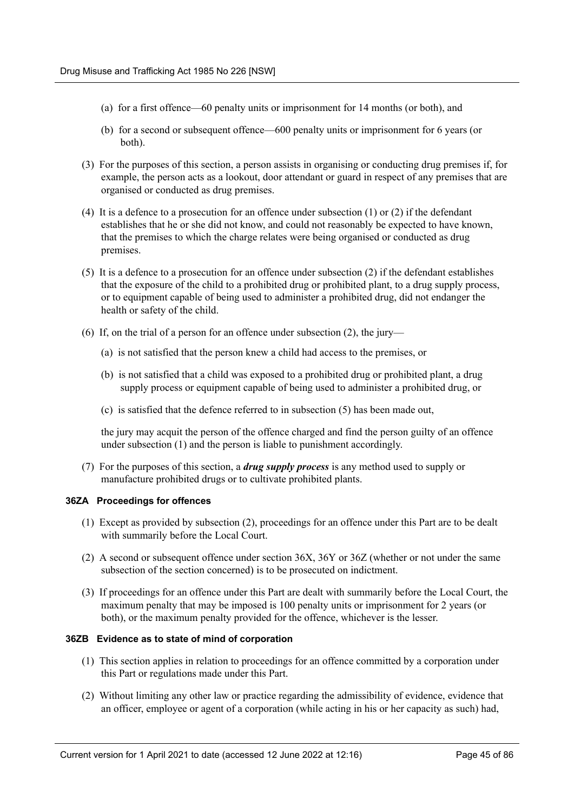- (a) for a first offence—60 penalty units or imprisonment for 14 months (or both), and
- (b) for a second or subsequent offence—600 penalty units or imprisonment for 6 years (or both).
- (3) For the purposes of this section, a person assists in organising or conducting drug premises if, for example, the person acts as a lookout, door attendant or guard in respect of any premises that are organised or conducted as drug premises.
- (4) It is a defence to a prosecution for an offence under subsection (1) or (2) if the defendant establishes that he or she did not know, and could not reasonably be expected to have known, that the premises to which the charge relates were being organised or conducted as drug premises.
- (5) It is a defence to a prosecution for an offence under subsection (2) if the defendant establishes that the exposure of the child to a prohibited drug or prohibited plant, to a drug supply process, or to equipment capable of being used to administer a prohibited drug, did not endanger the health or safety of the child.
- (6) If, on the trial of a person for an offence under subsection (2), the jury—
	- (a) is not satisfied that the person knew a child had access to the premises, or
	- (b) is not satisfied that a child was exposed to a prohibited drug or prohibited plant, a drug supply process or equipment capable of being used to administer a prohibited drug, or
	- (c) is satisfied that the defence referred to in subsection (5) has been made out,

the jury may acquit the person of the offence charged and find the person guilty of an offence under subsection (1) and the person is liable to punishment accordingly.

(7) For the purposes of this section, a *drug supply process* is any method used to supply or manufacture prohibited drugs or to cultivate prohibited plants.

#### **36ZA Proceedings for offences**

- (1) Except as provided by subsection (2), proceedings for an offence under this Part are to be dealt with summarily before the Local Court.
- (2) A second or subsequent offence under section 36X, 36Y or 36Z (whether or not under the same subsection of the section concerned) is to be prosecuted on indictment.
- (3) If proceedings for an offence under this Part are dealt with summarily before the Local Court, the maximum penalty that may be imposed is 100 penalty units or imprisonment for 2 years (or both), or the maximum penalty provided for the offence, whichever is the lesser.

# **36ZB Evidence as to state of mind of corporation**

- (1) This section applies in relation to proceedings for an offence committed by a corporation under this Part or regulations made under this Part.
- (2) Without limiting any other law or practice regarding the admissibility of evidence, evidence that an officer, employee or agent of a corporation (while acting in his or her capacity as such) had,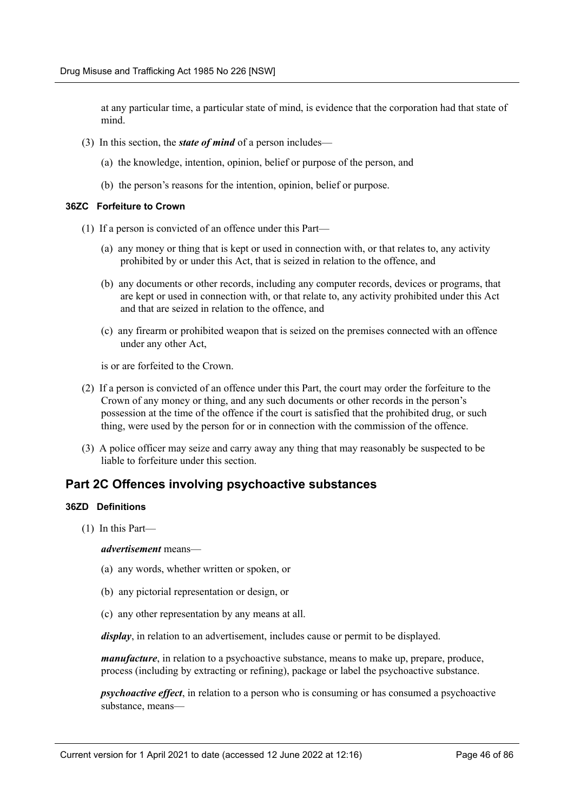at any particular time, a particular state of mind, is evidence that the corporation had that state of mind.

- (3) In this section, the *state of mind* of a person includes—
	- (a) the knowledge, intention, opinion, belief or purpose of the person, and
	- (b) the person's reasons for the intention, opinion, belief or purpose.

## **36ZC Forfeiture to Crown**

- (1) If a person is convicted of an offence under this Part—
	- (a) any money or thing that is kept or used in connection with, or that relates to, any activity prohibited by or under this Act, that is seized in relation to the offence, and
	- (b) any documents or other records, including any computer records, devices or programs, that are kept or used in connection with, or that relate to, any activity prohibited under this Act and that are seized in relation to the offence, and
	- (c) any firearm or prohibited weapon that is seized on the premises connected with an offence under any other Act,

is or are forfeited to the Crown.

- (2) If a person is convicted of an offence under this Part, the court may order the forfeiture to the Crown of any money or thing, and any such documents or other records in the person's possession at the time of the offence if the court is satisfied that the prohibited drug, or such thing, were used by the person for or in connection with the commission of the offence.
- (3) A police officer may seize and carry away any thing that may reasonably be suspected to be liable to forfeiture under this section.

# **Part 2C Offences involving psychoactive substances**

#### **36ZD Definitions**

(1) In this Part—

*advertisement* means—

- (a) any words, whether written or spoken, or
- (b) any pictorial representation or design, or
- (c) any other representation by any means at all.

*display*, in relation to an advertisement, includes cause or permit to be displayed.

*manufacture*, in relation to a psychoactive substance, means to make up, prepare, produce, process (including by extracting or refining), package or label the psychoactive substance.

*psychoactive effect*, in relation to a person who is consuming or has consumed a psychoactive substance, means—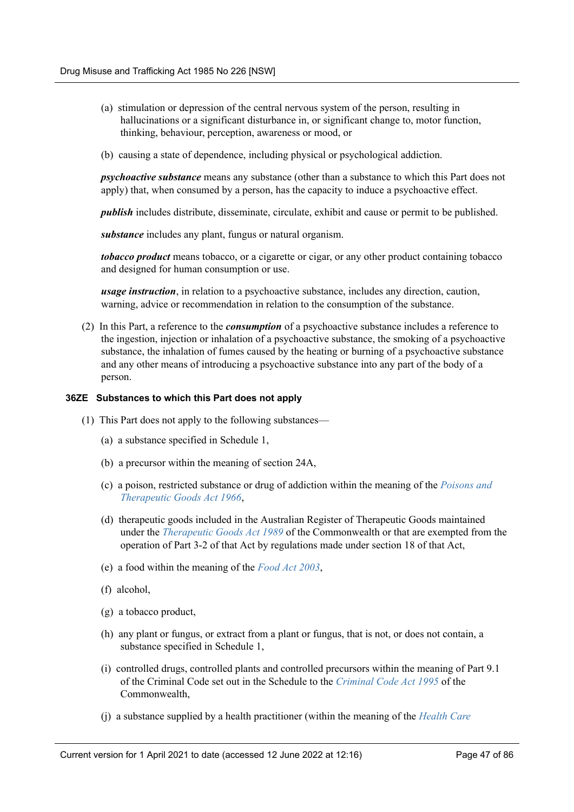- (a) stimulation or depression of the central nervous system of the person, resulting in hallucinations or a significant disturbance in, or significant change to, motor function, thinking, behaviour, perception, awareness or mood, or
- (b) causing a state of dependence, including physical or psychological addiction.

*psychoactive substance* means any substance (other than a substance to which this Part does not apply) that, when consumed by a person, has the capacity to induce a psychoactive effect.

*publish* includes distribute, disseminate, circulate, exhibit and cause or permit to be published.

*substance* includes any plant, fungus or natural organism.

*tobacco product* means tobacco, or a cigarette or cigar, or any other product containing tobacco and designed for human consumption or use.

*usage instruction*, in relation to a psychoactive substance, includes any direction, caution, warning, advice or recommendation in relation to the consumption of the substance.

(2) In this Part, a reference to the *consumption* of a psychoactive substance includes a reference to the ingestion, injection or inhalation of a psychoactive substance, the smoking of a psychoactive substance, the inhalation of fumes caused by the heating or burning of a psychoactive substance and any other means of introducing a psychoactive substance into any part of the body of a person.

## **36ZE Substances to which this Part does not apply**

- (1) This Part does not apply to the following substances—
	- (a) a substance specified in Schedule 1,
	- (b) a precursor within the meaning of section 24A,
	- (c) a poison, restricted substance or drug of addiction within the meaning of the *[Poisons and](https://legacy.legislation.nsw.gov.au/*/view/act/1966/31) [Therapeutic Goods Act 1966](https://legacy.legislation.nsw.gov.au/*/view/act/1966/31)*,
	- (d) therapeutic goods included in the Australian Register of Therapeutic Goods maintained under the *[Therapeutic Goods Act 1989](http://www.legislation.gov.au/)* of the Commonwealth or that are exempted from the operation of Part 3-2 of that Act by regulations made under section 18 of that Act,
	- (e) a food within the meaning of the *[Food Act 2003](https://legacy.legislation.nsw.gov.au/*/view/act/2003/43)*,
	- (f) alcohol,
	- (g) a tobacco product,
	- (h) any plant or fungus, or extract from a plant or fungus, that is not, or does not contain, a substance specified in Schedule 1,
	- (i) controlled drugs, controlled plants and controlled precursors within the meaning of Part 9.1 of the Criminal Code set out in the Schedule to the *[Criminal Code Act 1995](http://www.legislation.gov.au/)* of the Commonwealth,
	- (j) a substance supplied by a health practitioner (within the meaning of the *[Health Care](https://legacy.legislation.nsw.gov.au/*/view/act/1993/105)*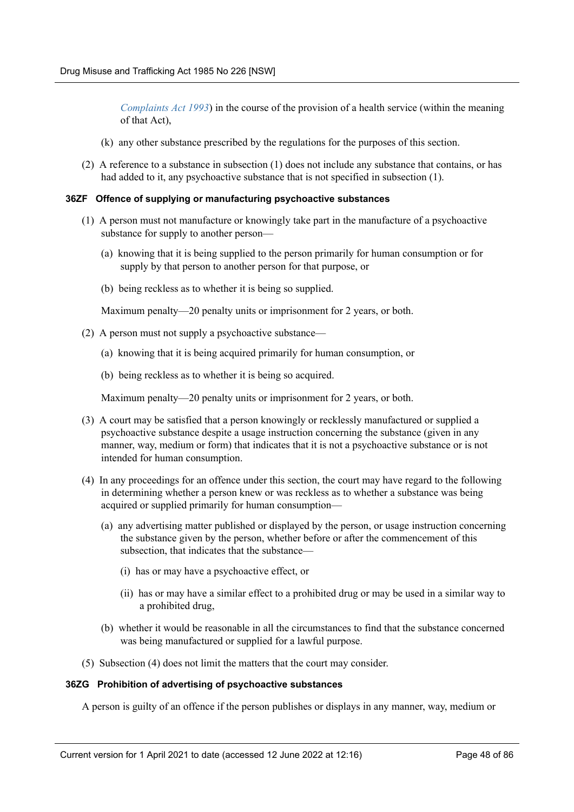*[Complaints Act 1993](https://legacy.legislation.nsw.gov.au/*/view/act/1993/105)*) in the course of the provision of a health service (within the meaning of that Act),

- (k) any other substance prescribed by the regulations for the purposes of this section.
- (2) A reference to a substance in subsection (1) does not include any substance that contains, or has had added to it, any psychoactive substance that is not specified in subsection (1).

#### **36ZF Offence of supplying or manufacturing psychoactive substances**

- (1) A person must not manufacture or knowingly take part in the manufacture of a psychoactive substance for supply to another person—
	- (a) knowing that it is being supplied to the person primarily for human consumption or for supply by that person to another person for that purpose, or
	- (b) being reckless as to whether it is being so supplied.

Maximum penalty—20 penalty units or imprisonment for 2 years, or both.

- (2) A person must not supply a psychoactive substance—
	- (a) knowing that it is being acquired primarily for human consumption, or
	- (b) being reckless as to whether it is being so acquired.

Maximum penalty—20 penalty units or imprisonment for 2 years, or both.

- (3) A court may be satisfied that a person knowingly or recklessly manufactured or supplied a psychoactive substance despite a usage instruction concerning the substance (given in any manner, way, medium or form) that indicates that it is not a psychoactive substance or is not intended for human consumption.
- (4) In any proceedings for an offence under this section, the court may have regard to the following in determining whether a person knew or was reckless as to whether a substance was being acquired or supplied primarily for human consumption—
	- (a) any advertising matter published or displayed by the person, or usage instruction concerning the substance given by the person, whether before or after the commencement of this subsection, that indicates that the substance—
		- (i) has or may have a psychoactive effect, or
		- (ii) has or may have a similar effect to a prohibited drug or may be used in a similar way to a prohibited drug,
	- (b) whether it would be reasonable in all the circumstances to find that the substance concerned was being manufactured or supplied for a lawful purpose.
- (5) Subsection (4) does not limit the matters that the court may consider.

#### **36ZG Prohibition of advertising of psychoactive substances**

A person is guilty of an offence if the person publishes or displays in any manner, way, medium or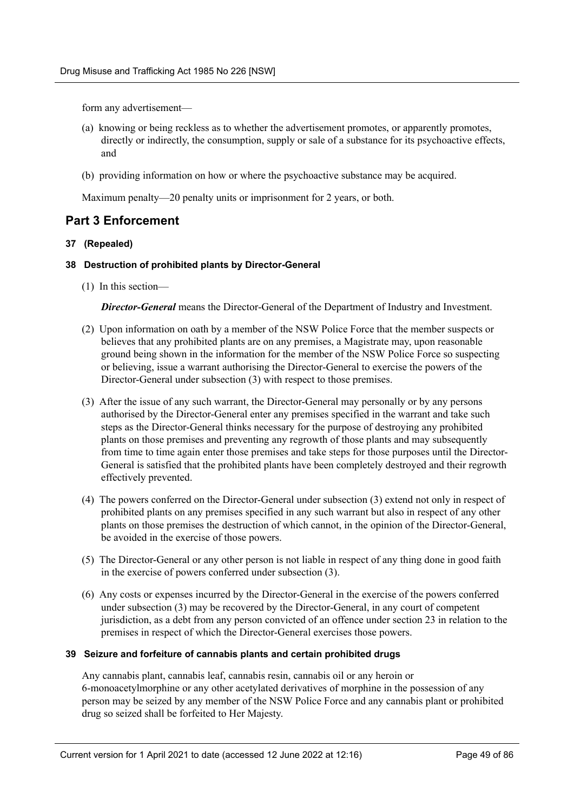form any advertisement—

- (a) knowing or being reckless as to whether the advertisement promotes, or apparently promotes, directly or indirectly, the consumption, supply or sale of a substance for its psychoactive effects, and
- (b) providing information on how or where the psychoactive substance may be acquired.

Maximum penalty—20 penalty units or imprisonment for 2 years, or both.

# **Part 3 Enforcement**

## **37 (Repealed)**

## **38 Destruction of prohibited plants by Director-General**

(1) In this section—

*Director-General* means the Director-General of the Department of Industry and Investment.

- (2) Upon information on oath by a member of the NSW Police Force that the member suspects or believes that any prohibited plants are on any premises, a Magistrate may, upon reasonable ground being shown in the information for the member of the NSW Police Force so suspecting or believing, issue a warrant authorising the Director-General to exercise the powers of the Director-General under subsection (3) with respect to those premises.
- (3) After the issue of any such warrant, the Director-General may personally or by any persons authorised by the Director-General enter any premises specified in the warrant and take such steps as the Director-General thinks necessary for the purpose of destroying any prohibited plants on those premises and preventing any regrowth of those plants and may subsequently from time to time again enter those premises and take steps for those purposes until the Director-General is satisfied that the prohibited plants have been completely destroyed and their regrowth effectively prevented.
- (4) The powers conferred on the Director-General under subsection (3) extend not only in respect of prohibited plants on any premises specified in any such warrant but also in respect of any other plants on those premises the destruction of which cannot, in the opinion of the Director-General, be avoided in the exercise of those powers.
- (5) The Director-General or any other person is not liable in respect of any thing done in good faith in the exercise of powers conferred under subsection (3).
- (6) Any costs or expenses incurred by the Director-General in the exercise of the powers conferred under subsection (3) may be recovered by the Director-General, in any court of competent jurisdiction, as a debt from any person convicted of an offence under section 23 in relation to the premises in respect of which the Director-General exercises those powers.

#### **39 Seizure and forfeiture of cannabis plants and certain prohibited drugs**

Any cannabis plant, cannabis leaf, cannabis resin, cannabis oil or any heroin or 6-monoacetylmorphine or any other acetylated derivatives of morphine in the possession of any person may be seized by any member of the NSW Police Force and any cannabis plant or prohibited drug so seized shall be forfeited to Her Majesty.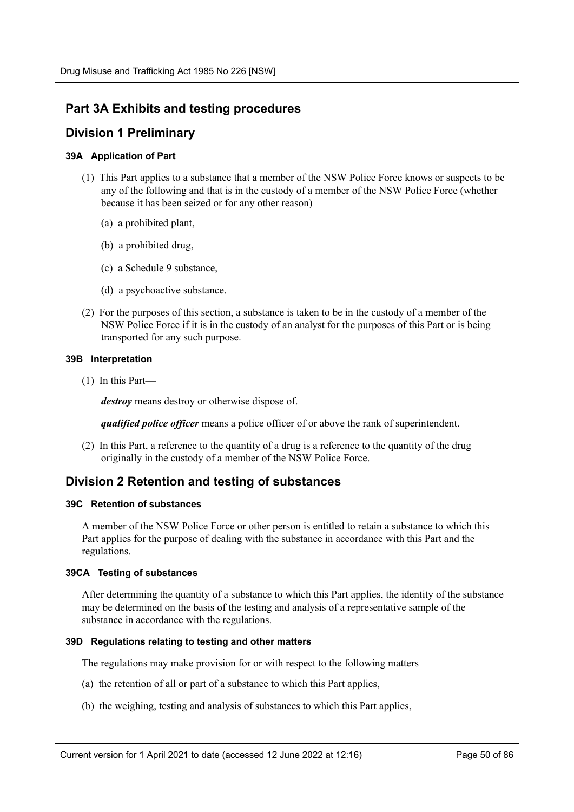# **Part 3A Exhibits and testing procedures**

# **Division 1 Preliminary**

# **39A Application of Part**

- (1) This Part applies to a substance that a member of the NSW Police Force knows or suspects to be any of the following and that is in the custody of a member of the NSW Police Force (whether because it has been seized or for any other reason)—
	- (a) a prohibited plant,
	- (b) a prohibited drug,
	- (c) a Schedule 9 substance,
	- (d) a psychoactive substance.
- (2) For the purposes of this section, a substance is taken to be in the custody of a member of the NSW Police Force if it is in the custody of an analyst for the purposes of this Part or is being transported for any such purpose.

#### **39B Interpretation**

(1) In this Part—

*destroy* means destroy or otherwise dispose of.

*qualified police officer* means a police officer of or above the rank of superintendent.

(2) In this Part, a reference to the quantity of a drug is a reference to the quantity of the drug originally in the custody of a member of the NSW Police Force.

# **Division 2 Retention and testing of substances**

### **39C Retention of substances**

A member of the NSW Police Force or other person is entitled to retain a substance to which this Part applies for the purpose of dealing with the substance in accordance with this Part and the regulations.

#### **39CA Testing of substances**

After determining the quantity of a substance to which this Part applies, the identity of the substance may be determined on the basis of the testing and analysis of a representative sample of the substance in accordance with the regulations.

#### **39D Regulations relating to testing and other matters**

The regulations may make provision for or with respect to the following matters—

- (a) the retention of all or part of a substance to which this Part applies,
- (b) the weighing, testing and analysis of substances to which this Part applies,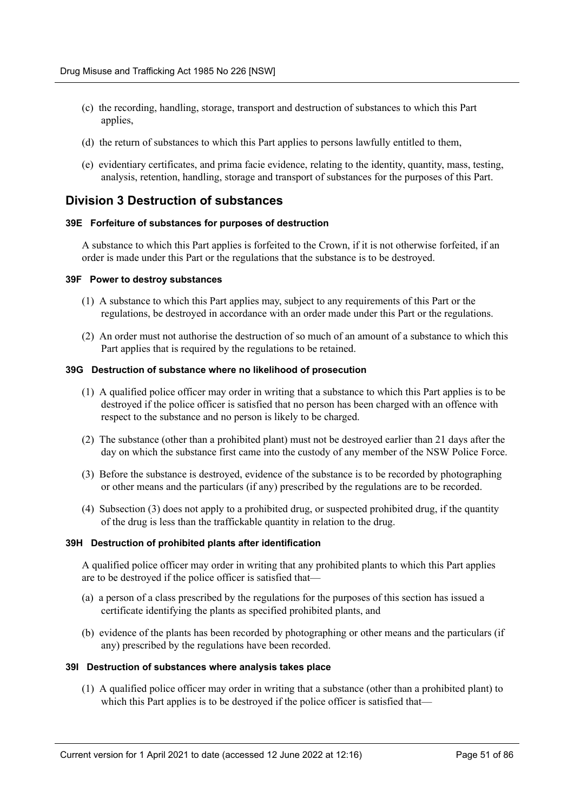- (c) the recording, handling, storage, transport and destruction of substances to which this Part applies,
- (d) the return of substances to which this Part applies to persons lawfully entitled to them,
- (e) evidentiary certificates, and prima facie evidence, relating to the identity, quantity, mass, testing, analysis, retention, handling, storage and transport of substances for the purposes of this Part.

# **Division 3 Destruction of substances**

## **39E Forfeiture of substances for purposes of destruction**

A substance to which this Part applies is forfeited to the Crown, if it is not otherwise forfeited, if an order is made under this Part or the regulations that the substance is to be destroyed.

#### **39F Power to destroy substances**

- (1) A substance to which this Part applies may, subject to any requirements of this Part or the regulations, be destroyed in accordance with an order made under this Part or the regulations.
- (2) An order must not authorise the destruction of so much of an amount of a substance to which this Part applies that is required by the regulations to be retained.

#### **39G Destruction of substance where no likelihood of prosecution**

- (1) A qualified police officer may order in writing that a substance to which this Part applies is to be destroyed if the police officer is satisfied that no person has been charged with an offence with respect to the substance and no person is likely to be charged.
- (2) The substance (other than a prohibited plant) must not be destroyed earlier than 21 days after the day on which the substance first came into the custody of any member of the NSW Police Force.
- (3) Before the substance is destroyed, evidence of the substance is to be recorded by photographing or other means and the particulars (if any) prescribed by the regulations are to be recorded.
- (4) Subsection (3) does not apply to a prohibited drug, or suspected prohibited drug, if the quantity of the drug is less than the traffickable quantity in relation to the drug.

#### **39H Destruction of prohibited plants after identification**

A qualified police officer may order in writing that any prohibited plants to which this Part applies are to be destroyed if the police officer is satisfied that—

- (a) a person of a class prescribed by the regulations for the purposes of this section has issued a certificate identifying the plants as specified prohibited plants, and
- (b) evidence of the plants has been recorded by photographing or other means and the particulars (if any) prescribed by the regulations have been recorded.

#### **39I Destruction of substances where analysis takes place**

(1) A qualified police officer may order in writing that a substance (other than a prohibited plant) to which this Part applies is to be destroyed if the police officer is satisfied that-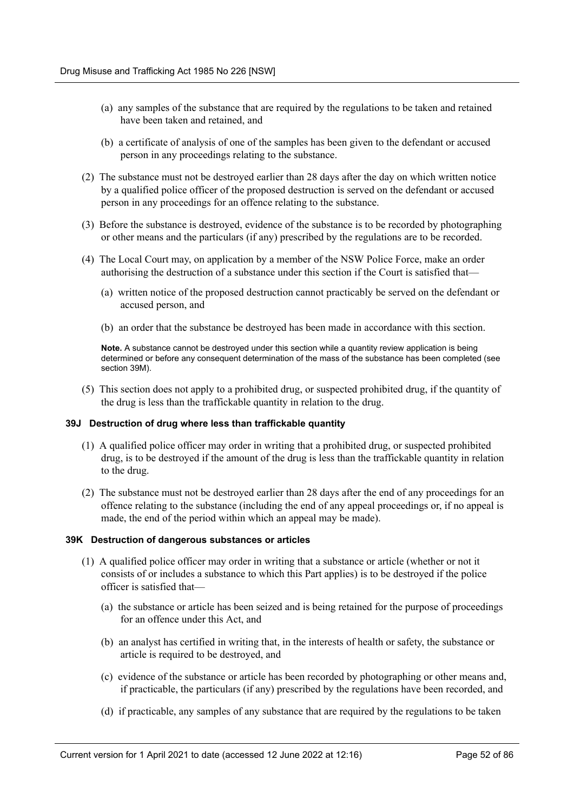- (a) any samples of the substance that are required by the regulations to be taken and retained have been taken and retained, and
- (b) a certificate of analysis of one of the samples has been given to the defendant or accused person in any proceedings relating to the substance.
- (2) The substance must not be destroyed earlier than 28 days after the day on which written notice by a qualified police officer of the proposed destruction is served on the defendant or accused person in any proceedings for an offence relating to the substance.
- (3) Before the substance is destroyed, evidence of the substance is to be recorded by photographing or other means and the particulars (if any) prescribed by the regulations are to be recorded.
- (4) The Local Court may, on application by a member of the NSW Police Force, make an order authorising the destruction of a substance under this section if the Court is satisfied that—
	- (a) written notice of the proposed destruction cannot practicably be served on the defendant or accused person, and
	- (b) an order that the substance be destroyed has been made in accordance with this section.

**Note.** A substance cannot be destroyed under this section while a quantity review application is being determined or before any consequent determination of the mass of the substance has been completed (see section 39M).

(5) This section does not apply to a prohibited drug, or suspected prohibited drug, if the quantity of the drug is less than the traffickable quantity in relation to the drug.

#### **39J Destruction of drug where less than traffickable quantity**

- (1) A qualified police officer may order in writing that a prohibited drug, or suspected prohibited drug, is to be destroyed if the amount of the drug is less than the traffickable quantity in relation to the drug.
- (2) The substance must not be destroyed earlier than 28 days after the end of any proceedings for an offence relating to the substance (including the end of any appeal proceedings or, if no appeal is made, the end of the period within which an appeal may be made).

#### **39K Destruction of dangerous substances or articles**

- (1) A qualified police officer may order in writing that a substance or article (whether or not it consists of or includes a substance to which this Part applies) is to be destroyed if the police officer is satisfied that—
	- (a) the substance or article has been seized and is being retained for the purpose of proceedings for an offence under this Act, and
	- (b) an analyst has certified in writing that, in the interests of health or safety, the substance or article is required to be destroyed, and
	- (c) evidence of the substance or article has been recorded by photographing or other means and, if practicable, the particulars (if any) prescribed by the regulations have been recorded, and
	- (d) if practicable, any samples of any substance that are required by the regulations to be taken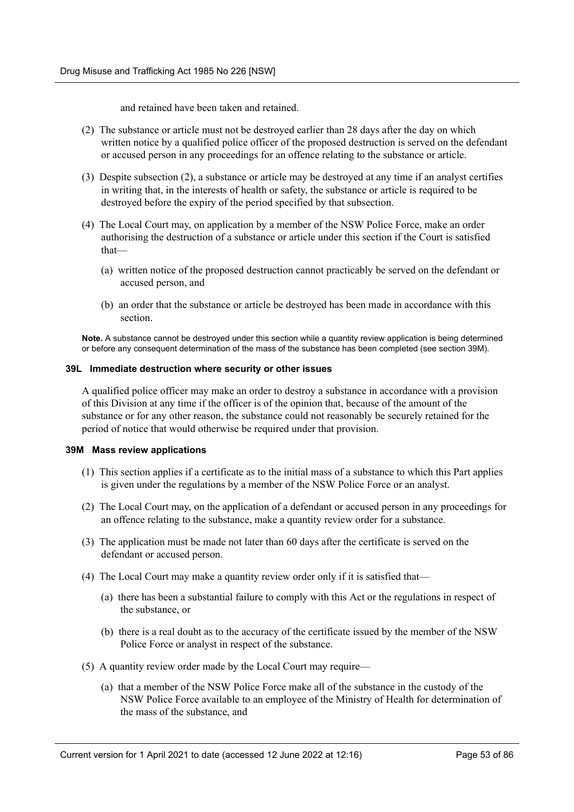and retained have been taken and retained.

- (2) The substance or article must not be destroyed earlier than 28 days after the day on which written notice by a qualified police officer of the proposed destruction is served on the defendant or accused person in any proceedings for an offence relating to the substance or article.
- (3) Despite subsection (2), a substance or article may be destroyed at any time if an analyst certifies in writing that, in the interests of health or safety, the substance or article is required to be destroyed before the expiry of the period specified by that subsection.
- (4) The Local Court may, on application by a member of the NSW Police Force, make an order authorising the destruction of a substance or article under this section if the Court is satisfied that—
	- (a) written notice of the proposed destruction cannot practicably be served on the defendant or accused person, and
	- (b) an order that the substance or article be destroyed has been made in accordance with this section.

**Note.** A substance cannot be destroyed under this section while a quantity review application is being determined or before any consequent determination of the mass of the substance has been completed (see section 39M).

## **39L Immediate destruction where security or other issues**

A qualified police officer may make an order to destroy a substance in accordance with a provision of this Division at any time if the officer is of the opinion that, because of the amount of the substance or for any other reason, the substance could not reasonably be securely retained for the period of notice that would otherwise be required under that provision.

#### **39M Mass review applications**

- (1) This section applies if a certificate as to the initial mass of a substance to which this Part applies is given under the regulations by a member of the NSW Police Force or an analyst.
- (2) The Local Court may, on the application of a defendant or accused person in any proceedings for an offence relating to the substance, make a quantity review order for a substance.
- (3) The application must be made not later than 60 days after the certificate is served on the defendant or accused person.
- (4) The Local Court may make a quantity review order only if it is satisfied that—
	- (a) there has been a substantial failure to comply with this Act or the regulations in respect of the substance, or
	- (b) there is a real doubt as to the accuracy of the certificate issued by the member of the NSW Police Force or analyst in respect of the substance.
- (5) A quantity review order made by the Local Court may require—
	- (a) that a member of the NSW Police Force make all of the substance in the custody of the NSW Police Force available to an employee of the Ministry of Health for determination of the mass of the substance, and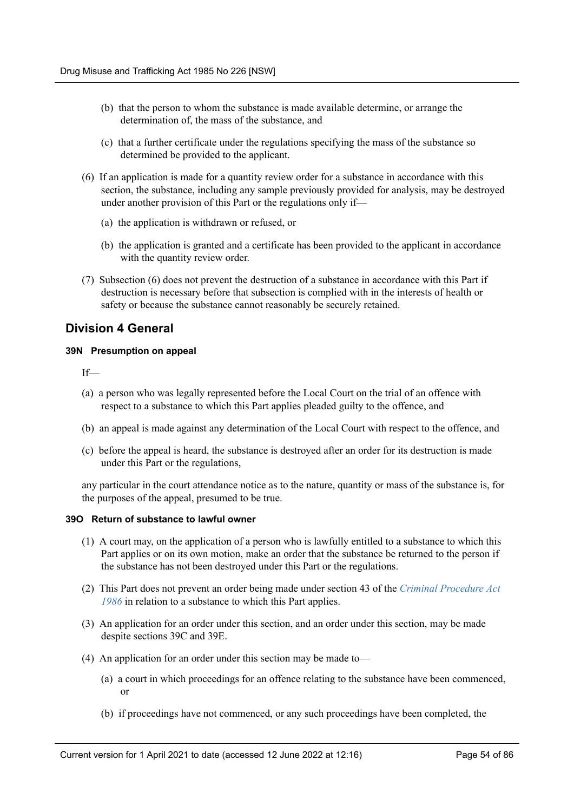- (b) that the person to whom the substance is made available determine, or arrange the determination of, the mass of the substance, and
- (c) that a further certificate under the regulations specifying the mass of the substance so determined be provided to the applicant.
- (6) If an application is made for a quantity review order for a substance in accordance with this section, the substance, including any sample previously provided for analysis, may be destroyed under another provision of this Part or the regulations only if—
	- (a) the application is withdrawn or refused, or
	- (b) the application is granted and a certificate has been provided to the applicant in accordance with the quantity review order.
- (7) Subsection (6) does not prevent the destruction of a substance in accordance with this Part if destruction is necessary before that subsection is complied with in the interests of health or safety or because the substance cannot reasonably be securely retained.

# **Division 4 General**

## **39N Presumption on appeal**

If—

- (a) a person who was legally represented before the Local Court on the trial of an offence with respect to a substance to which this Part applies pleaded guilty to the offence, and
- (b) an appeal is made against any determination of the Local Court with respect to the offence, and
- (c) before the appeal is heard, the substance is destroyed after an order for its destruction is made under this Part or the regulations,

any particular in the court attendance notice as to the nature, quantity or mass of the substance is, for the purposes of the appeal, presumed to be true.

#### **39O Return of substance to lawful owner**

- (1) A court may, on the application of a person who is lawfully entitled to a substance to which this Part applies or on its own motion, make an order that the substance be returned to the person if the substance has not been destroyed under this Part or the regulations.
- (2) This Part does not prevent an order being made under section 43 of the *[Criminal Procedure Act](https://legacy.legislation.nsw.gov.au/*/view/act/1986/209) [1986](https://legacy.legislation.nsw.gov.au/*/view/act/1986/209)* in relation to a substance to which this Part applies.
- (3) An application for an order under this section, and an order under this section, may be made despite sections 39C and 39E.
- (4) An application for an order under this section may be made to—
	- (a) a court in which proceedings for an offence relating to the substance have been commenced, or
	- (b) if proceedings have not commenced, or any such proceedings have been completed, the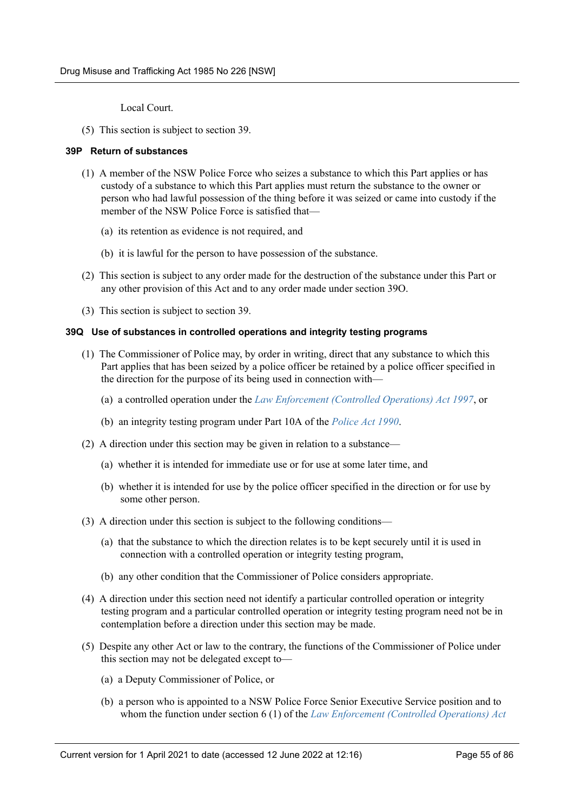Local Court.

(5) This section is subject to section 39.

### **39P Return of substances**

- (1) A member of the NSW Police Force who seizes a substance to which this Part applies or has custody of a substance to which this Part applies must return the substance to the owner or person who had lawful possession of the thing before it was seized or came into custody if the member of the NSW Police Force is satisfied that—
	- (a) its retention as evidence is not required, and
	- (b) it is lawful for the person to have possession of the substance.
- (2) This section is subject to any order made for the destruction of the substance under this Part or any other provision of this Act and to any order made under section 39O.
- (3) This section is subject to section 39.

## **39Q Use of substances in controlled operations and integrity testing programs**

- (1) The Commissioner of Police may, by order in writing, direct that any substance to which this Part applies that has been seized by a police officer be retained by a police officer specified in the direction for the purpose of its being used in connection with—
	- (a) a controlled operation under the *[Law Enforcement \(Controlled Operations\) Act 1997](https://legacy.legislation.nsw.gov.au/*/view/act/1997/136)*, or
	- (b) an integrity testing program under Part 10A of the *[Police Act 1990](https://legacy.legislation.nsw.gov.au/*/view/act/1990/47)*.
- (2) A direction under this section may be given in relation to a substance—
	- (a) whether it is intended for immediate use or for use at some later time, and
	- (b) whether it is intended for use by the police officer specified in the direction or for use by some other person.
- (3) A direction under this section is subject to the following conditions—
	- (a) that the substance to which the direction relates is to be kept securely until it is used in connection with a controlled operation or integrity testing program,
	- (b) any other condition that the Commissioner of Police considers appropriate.
- (4) A direction under this section need not identify a particular controlled operation or integrity testing program and a particular controlled operation or integrity testing program need not be in contemplation before a direction under this section may be made.
- (5) Despite any other Act or law to the contrary, the functions of the Commissioner of Police under this section may not be delegated except to—
	- (a) a Deputy Commissioner of Police, or
	- (b) a person who is appointed to a NSW Police Force Senior Executive Service position and to whom the function under section 6 (1) of the *[Law Enforcement \(Controlled Operations\) Act](https://legacy.legislation.nsw.gov.au/*/view/act/1997/136)*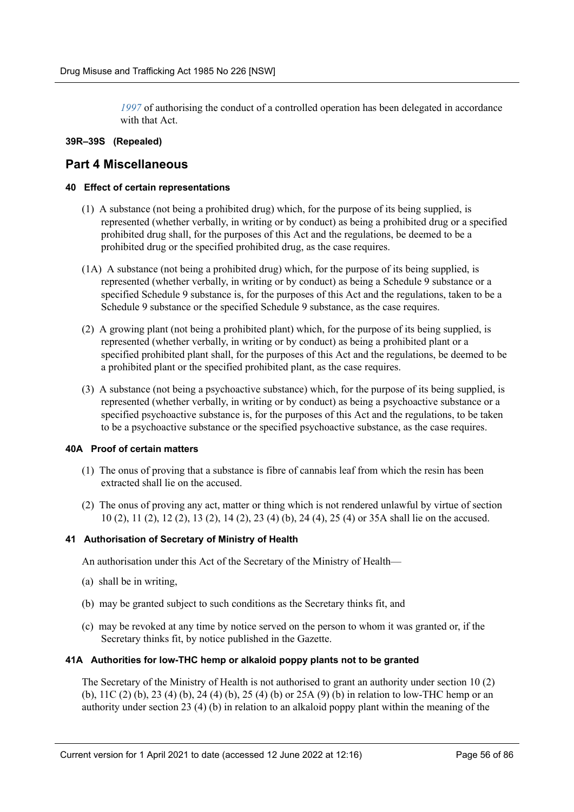*[1997](https://legacy.legislation.nsw.gov.au/*/view/act/1997/136)* of authorising the conduct of a controlled operation has been delegated in accordance with that Act.

# **39R–39S (Repealed)**

# **Part 4 Miscellaneous**

# **40 Effect of certain representations**

- (1) A substance (not being a prohibited drug) which, for the purpose of its being supplied, is represented (whether verbally, in writing or by conduct) as being a prohibited drug or a specified prohibited drug shall, for the purposes of this Act and the regulations, be deemed to be a prohibited drug or the specified prohibited drug, as the case requires.
- (1A) A substance (not being a prohibited drug) which, for the purpose of its being supplied, is represented (whether verbally, in writing or by conduct) as being a Schedule 9 substance or a specified Schedule 9 substance is, for the purposes of this Act and the regulations, taken to be a Schedule 9 substance or the specified Schedule 9 substance, as the case requires.
- (2) A growing plant (not being a prohibited plant) which, for the purpose of its being supplied, is represented (whether verbally, in writing or by conduct) as being a prohibited plant or a specified prohibited plant shall, for the purposes of this Act and the regulations, be deemed to be a prohibited plant or the specified prohibited plant, as the case requires.
- (3) A substance (not being a psychoactive substance) which, for the purpose of its being supplied, is represented (whether verbally, in writing or by conduct) as being a psychoactive substance or a specified psychoactive substance is, for the purposes of this Act and the regulations, to be taken to be a psychoactive substance or the specified psychoactive substance, as the case requires.

# **40A Proof of certain matters**

- (1) The onus of proving that a substance is fibre of cannabis leaf from which the resin has been extracted shall lie on the accused.
- (2) The onus of proving any act, matter or thing which is not rendered unlawful by virtue of section 10 (2), 11 (2), 12 (2), 13 (2), 14 (2), 23 (4) (b), 24 (4), 25 (4) or 35A shall lie on the accused.

# **41 Authorisation of Secretary of Ministry of Health**

An authorisation under this Act of the Secretary of the Ministry of Health—

- (a) shall be in writing,
- (b) may be granted subject to such conditions as the Secretary thinks fit, and
- (c) may be revoked at any time by notice served on the person to whom it was granted or, if the Secretary thinks fit, by notice published in the Gazette.

# **41A Authorities for low-THC hemp or alkaloid poppy plants not to be granted**

The Secretary of the Ministry of Health is not authorised to grant an authority under section 10 (2) (b), 11C (2) (b), 23 (4) (b), 24 (4) (b), 25 (4) (b) or 25A (9) (b) in relation to low-THC hemp or an authority under section 23 (4) (b) in relation to an alkaloid poppy plant within the meaning of the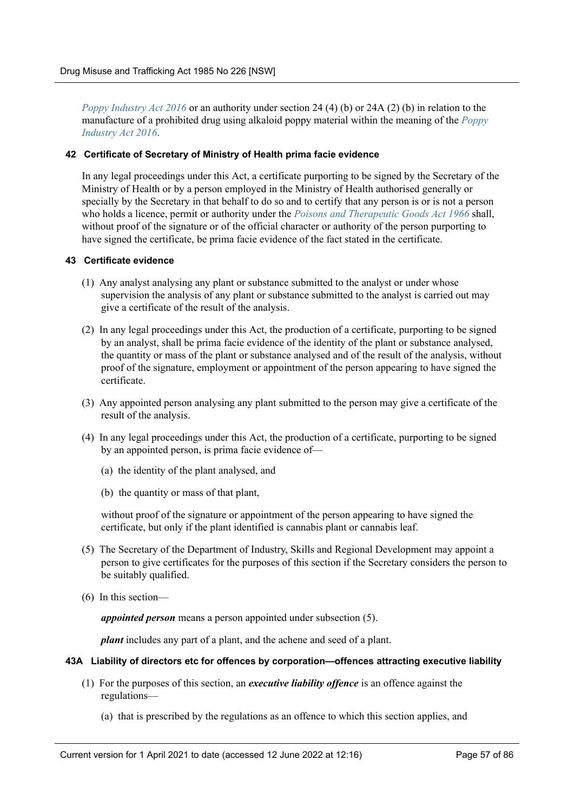*[Poppy Industry Act 2016](https://legacy.legislation.nsw.gov.au/*/view/act/2016/37)* or an authority under section 24 (4) (b) or 24A (2) (b) in relation to the manufacture of a prohibited drug using alkaloid poppy material within the meaning of the *[Poppy](https://legacy.legislation.nsw.gov.au/*/view/act/2016/37) [Industry Act 2016](https://legacy.legislation.nsw.gov.au/*/view/act/2016/37)*.

### **42 Certificate of Secretary of Ministry of Health prima facie evidence**

In any legal proceedings under this Act, a certificate purporting to be signed by the Secretary of the Ministry of Health or by a person employed in the Ministry of Health authorised generally or specially by the Secretary in that behalf to do so and to certify that any person is or is not a person who holds a licence, permit or authority under the *[Poisons and Therapeutic Goods Act 1966](https://legacy.legislation.nsw.gov.au/*/view/act/1966/31)* shall, without proof of the signature or of the official character or authority of the person purporting to have signed the certificate, be prima facie evidence of the fact stated in the certificate.

## **43 Certificate evidence**

- (1) Any analyst analysing any plant or substance submitted to the analyst or under whose supervision the analysis of any plant or substance submitted to the analyst is carried out may give a certificate of the result of the analysis.
- (2) In any legal proceedings under this Act, the production of a certificate, purporting to be signed by an analyst, shall be prima facie evidence of the identity of the plant or substance analysed, the quantity or mass of the plant or substance analysed and of the result of the analysis, without proof of the signature, employment or appointment of the person appearing to have signed the certificate.
- (3) Any appointed person analysing any plant submitted to the person may give a certificate of the result of the analysis.
- (4) In any legal proceedings under this Act, the production of a certificate, purporting to be signed by an appointed person, is prima facie evidence of—
	- (a) the identity of the plant analysed, and
	- (b) the quantity or mass of that plant,

without proof of the signature or appointment of the person appearing to have signed the certificate, but only if the plant identified is cannabis plant or cannabis leaf.

- (5) The Secretary of the Department of Industry, Skills and Regional Development may appoint a person to give certificates for the purposes of this section if the Secretary considers the person to be suitably qualified.
- (6) In this section—

*appointed person* means a person appointed under subsection (5).

*plant* includes any part of a plant, and the achene and seed of a plant.

## **43A Liability of directors etc for offences by corporation—offences attracting executive liability**

- (1) For the purposes of this section, an *executive liability offence* is an offence against the regulations—
	- (a) that is prescribed by the regulations as an offence to which this section applies, and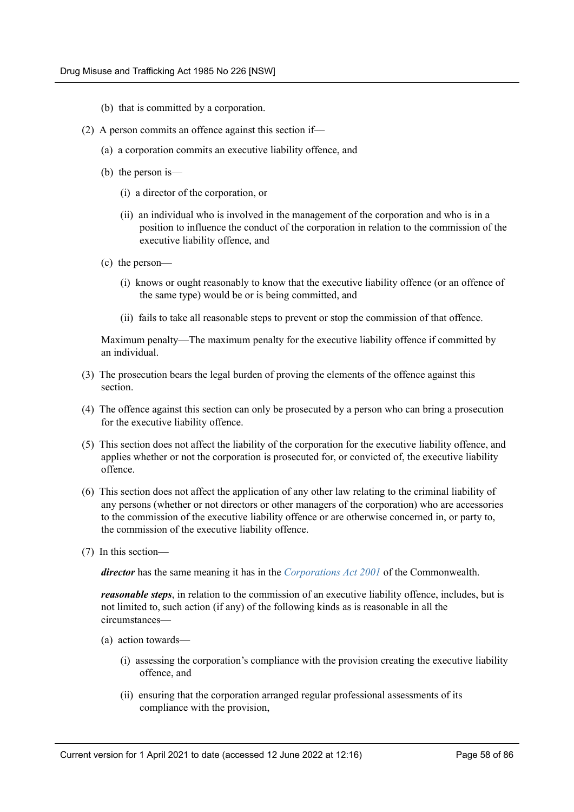- (b) that is committed by a corporation.
- (2) A person commits an offence against this section if—
	- (a) a corporation commits an executive liability offence, and
	- (b) the person is—
		- (i) a director of the corporation, or
		- (ii) an individual who is involved in the management of the corporation and who is in a position to influence the conduct of the corporation in relation to the commission of the executive liability offence, and
	- (c) the person—
		- (i) knows or ought reasonably to know that the executive liability offence (or an offence of the same type) would be or is being committed, and
		- (ii) fails to take all reasonable steps to prevent or stop the commission of that offence.

Maximum penalty—The maximum penalty for the executive liability offence if committed by an individual.

- (3) The prosecution bears the legal burden of proving the elements of the offence against this section.
- (4) The offence against this section can only be prosecuted by a person who can bring a prosecution for the executive liability offence.
- (5) This section does not affect the liability of the corporation for the executive liability offence, and applies whether or not the corporation is prosecuted for, or convicted of, the executive liability offence.
- (6) This section does not affect the application of any other law relating to the criminal liability of any persons (whether or not directors or other managers of the corporation) who are accessories to the commission of the executive liability offence or are otherwise concerned in, or party to, the commission of the executive liability offence.
- (7) In this section—

*director* has the same meaning it has in the *[Corporations Act 2001](http://www.legislation.gov.au/)* of the Commonwealth.

*reasonable steps*, in relation to the commission of an executive liability offence, includes, but is not limited to, such action (if any) of the following kinds as is reasonable in all the circumstances—

- (a) action towards—
	- (i) assessing the corporation's compliance with the provision creating the executive liability offence, and
	- (ii) ensuring that the corporation arranged regular professional assessments of its compliance with the provision,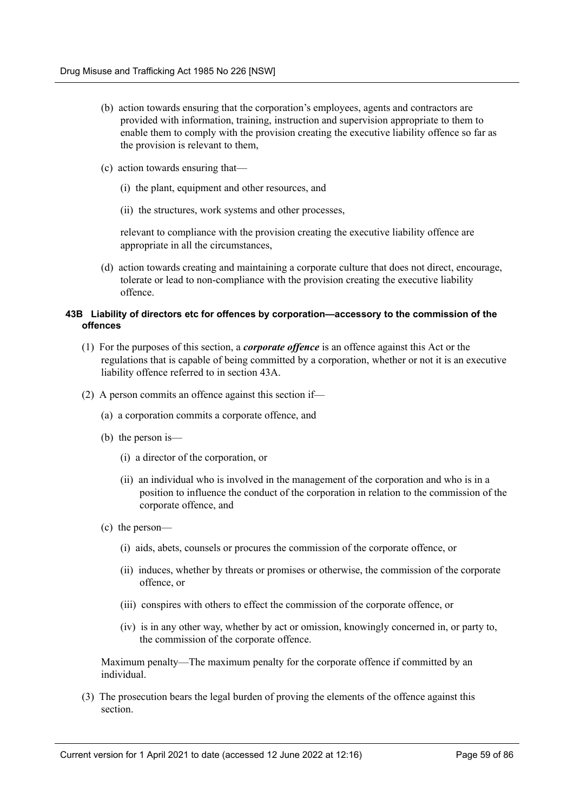- (b) action towards ensuring that the corporation's employees, agents and contractors are provided with information, training, instruction and supervision appropriate to them to enable them to comply with the provision creating the executive liability offence so far as the provision is relevant to them,
- (c) action towards ensuring that—
	- (i) the plant, equipment and other resources, and
	- (ii) the structures, work systems and other processes,

relevant to compliance with the provision creating the executive liability offence are appropriate in all the circumstances,

(d) action towards creating and maintaining a corporate culture that does not direct, encourage, tolerate or lead to non-compliance with the provision creating the executive liability offence.

## **43B Liability of directors etc for offences by corporation—accessory to the commission of the offences**

- (1) For the purposes of this section, a *corporate offence* is an offence against this Act or the regulations that is capable of being committed by a corporation, whether or not it is an executive liability offence referred to in section 43A.
- (2) A person commits an offence against this section if—
	- (a) a corporation commits a corporate offence, and
	- (b) the person is—
		- (i) a director of the corporation, or
		- (ii) an individual who is involved in the management of the corporation and who is in a position to influence the conduct of the corporation in relation to the commission of the corporate offence, and
	- (c) the person—
		- (i) aids, abets, counsels or procures the commission of the corporate offence, or
		- (ii) induces, whether by threats or promises or otherwise, the commission of the corporate offence, or
		- (iii) conspires with others to effect the commission of the corporate offence, or
		- (iv) is in any other way, whether by act or omission, knowingly concerned in, or party to, the commission of the corporate offence.

Maximum penalty—The maximum penalty for the corporate offence if committed by an individual.

(3) The prosecution bears the legal burden of proving the elements of the offence against this section.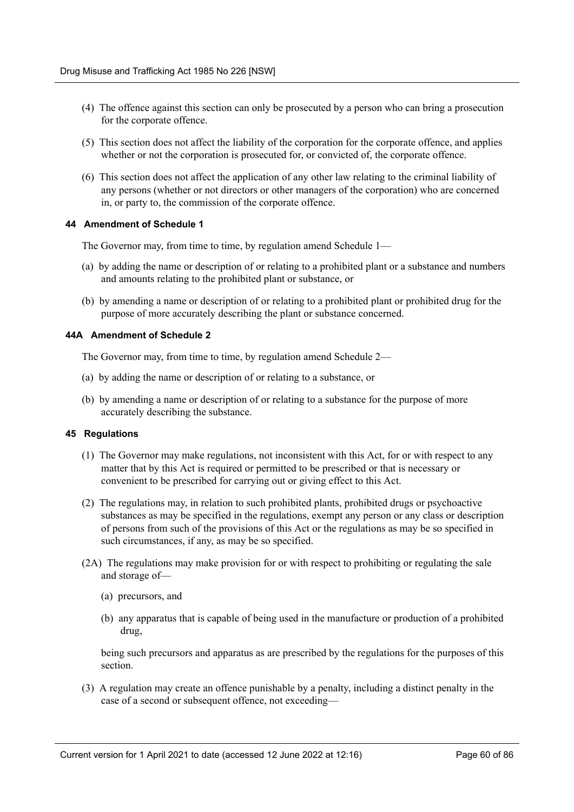- (4) The offence against this section can only be prosecuted by a person who can bring a prosecution for the corporate offence.
- (5) This section does not affect the liability of the corporation for the corporate offence, and applies whether or not the corporation is prosecuted for, or convicted of, the corporate offence.
- (6) This section does not affect the application of any other law relating to the criminal liability of any persons (whether or not directors or other managers of the corporation) who are concerned in, or party to, the commission of the corporate offence.

#### **44 Amendment of Schedule 1**

The Governor may, from time to time, by regulation amend Schedule 1—

- (a) by adding the name or description of or relating to a prohibited plant or a substance and numbers and amounts relating to the prohibited plant or substance, or
- (b) by amending a name or description of or relating to a prohibited plant or prohibited drug for the purpose of more accurately describing the plant or substance concerned.

#### **44A Amendment of Schedule 2**

The Governor may, from time to time, by regulation amend Schedule 2—

- (a) by adding the name or description of or relating to a substance, or
- (b) by amending a name or description of or relating to a substance for the purpose of more accurately describing the substance.

#### **45 Regulations**

- (1) The Governor may make regulations, not inconsistent with this Act, for or with respect to any matter that by this Act is required or permitted to be prescribed or that is necessary or convenient to be prescribed for carrying out or giving effect to this Act.
- (2) The regulations may, in relation to such prohibited plants, prohibited drugs or psychoactive substances as may be specified in the regulations, exempt any person or any class or description of persons from such of the provisions of this Act or the regulations as may be so specified in such circumstances, if any, as may be so specified.
- (2A) The regulations may make provision for or with respect to prohibiting or regulating the sale and storage of—
	- (a) precursors, and
	- (b) any apparatus that is capable of being used in the manufacture or production of a prohibited drug,

being such precursors and apparatus as are prescribed by the regulations for the purposes of this section.

(3) A regulation may create an offence punishable by a penalty, including a distinct penalty in the case of a second or subsequent offence, not exceeding—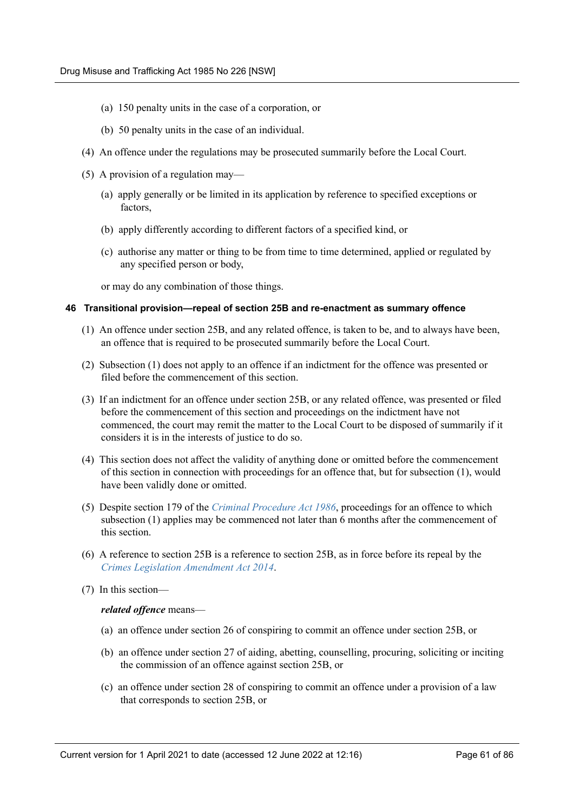- (a) 150 penalty units in the case of a corporation, or
- (b) 50 penalty units in the case of an individual.
- (4) An offence under the regulations may be prosecuted summarily before the Local Court.
- (5) A provision of a regulation may—
	- (a) apply generally or be limited in its application by reference to specified exceptions or factors
	- (b) apply differently according to different factors of a specified kind, or
	- (c) authorise any matter or thing to be from time to time determined, applied or regulated by any specified person or body,

or may do any combination of those things.

#### **46 Transitional provision—repeal of section 25B and re-enactment as summary offence**

- (1) An offence under section 25B, and any related offence, is taken to be, and to always have been, an offence that is required to be prosecuted summarily before the Local Court.
- (2) Subsection (1) does not apply to an offence if an indictment for the offence was presented or filed before the commencement of this section.
- (3) If an indictment for an offence under section 25B, or any related offence, was presented or filed before the commencement of this section and proceedings on the indictment have not commenced, the court may remit the matter to the Local Court to be disposed of summarily if it considers it is in the interests of justice to do so.
- (4) This section does not affect the validity of anything done or omitted before the commencement of this section in connection with proceedings for an offence that, but for subsection (1), would have been validly done or omitted.
- (5) Despite section 179 of the *[Criminal Procedure Act 1986](https://legacy.legislation.nsw.gov.au/*/view/act/1986/209)*, proceedings for an offence to which subsection (1) applies may be commenced not later than 6 months after the commencement of this section.
- (6) A reference to section 25B is a reference to section 25B, as in force before its repeal by the *[Crimes Legislation Amendment Act 2014](https://legacy.legislation.nsw.gov.au/*/view/act/2014/59)*.
- (7) In this section—

## *related offence* means—

- (a) an offence under section 26 of conspiring to commit an offence under section 25B, or
- (b) an offence under section 27 of aiding, abetting, counselling, procuring, soliciting or inciting the commission of an offence against section 25B, or
- (c) an offence under section 28 of conspiring to commit an offence under a provision of a law that corresponds to section 25B, or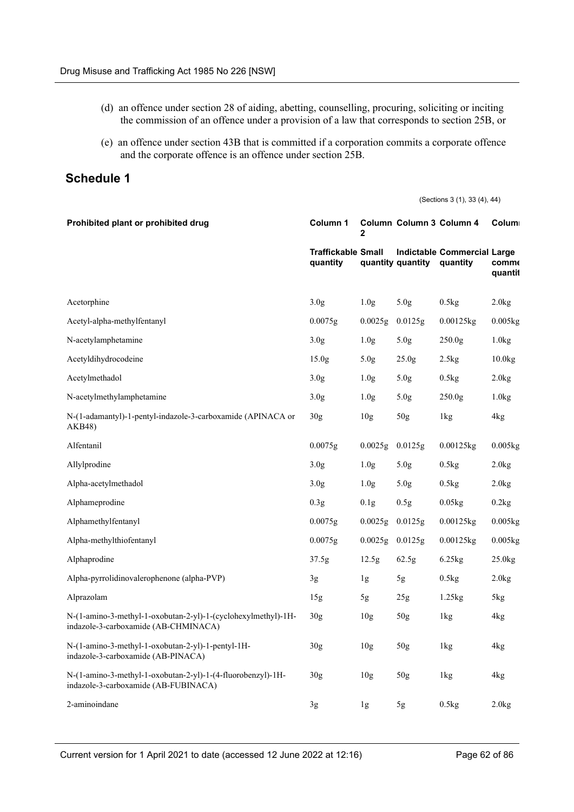- (d) an offence under section 28 of aiding, abetting, counselling, procuring, soliciting or inciting the commission of an offence under a provision of a law that corresponds to section 25B, or
- (e) an offence under section 43B that is committed if a corporation commits a corporate offence and the corporate offence is an offence under section 25B.

# **Schedule 1**

(Sections 3 (1), 33 (4), 44)

| Prohibited plant or prohibited drug                                                                   | Column 1                              | 2                | Column Column 3 Column 4 |                                                | Colum                   |
|-------------------------------------------------------------------------------------------------------|---------------------------------------|------------------|--------------------------|------------------------------------------------|-------------------------|
|                                                                                                       | <b>Traffickable Small</b><br>quantity |                  | quantity quantity        | <b>Indictable Commercial Large</b><br>quantity | <b>comme</b><br>quantit |
| Acetorphine                                                                                           | 3.0 <sub>g</sub>                      | 1.0 <sub>g</sub> | 5.0 <sub>g</sub>         | 0.5kg                                          | 2.0kg                   |
| Acetyl-alpha-methylfentanyl                                                                           | 0.0075g                               | 0.0025g          | 0.0125g                  | 0.00125kg                                      | $0.005$ <sub>kg</sub>   |
| N-acetylamphetamine                                                                                   | 3.0 <sub>g</sub>                      | 1.0 <sub>g</sub> | 5.0 <sub>g</sub>         | 250.0 <sub>g</sub>                             | 1.0kg                   |
| Acetyldihydrocodeine                                                                                  | 15.0 <sub>g</sub>                     | 5.0 <sub>g</sub> | 25.0 <sub>g</sub>        | 2.5kg                                          | 10.0kg                  |
| Acetylmethadol                                                                                        | 3.0 <sub>g</sub>                      | 1.0 <sub>g</sub> | 5.0 <sub>g</sub>         | 0.5kg                                          | 2.0kg                   |
| N-acetylmethylamphetamine                                                                             | 3.0 <sub>g</sub>                      | 1.0 <sub>g</sub> | 5.0g                     | 250.0 <sub>g</sub>                             | 1.0kg                   |
| N-(1-adamantyl)-1-pentyl-indazole-3-carboxamide (APINACA or<br>AKB48)                                 | 30 <sub>g</sub>                       | 10 <sub>g</sub>  | 50 <sub>g</sub>          | 1kg                                            | 4kg                     |
| Alfentanil                                                                                            | 0.0075g                               | 0.0025g          | 0.0125g                  | 0.00125kg                                      | $0.005$ <sub>kg</sub>   |
| Allylprodine                                                                                          | 3.0 <sub>g</sub>                      | 1.0 <sub>g</sub> | 5.0g                     | 0.5kg                                          | 2.0kg                   |
| Alpha-acetylmethadol                                                                                  | 3.0 <sub>g</sub>                      | 1.0 <sub>g</sub> | 5.0 <sub>g</sub>         | 0.5kg                                          | 2.0kg                   |
| Alphameprodine                                                                                        | 0.3 <sub>g</sub>                      | 0.1g             | 0.5g                     | 0.05kg                                         | 0.2kg                   |
| Alphamethylfentanyl                                                                                   | 0.0075g                               | 0.0025g          | 0.0125g                  | 0.00125kg                                      | $0.005$ <sub>kg</sub>   |
| Alpha-methylthiofentanyl                                                                              | 0.0075g                               | 0.0025g          | 0.0125g                  | $0.00125$ kg                                   | 0.005kg                 |
| Alphaprodine                                                                                          | 37.5g                                 | 12.5g            | 62.5g                    | 6.25kg                                         | 25.0kg                  |
| Alpha-pyrrolidinovalerophenone (alpha-PVP)                                                            | 3g                                    | 1g               | 5g                       | 0.5kg                                          | 2.0kg                   |
| Alprazolam                                                                                            | 15g                                   | 5g               | 25 <sub>g</sub>          | 1.25kg                                         | 5kg                     |
| N-(1-amino-3-methyl-1-oxobutan-2-yl)-1-(cyclohexylmethyl)-1H-<br>indazole-3-carboxamide (AB-CHMINACA) | 30 <sub>g</sub>                       | 10 <sub>g</sub>  | 50 <sub>g</sub>          | 1kg                                            | 4kg                     |
| N-(1-amino-3-methyl-1-oxobutan-2-yl)-1-pentyl-1H-<br>indazole-3-carboxamide (AB-PINACA)               | 30 <sub>g</sub>                       | 10 <sub>g</sub>  | 50 <sub>g</sub>          | 1kg                                            | 4kg                     |
| N-(1-amino-3-methyl-1-oxobutan-2-yl)-1-(4-fluorobenzyl)-1H-<br>indazole-3-carboxamide (AB-FUBINACA)   | 30 <sub>g</sub>                       | 10 <sub>g</sub>  | 50 <sub>g</sub>          | 1kg                                            | 4kg                     |
| 2-aminoindane                                                                                         | 3g                                    | 1g               | 5g                       | 0.5kg                                          | 2.0kg                   |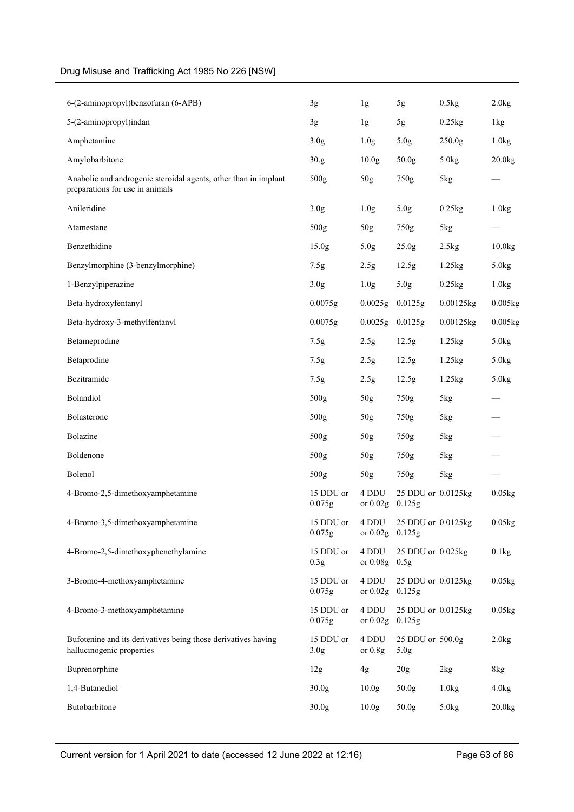| 6-(2-aminopropyl)benzofuran (6-APB)                                                                | 3g                            | 1g                         | 5g                                   | 0.5kg              | 2.0kg   |
|----------------------------------------------------------------------------------------------------|-------------------------------|----------------------------|--------------------------------------|--------------------|---------|
| 5-(2-aminopropyl)indan                                                                             | 3g                            | 1g                         | 5g                                   | 0.25kg             | 1kg     |
| Amphetamine                                                                                        | 3.0 <sub>g</sub>              | 1.0 <sub>g</sub>           | 5.0g                                 | 250.0 <sub>g</sub> | 1.0kg   |
| Amylobarbitone                                                                                     | 30.g                          | 10.0 <sub>g</sub>          | 50.0g                                | 5.0kg              | 20.0kg  |
| Anabolic and androgenic steroidal agents, other than in implant<br>preparations for use in animals | 500 <sub>g</sub>              | 50g                        | 750g                                 | 5kg                |         |
| Anileridine                                                                                        | 3.0 <sub>g</sub>              | 1.0 <sub>g</sub>           | 5.0 <sub>g</sub>                     | 0.25kg             | 1.0kg   |
| Atamestane                                                                                         | 500g                          | 50g                        | 750g                                 | 5kg                |         |
| Benzethidine                                                                                       | 15.0 <sub>g</sub>             | 5.0 <sub>g</sub>           | 25.0 <sub>g</sub>                    | 2.5kg              | 10.0kg  |
| Benzylmorphine (3-benzylmorphine)                                                                  | 7.5g                          | 2.5g                       | 12.5g                                | 1.25kg             | 5.0kg   |
| 1-Benzylpiperazine                                                                                 | 3.0 <sub>g</sub>              | 1.0 <sub>g</sub>           | 5.0g                                 | 0.25kg             | 1.0kg   |
| Beta-hydroxyfentanyl                                                                               | 0.0075g                       | 0.0025g                    | 0.0125g                              | 0.00125kg          | 0.005kg |
| Beta-hydroxy-3-methylfentanyl                                                                      | 0.0075g                       | 0.0025g                    | 0.0125g                              | 0.00125kg          | 0.005kg |
| Betameprodine                                                                                      | 7.5g                          | 2.5g                       | 12.5g                                | 1.25kg             | 5.0kg   |
| Betaprodine                                                                                        | 7.5g                          | 2.5g                       | 12.5g                                | 1.25kg             | 5.0kg   |
| Bezitramide                                                                                        | 7.5g                          | 2.5g                       | 12.5g                                | 1.25kg             | 5.0kg   |
| Bolandiol                                                                                          | 500g                          | 50g                        | 750g                                 | 5kg                |         |
| Bolasterone                                                                                        | 500g                          | 50 <sub>g</sub>            | 750g                                 | 5kg                |         |
| <b>Bolazine</b>                                                                                    | 500g                          | 50g                        | 750g                                 | 5kg                |         |
| Boldenone                                                                                          | 500g                          | 50 <sub>g</sub>            | 750g                                 | 5kg                |         |
| Bolenol                                                                                            | 500g                          | 50g                        | 750g                                 | 5kg                |         |
| 4-Bromo-2,5-dimethoxyamphetamine                                                                   | 15 DDU or<br>0.075g           | 4 DDU<br>or 0.02g 0.125g   | 25 DDU or 0.0125kg                   |                    | 0.05kg  |
| 4-Bromo-3,5-dimethoxyamphetamine                                                                   | 15 DDU or<br>0.075g           | 4 DDU<br>or $0.02g$        | 25 DDU or 0.0125kg<br>0.125g         |                    | 0.05kg  |
| 4-Bromo-2,5-dimethoxyphenethylamine                                                                | 15 DDU or<br>0.3 <sub>g</sub> | 4 DDU<br>or 0.08g 0.5g     | 25 DDU or 0.025kg                    |                    | 0.1kg   |
| 3-Bromo-4-methoxyamphetamine                                                                       | 15 DDU or<br>0.075g           | 4 DDU<br>or $0.02g$ 0.125g | 25 DDU or 0.0125kg                   |                    | 0.05kg  |
| 4-Bromo-3-methoxyamphetamine                                                                       | 15 DDU or<br>0.075g           | 4 DDU<br>or $0.02g$        | 25 DDU or 0.0125kg<br>0.125g         |                    | 0.05kg  |
| Bufotenine and its derivatives being those derivatives having<br>hallucinogenic properties         | 15 DDU or<br>3.0 <sub>g</sub> | 4 DDU<br>or $0.8g$         | 25 DDU or 500.0g<br>5.0 <sub>g</sub> |                    | 2.0kg   |
| Buprenorphine                                                                                      | 12g                           | 4g                         | 20 <sub>g</sub>                      | 2kg                | 8kg     |
| 1,4-Butanediol                                                                                     | 30.0 <sub>g</sub>             | 10.0 <sub>g</sub>          | 50.0 <sub>g</sub>                    | 1.0kg              | 4.0kg   |
| Butobarbitone                                                                                      | 30.0 <sub>g</sub>             | 10.0 <sub>g</sub>          | 50.0g                                | 5.0 <sub>kg</sub>  | 20.0kg  |
|                                                                                                    |                               |                            |                                      |                    |         |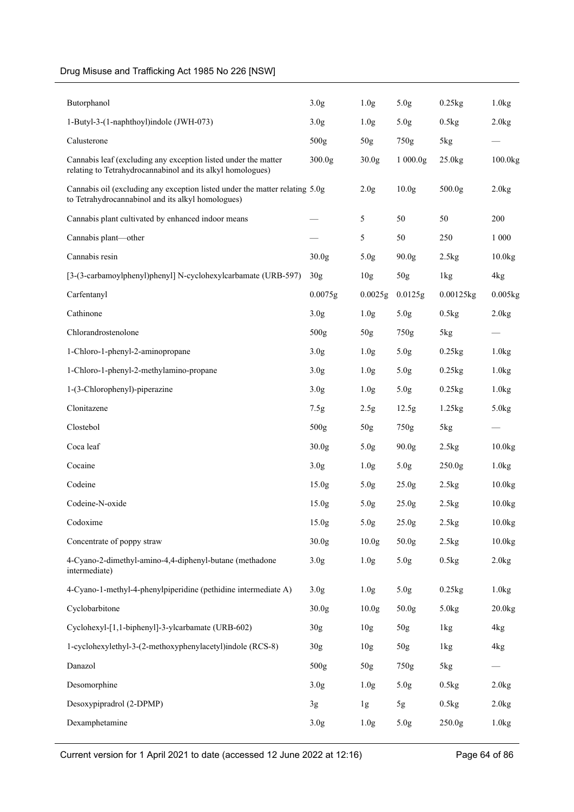| Butorphanol                                                                                                                      | 3.0 <sub>g</sub>  | 1.0 <sub>g</sub>  | 5.0 <sub>g</sub>    | 0.25kg             | 1.0kg     |
|----------------------------------------------------------------------------------------------------------------------------------|-------------------|-------------------|---------------------|--------------------|-----------|
| 1-Butyl-3-(1-naphthoyl)indole (JWH-073)                                                                                          | 3.0 <sub>g</sub>  | 1.0 <sub>g</sub>  | 5.0 <sub>g</sub>    | 0.5kg              | 2.0kg     |
| Calusterone                                                                                                                      | 500g              | 50 <sub>g</sub>   | 750g                | 5kg                |           |
| Cannabis leaf (excluding any exception listed under the matter<br>relating to Tetrahydrocannabinol and its alkyl homologues)     | 300.0g            | 30.0 <sub>g</sub> | 1000.0 <sub>g</sub> | 25.0 <sub>kg</sub> | 100.0kg   |
| Cannabis oil (excluding any exception listed under the matter relating 5.0g<br>to Tetrahydrocannabinol and its alkyl homologues) |                   | 2.0 <sub>g</sub>  | 10.0 <sub>g</sub>   | 500.0g             | 2.0kg     |
| Cannabis plant cultivated by enhanced indoor means                                                                               |                   | 5                 | 50                  | 50                 | 200       |
| Cannabis plant—other                                                                                                             |                   | 5                 | 50                  | 250                | 1 0 0 0   |
| Cannabis resin                                                                                                                   | 30.0g             | 5.0 <sub>g</sub>  | 90.0 <sub>g</sub>   | 2.5kg              | 10.0kg    |
| [3-(3-carbamoylphenyl)phenyl] N-cyclohexylcarbamate (URB-597)                                                                    | 30 <sub>g</sub>   | 10 <sub>g</sub>   | 50g                 | 1kg                | 4kg       |
| Carfentanyl                                                                                                                      | 0.0075g           | 0.0025g           | 0.0125g             | 0.00125kg          | 0.005kg   |
| Cathinone                                                                                                                        | 3.0 <sub>g</sub>  | 1.0 <sub>g</sub>  | 5.0 <sub>g</sub>    | 0.5kg              | 2.0kg     |
| Chlorandrostenolone                                                                                                              | 500g              | 50g               | 750g                | 5kg                |           |
| 1-Chloro-1-phenyl-2-aminopropane                                                                                                 | 3.0 <sub>g</sub>  | 1.0 <sub>g</sub>  | 5.0 <sub>g</sub>    | 0.25kg             | 1.0kg     |
| 1-Chloro-1-phenyl-2-methylamino-propane                                                                                          | 3.0 <sub>g</sub>  | 1.0 <sub>g</sub>  | 5.0 <sub>g</sub>    | 0.25kg             | 1.0kg     |
| 1-(3-Chlorophenyl)-piperazine                                                                                                    | 3.0 <sub>g</sub>  | 1.0 <sub>g</sub>  | 5.0 <sub>g</sub>    | 0.25kg             | 1.0kg     |
| Clonitazene                                                                                                                      | 7.5g              | 2.5g              | 12.5g               | 1.25kg             | 5.0kg     |
| Clostebol                                                                                                                        | 500g              | 50 <sub>g</sub>   | 750g                | 5kg                |           |
| Coca leaf                                                                                                                        | 30.0 <sub>g</sub> | 5.0 <sub>g</sub>  | 90.0g               | 2.5kg              | 10.0kg    |
| Cocaine                                                                                                                          | 3.0 <sub>g</sub>  | 1.0 <sub>g</sub>  | 5.0 <sub>g</sub>    | 250.0g             | 1.0kg     |
| Codeine                                                                                                                          | 15.0 <sub>g</sub> | 5.0g              | 25.0 <sub>g</sub>   | 2.5kg              | $10.0$ kg |
| Codeine-N-oxide                                                                                                                  | 15.0 <sub>g</sub> | 5.0 <sub>g</sub>  | 25.0 <sub>g</sub>   | 2.5kg              | 10.0kg    |
| Codoxime                                                                                                                         | 15.0 <sub>g</sub> | 5.0 <sub>g</sub>  | 25.0 <sub>g</sub>   | 2.5kg              | 10.0kg    |
| Concentrate of poppy straw                                                                                                       | 30.0 <sub>g</sub> | 10.0 <sub>g</sub> | 50.0g               | 2.5kg              | 10.0kg    |
| 4-Cyano-2-dimethyl-amino-4,4-diphenyl-butane (methadone<br>intermediate)                                                         | 3.0 <sub>g</sub>  | 1.0 <sub>g</sub>  | 5.0g                | 0.5kg              | 2.0kg     |
| 4-Cyano-1-methyl-4-phenylpiperidine (pethidine intermediate A)                                                                   | 3.0 <sub>g</sub>  | 1.0 <sub>g</sub>  | 5.0g                | 0.25kg             | 1.0kg     |
| Cyclobarbitone                                                                                                                   | 30.0 <sub>g</sub> | 10.0 <sub>g</sub> | 50.0g               | 5.0kg              | 20.0kg    |
| Cyclohexyl-[1,1-biphenyl]-3-ylcarbamate (URB-602)                                                                                | 30g               | 10 <sub>g</sub>   | 50g                 | 1kg                | 4kg       |
| 1-cyclohexylethyl-3-(2-methoxyphenylacetyl)indole (RCS-8)                                                                        | 30 <sub>g</sub>   | 10 <sub>g</sub>   | 50 <sub>g</sub>     | 1kg                | 4kg       |
| Danazol                                                                                                                          | 500g              | 50g               | 750g                | 5kg                |           |
| Desomorphine                                                                                                                     | 3.0 <sub>g</sub>  | 1.0 <sub>g</sub>  | 5.0g                | 0.5kg              | 2.0kg     |
| Desoxypipradrol (2-DPMP)                                                                                                         | 3g                | 1g                | 5g                  | 0.5kg              | 2.0kg     |
| Dexamphetamine                                                                                                                   | 3.0 <sub>g</sub>  | 1.0 <sub>g</sub>  | 5.0g                | 250.0g             | 1.0kg     |
|                                                                                                                                  |                   |                   |                     |                    |           |

Current version for 1 April 2021 to date (accessed 12 June 2022 at 12:16) Page 64 of 86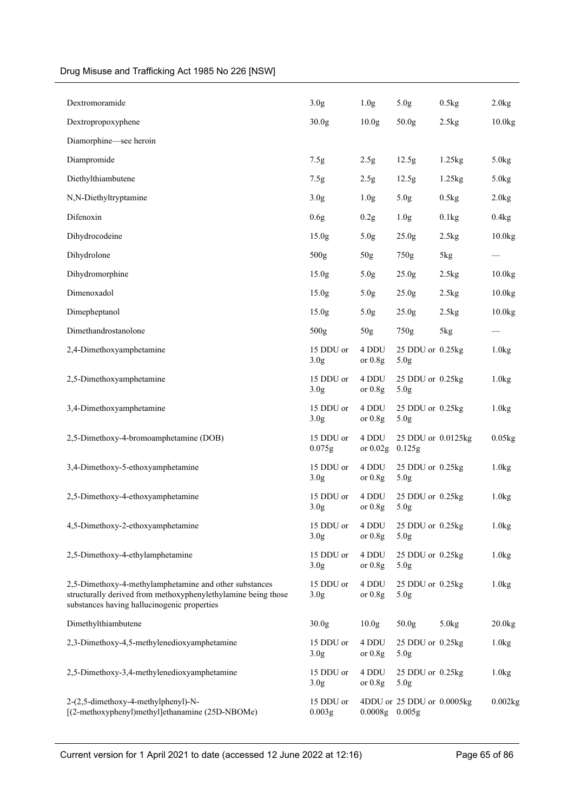| Dextromoramide                                                                                                                                                         | 3.0 <sub>g</sub>              | 1.0 <sub>g</sub>    | 5.0 <sub>g</sub>                     | 0.5kg  | 2.0kg   |
|------------------------------------------------------------------------------------------------------------------------------------------------------------------------|-------------------------------|---------------------|--------------------------------------|--------|---------|
| Dextropropoxyphene                                                                                                                                                     | 30.0 <sub>g</sub>             | 10.0 <sub>g</sub>   | 50.0 <sub>g</sub>                    | 2.5kg  | 10.0kg  |
| Diamorphine—see heroin                                                                                                                                                 |                               |                     |                                      |        |         |
| Diampromide                                                                                                                                                            | 7.5g                          | 2.5g                | 12.5 <sub>g</sub>                    | 1.25kg | 5.0kg   |
| Diethylthiambutene                                                                                                                                                     | 7.5g                          | 2.5g                | 12.5g                                | 1.25kg | 5.0kg   |
| N,N-Diethyltryptamine                                                                                                                                                  | 3.0 <sub>g</sub>              | 1.0 <sub>g</sub>    | 5.0 <sub>g</sub>                     | 0.5kg  | 2.0kg   |
| Difenoxin                                                                                                                                                              | 0.6g                          | 0.2g                | 1.0 <sub>g</sub>                     | 0.1kg  | 0.4kg   |
| Dihydrocodeine                                                                                                                                                         | 15.0 <sub>g</sub>             | 5.0 <sub>g</sub>    | 25.0g                                | 2.5kg  | 10.0kg  |
| Dihydrolone                                                                                                                                                            | 500g                          | 50g                 | 750g                                 | 5kg    |         |
| Dihydromorphine                                                                                                                                                        | 15.0 <sub>g</sub>             | 5.0 <sub>g</sub>    | 25.0 <sub>g</sub>                    | 2.5kg  | 10.0kg  |
| Dimenoxadol                                                                                                                                                            | 15.0 <sub>g</sub>             | 5.0 <sub>g</sub>    | 25.0 <sub>g</sub>                    | 2.5kg  | 10.0kg  |
| Dimepheptanol                                                                                                                                                          | 15.0 <sub>g</sub>             | 5.0 <sub>g</sub>    | 25.0g                                | 2.5kg  | 10.0kg  |
| Dimethandrostanolone                                                                                                                                                   | 500g                          | 50 <sub>g</sub>     | 750g                                 | 5kg    |         |
| 2,4-Dimethoxyamphetamine                                                                                                                                               | 15 DDU or<br>3.0 <sub>g</sub> | 4 DDU<br>or $0.8g$  | 25 DDU or 0.25kg<br>5.0 <sub>g</sub> |        | 1.0kg   |
| 2,5-Dimethoxyamphetamine                                                                                                                                               | 15 DDU or<br>3.0 <sub>g</sub> | 4 DDU<br>or $0.8g$  | 25 DDU or 0.25kg<br>5.0g             |        | 1.0kg   |
| 3,4-Dimethoxyamphetamine                                                                                                                                               | 15 DDU or<br>3.0 <sub>g</sub> | 4 DDU<br>or $0.8g$  | 25 DDU or 0.25kg<br>5.0 <sub>g</sub> |        | 1.0kg   |
| 2,5-Dimethoxy-4-bromoamphetamine (DOB)                                                                                                                                 | 15 DDU or<br>0.075g           | 4 DDU<br>or $0.02g$ | 25 DDU or 0.0125kg<br>0.125g         |        | 0.05kg  |
| 3,4-Dimethoxy-5-ethoxyamphetamine                                                                                                                                      | 15 DDU or<br>3.0 <sub>g</sub> | 4 DDU<br>or $0.8g$  | 25 DDU or 0.25kg<br>5.0 <sub>g</sub> |        | 1.0kg   |
| 2,5-Dimethoxy-4-ethoxyamphetamine                                                                                                                                      | 15 DDU or<br>3.0 <sub>g</sub> | 4 DDU<br>or $0.8g$  | 25 DDU or 0.25kg<br>5.0g             |        | 1.0kg   |
| 4,5-Dimethoxy-2-ethoxyamphetamine                                                                                                                                      | 15 DDU or<br>3.0 <sub>g</sub> | 4 DDU<br>or $0.8g$  | 25 DDU or 0.25kg<br>5.0 <sub>g</sub> |        | 1.0kg   |
| 2,5-Dimethoxy-4-ethylamphetamine                                                                                                                                       | 15 DDU or<br>3.0 <sub>g</sub> | 4 DDU<br>or $0.8g$  | 25 DDU or 0.25kg<br>5.0 <sub>g</sub> |        | 1.0kg   |
| 2,5-Dimethoxy-4-methylamphetamine and other substances<br>structurally derived from methoxyphenylethylamine being those<br>substances having hallucinogenic properties | 15 DDU or<br>3.0 <sub>g</sub> | 4 DDU<br>or $0.8g$  | 25 DDU or 0.25kg<br>5.0 <sub>g</sub> |        | 1.0kg   |
| Dimethylthiambutene                                                                                                                                                    | 30.0 <sub>g</sub>             | 10.0 <sub>g</sub>   | 50.0g                                | 5.0kg  | 20.0kg  |
| 2,3-Dimethoxy-4,5-methylenedioxyamphetamine                                                                                                                            | 15 DDU or<br>3.0 <sub>g</sub> | 4 DDU<br>or $0.8g$  | 25 DDU or 0.25kg<br>5.0 <sub>g</sub> |        | 1.0kg   |
| 2,5-Dimethoxy-3,4-methylenedioxyamphetamine                                                                                                                            | 15 DDU or<br>3.0 <sub>g</sub> | 4 DDU<br>or $0.8g$  | 25 DDU or 0.25kg<br>5.0 <sub>g</sub> |        | 1.0kg   |
| 2-(2,5-dimethoxy-4-methylphenyl)-N-<br>[(2-methoxyphenyl)methyl]ethanamine (25D-NBOMe)                                                                                 | 15 DDU or<br>0.003g           | $0.0008g$ $0.005g$  | 4DDU or 25 DDU or 0.0005kg           |        | 0.002kg |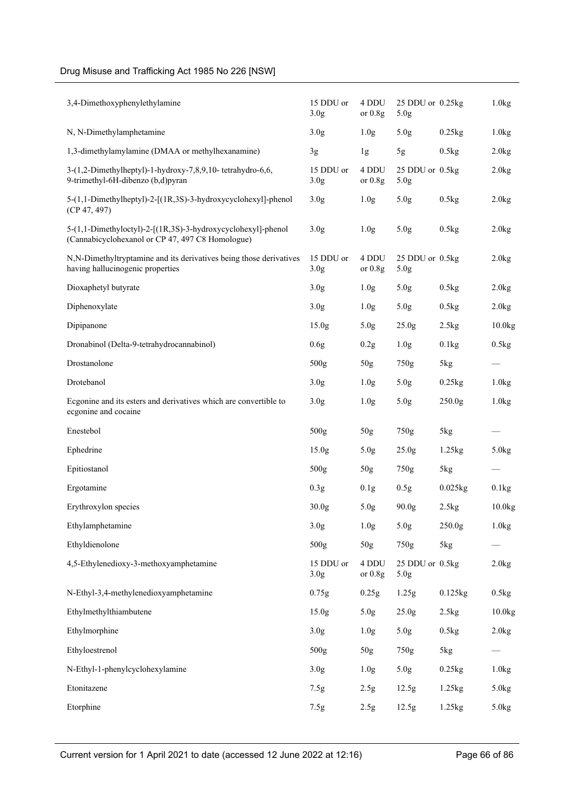| 3,4-Dimethoxyphenylethylamine                                                                                    | 15 DDU or<br>3.0 <sub>g</sub> | 4 DDU<br>or $0.8g$ | 25 DDU or 0.25kg<br>5.0 <sub>g</sub> |                       | 1.0kg              |
|------------------------------------------------------------------------------------------------------------------|-------------------------------|--------------------|--------------------------------------|-----------------------|--------------------|
| N, N-Dimethylamphetamine                                                                                         | 3.0 <sub>g</sub>              | 1.0 <sub>g</sub>   | 5.0 <sub>g</sub>                     | $0.25$ kg             | 1.0kg              |
| 1,3-dimethylamylamine (DMAA or methylhexanamine)                                                                 | 3g                            | 1g                 | 5g                                   | 0.5kg                 | 2.0kg              |
| 3-(1,2-Dimethylheptyl)-1-hydroxy-7,8,9,10- tetrahydro-6,6,<br>9-trimethyl-6H-dibenzo (b,d)pyran                  | 15 DDU or<br>3.0 <sub>g</sub> | 4 DDU<br>or $0.8g$ | 25 DDU or 0.5kg<br>5.0 <sub>g</sub>  |                       | 2.0kg              |
| 5-(1,1-Dimethylheptyl)-2-[(1R,3S)-3-hydroxycyclohexyl]-phenol<br>(CP 47, 497)                                    | 3.0 <sub>g</sub>              | 1.0 <sub>g</sub>   | 5.0 <sub>g</sub>                     | 0.5kg                 | 2.0kg              |
| 5-(1,1-Dimethyloctyl)-2-[(1R,3S)-3-hydroxycyclohexyl]-phenol<br>(Cannabicyclohexanol or CP 47, 497 C8 Homologue) | 3.0 <sub>g</sub>              | 1.0 <sub>g</sub>   | 5.0 <sub>g</sub>                     | 0.5kg                 | 2.0kg              |
| N,N-Dimethyltryptamine and its derivatives being those derivatives<br>having hallucinogenic properties           | 15 DDU or<br>3.0 <sub>g</sub> | 4 DDU<br>or $0.8g$ | 25 DDU or 0.5kg<br>5.0 <sub>g</sub>  |                       | 2.0kg              |
| Dioxaphetyl butyrate                                                                                             | 3.0 <sub>g</sub>              | 1.0 <sub>g</sub>   | 5.0 <sub>g</sub>                     | 0.5kg                 | 2.0kg              |
| Diphenoxylate                                                                                                    | 3.0 <sub>g</sub>              | 1.0 <sub>g</sub>   | 5.0 <sub>g</sub>                     | 0.5kg                 | 2.0kg              |
| Dipipanone                                                                                                       | 15.0 <sub>g</sub>             | 5.0 <sub>g</sub>   | 25.0 <sub>g</sub>                    | 2.5kg                 | 10.0 <sub>kg</sub> |
| Dronabinol (Delta-9-tetrahydrocannabinol)                                                                        | 0.6g                          | 0.2g               | 1.0 <sub>g</sub>                     | 0.1kg                 | 0.5kg              |
| Drostanolone                                                                                                     | 500g                          | 50 <sub>g</sub>    | 750g                                 | 5kg                   |                    |
| Drotebanol                                                                                                       | 3.0 <sub>g</sub>              | 1.0 <sub>g</sub>   | 5.0 <sub>g</sub>                     | 0.25kg                | 1.0kg              |
| Ecgonine and its esters and derivatives which are convertible to<br>ecgonine and cocaine                         | 3.0 <sub>g</sub>              | 1.0 <sub>g</sub>   | 5.0 <sub>g</sub>                     | 250.0g                | 1.0kg              |
| Enestebol                                                                                                        | 500g                          | 50g                | 750g                                 | 5kg                   |                    |
| Ephedrine                                                                                                        | 15.0 <sub>g</sub>             | 5.0 <sub>g</sub>   | 25.0g                                | 1.25kg                | 5.0kg              |
| Epitiostanol                                                                                                     | 500g                          | $50g$              | 750g                                 | 5kg                   |                    |
| Ergotamine                                                                                                       | 0.3 <sub>g</sub>              | 0.1g               | 0.5g                                 | $0.025$ <sub>kg</sub> | 0.1kg              |
| Erythroxylon species                                                                                             | 30.0 <sub>g</sub>             | 5.0 <sub>g</sub>   | 90.0g                                | 2.5kg                 | 10.0kg             |
| Ethylamphetamine                                                                                                 | 3.0 <sub>g</sub>              | 1.0 <sub>g</sub>   | 5.0g                                 | 250.0g                | 1.0kg              |
| Ethyldienolone                                                                                                   | 500g                          | 50 <sub>g</sub>    | 750g                                 | 5kg                   |                    |
| 4,5-Ethylenedioxy-3-methoxyamphetamine                                                                           | 15 DDU or<br>3.0 <sub>g</sub> | 4 DDU<br>or $0.8g$ | 25 DDU or 0.5kg<br>5.0 <sub>g</sub>  |                       | 2.0kg              |
| N-Ethyl-3,4-methylenedioxyamphetamine                                                                            | 0.75g                         | 0.25g              | 1.25g                                | 0.125kg               | 0.5kg              |
| Ethylmethylthiambutene                                                                                           | 15.0 <sub>g</sub>             | 5.0 <sub>g</sub>   | 25.0 <sub>g</sub>                    | 2.5kg                 | 10.0 <sub>kg</sub> |
| Ethylmorphine                                                                                                    | 3.0 <sub>g</sub>              | 1.0 <sub>g</sub>   | 5.0g                                 | 0.5kg                 | 2.0kg              |
| Ethyloestrenol                                                                                                   | 500g                          | 50 <sub>g</sub>    | 750g                                 | 5kg                   |                    |
| N-Ethyl-1-phenylcyclohexylamine                                                                                  | 3.0 <sub>g</sub>              | 1.0 <sub>g</sub>   | 5.0 <sub>g</sub>                     | 0.25kg                | 1.0kg              |
| Etonitazene                                                                                                      | 7.5g                          | 2.5g               | 12.5g                                | 1.25kg                | 5.0kg              |
| Etorphine                                                                                                        | 7.5g                          | 2.5g               | 12.5g                                | 1.25kg                | 5.0kg              |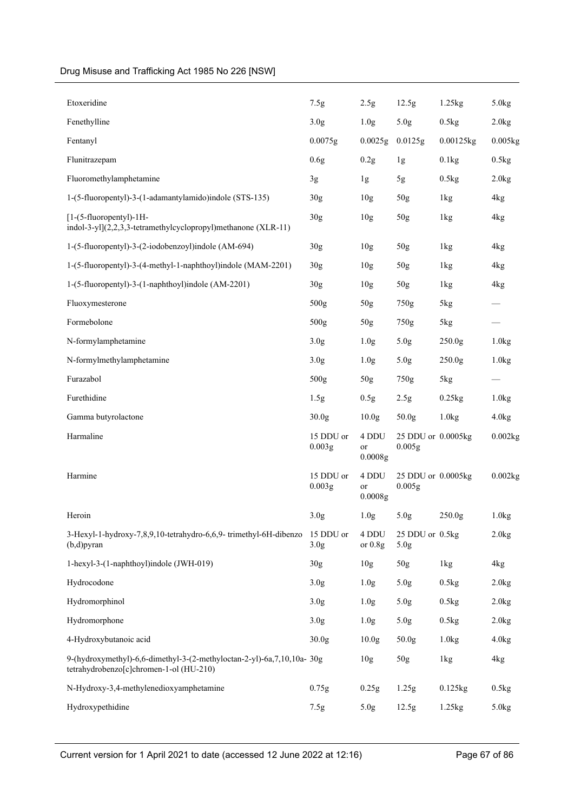| Etoxeridine                                                                                                      | 7.5g                          | 2.5g                   | 12.5g                               | 1.25kg             | 5.0kg   |
|------------------------------------------------------------------------------------------------------------------|-------------------------------|------------------------|-------------------------------------|--------------------|---------|
| Fenethylline                                                                                                     | 3.0 <sub>g</sub>              | 1.0 <sub>g</sub>       | 5.0g                                | 0.5kg              | 2.0kg   |
| Fentanyl                                                                                                         | 0.0075g                       | 0.0025g                | 0.0125g                             | 0.00125kg          | 0.005kg |
| Flunitrazepam                                                                                                    | 0.6g                          | 0.2g                   | 1g                                  | 0.1kg              | 0.5kg   |
| Fluoromethylamphetamine                                                                                          | 3g                            | 1g                     | 5g                                  | 0.5kg              | 2.0kg   |
| 1-(5-fluoropentyl)-3-(1-adamantylamido)indole (STS-135)                                                          | 30g                           | 10 <sub>g</sub>        | 50 <sub>g</sub>                     | 1kg                | 4kg     |
| [1-(5-fluoropentyl)-1H-<br>indol-3-yl](2,2,3,3-tetramethylcyclopropyl)methanone (XLR-11)                         | 30g                           | 10 <sub>g</sub>        | 50g                                 | 1kg                | 4kg     |
| 1-(5-fluoropentyl)-3-(2-iodobenzoyl)indole (AM-694)                                                              | 30g                           | 10 <sub>g</sub>        | 50 <sub>g</sub>                     | 1kg                | 4kg     |
| 1-(5-fluoropentyl)-3-(4-methyl-1-naphthoyl)indole (MAM-2201)                                                     | 30 <sub>g</sub>               | 10 <sub>g</sub>        | 50 <sub>g</sub>                     | 1kg                | 4kg     |
| 1-(5-fluoropentyl)-3-(1-naphthoyl)indole (AM-2201)                                                               | 30 <sub>g</sub>               | 10 <sub>g</sub>        | 50 <sub>g</sub>                     | 1kg                | 4kg     |
| Fluoxymesterone                                                                                                  | 500g                          | $50g$                  | 750g                                | 5kg                |         |
| Formebolone                                                                                                      | 500g                          | 50g                    | 750g                                | 5kg                |         |
| N-formylamphetamine                                                                                              | 3.0 <sub>g</sub>              | 1.0 <sub>g</sub>       | 5.0 <sub>g</sub>                    | 250.0g             | 1.0kg   |
| N-formylmethylamphetamine                                                                                        | 3.0 <sub>g</sub>              | 1.0 <sub>g</sub>       | 5.0 <sub>g</sub>                    | 250.0 <sub>g</sub> | 1.0kg   |
| Furazabol                                                                                                        | 500g                          | 50g                    | 750g                                | 5kg                |         |
| Furethidine                                                                                                      | 1.5 <sub>g</sub>              | 0.5g                   | 2.5g                                | 0.25kg             | 1.0kg   |
| Gamma butyrolactone                                                                                              | 30.0 <sub>g</sub>             | 10.0 <sub>g</sub>      | 50.0g                               | 1.0kg              | 4.0kg   |
| Harmaline                                                                                                        | 15 DDU or<br>0.003g           | 4 DDU<br>or<br>0.0008g | 25 DDU or 0.0005kg<br>0.005g        |                    | 0.002kg |
| Harmine                                                                                                          | 15 DDU or<br>0.003g           | 4 DDU<br>or<br>0.0008g | 25 DDU or 0.0005kg<br>0.005g        |                    | 0.002kg |
| Heroin                                                                                                           | 3.0 <sub>g</sub>              | 1.0 <sub>g</sub>       | 5.0 <sub>g</sub>                    | 250.0 <sub>g</sub> | 1.0kg   |
| 3-Hexyl-1-hydroxy-7,8,9,10-tetrahydro-6,6,9- trimethyl-6H-dibenzo<br>$(b,d)$ pyran                               | 15 DDU or<br>3.0 <sub>g</sub> | 4 DDU<br>or $0.8g$     | 25 DDU or 0.5kg<br>5.0 <sub>g</sub> |                    | 2.0kg   |
| 1-hexyl-3-(1-naphthoyl)indole (JWH-019)                                                                          | 30g                           | 10 <sub>g</sub>        | 50 <sub>g</sub>                     | 1kg                | 4kg     |
| Hydrocodone                                                                                                      | 3.0 <sub>g</sub>              | 1.0 <sub>g</sub>       | 5.0 <sub>g</sub>                    | 0.5kg              | 2.0kg   |
| Hydromorphinol                                                                                                   | 3.0 <sub>g</sub>              | 1.0 <sub>g</sub>       | 5.0 <sub>g</sub>                    | 0.5kg              | 2.0kg   |
| Hydromorphone                                                                                                    | 3.0 <sub>g</sub>              | 1.0 <sub>g</sub>       | 5.0 <sub>g</sub>                    | 0.5kg              | 2.0kg   |
| 4-Hydroxybutanoic acid                                                                                           | 30.0 <sub>g</sub>             | 10.0 <sub>g</sub>      | 50.0g                               | 1.0kg              | 4.0kg   |
| 9-(hydroxymethyl)-6,6-dimethyl-3-(2-methyloctan-2-yl)-6a,7,10,10a-30g<br>tetrahydrobenzo[c]chromen-1-ol (HU-210) |                               | 10 <sub>g</sub>        | 50g                                 | 1kg                | 4kg     |
| N-Hydroxy-3,4-methylenedioxyamphetamine                                                                          | 0.75g                         | 0.25g                  | 1.25g                               | $0.125$ kg         | 0.5kg   |
| Hydroxypethidine                                                                                                 | 7.5g                          | 5.0 <sub>g</sub>       | 12.5g                               | 1.25kg             | 5.0kg   |
|                                                                                                                  |                               |                        |                                     |                    |         |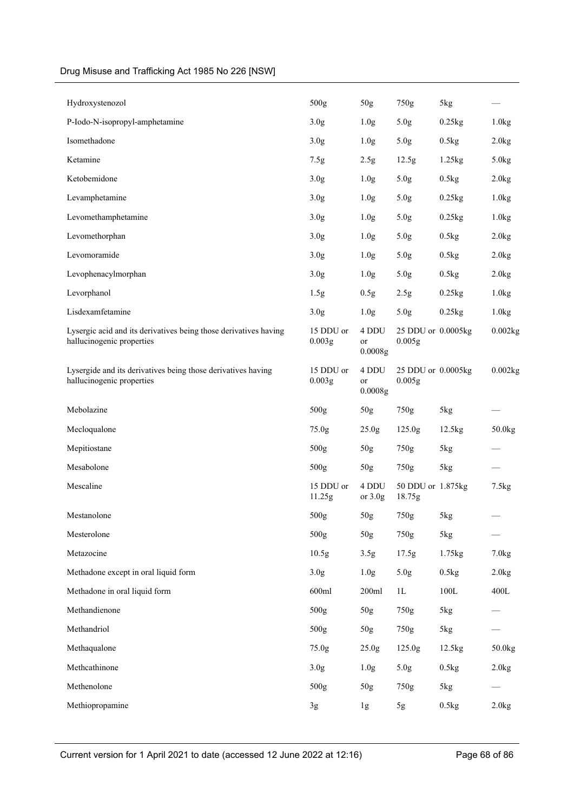| Hydroxystenozol                                                                               | 500g                | 50g                    | 750g                         | 5kg             |                    |
|-----------------------------------------------------------------------------------------------|---------------------|------------------------|------------------------------|-----------------|--------------------|
| P-Iodo-N-isopropyl-amphetamine                                                                | 3.0 <sub>g</sub>    | 1.0 <sub>g</sub>       | 5.0 <sub>g</sub>             | 0.25kg          | 1.0kg              |
| Isomethadone                                                                                  | 3.0 <sub>g</sub>    | 1.0 <sub>g</sub>       | 5.0 <sub>g</sub>             | 0.5kg           | 2.0kg              |
| Ketamine                                                                                      | 7.5g                | 2.5g                   | 12.5g                        | 1.25kg          | 5.0kg              |
| Ketobemidone                                                                                  | 3.0 <sub>g</sub>    | 1.0 <sub>g</sub>       | 5.0 <sub>g</sub>             | 0.5kg           | 2.0kg              |
| Levamphetamine                                                                                | 3.0 <sub>g</sub>    | 1.0 <sub>g</sub>       | 5.0 <sub>g</sub>             | 0.25kg          | 1.0kg              |
| Levomethamphetamine                                                                           | 3.0 <sub>g</sub>    | 1.0 <sub>g</sub>       | 5.0 <sub>g</sub>             | 0.25kg          | 1.0kg              |
| Levomethorphan                                                                                | 3.0 <sub>g</sub>    | 1.0 <sub>g</sub>       | 5.0 <sub>g</sub>             | 0.5kg           | 2.0kg              |
| Levomoramide                                                                                  | 3.0 <sub>g</sub>    | 1.0 <sub>g</sub>       | 5.0 <sub>g</sub>             | 0.5kg           | 2.0kg              |
| Levophenacylmorphan                                                                           | 3.0 <sub>g</sub>    | 1.0 <sub>g</sub>       | 5.0 <sub>g</sub>             | 0.5kg           | 2.0kg              |
| Levorphanol                                                                                   | 1.5g                | 0.5g                   | 2.5g                         | 0.25kg          | 1.0kg              |
| Lisdexamfetamine                                                                              | 3.0 <sub>g</sub>    | 1.0 <sub>g</sub>       | 5.0 <sub>g</sub>             | $0.25$ kg       | 1.0kg              |
| Lysergic acid and its derivatives being those derivatives having<br>hallucinogenic properties | 15 DDU or<br>0.003g | 4 DDU<br>or<br>0.0008g | 25 DDU or 0.0005kg<br>0.005g |                 | 0.002kg            |
| Lysergide and its derivatives being those derivatives having<br>hallucinogenic properties     | 15 DDU or<br>0.003g | 4 DDU<br>or<br>0.0008g | 25 DDU or 0.0005kg<br>0.005g |                 | 0.002kg            |
|                                                                                               |                     |                        |                              |                 |                    |
| Mebolazine                                                                                    | 500g                | 50g                    | 750g                         | 5kg             |                    |
| Mecloqualone                                                                                  | 75.0 <sub>g</sub>   | 25.0 <sub>g</sub>      | 125.0 <sub>g</sub>           | 12.5kg          | 50.0 <sub>kg</sub> |
| Mepitiostane                                                                                  | 500g                | 50g                    | 750g                         | 5kg             |                    |
| Mesabolone                                                                                    | 500g                | $50g$                  | 750g                         | 5kg             |                    |
| Mescaline                                                                                     | 15 DDU or<br>11.25g | 4 DDU<br>or $3.0g$     | 50 DDU or 1.875kg<br>18.75g  |                 | 7.5kg              |
| Mestanolone                                                                                   | 500 <sub>g</sub>    | 50 <sub>g</sub>        | 750g                         | 5kg             |                    |
| Mesterolone                                                                                   | 500g                | 50g                    | 750g                         | 5kg             |                    |
| Metazocine                                                                                    | 10.5g               | 3.5g                   | 17.5g                        | 1.75kg          | 7.0kg              |
| Methadone except in oral liquid form                                                          | 3.0 <sub>g</sub>    | 1.0 <sub>g</sub>       | 5.0g                         | 0.5kg           | 2.0kg              |
| Methadone in oral liquid form                                                                 | 600ml               | 200ml                  | 1L                           | $100\mathrm{L}$ | 400L               |
| Methandienone                                                                                 | 500g                | 50g                    | 750g                         | 5kg             |                    |
| Methandriol                                                                                   | 500g                | 50g                    | 750g                         | 5kg             |                    |
| Methaqualone                                                                                  | 75.0g               | 25.0 <sub>g</sub>      | 125.0g                       | 12.5kg          | 50.0kg             |
| Methcathinone                                                                                 | 3.0 <sub>g</sub>    | 1.0 <sub>g</sub>       | 5.0g                         | 0.5kg           | 2.0kg              |
| Methenolone                                                                                   | 500g                | 50g                    | 750g                         | 5kg             |                    |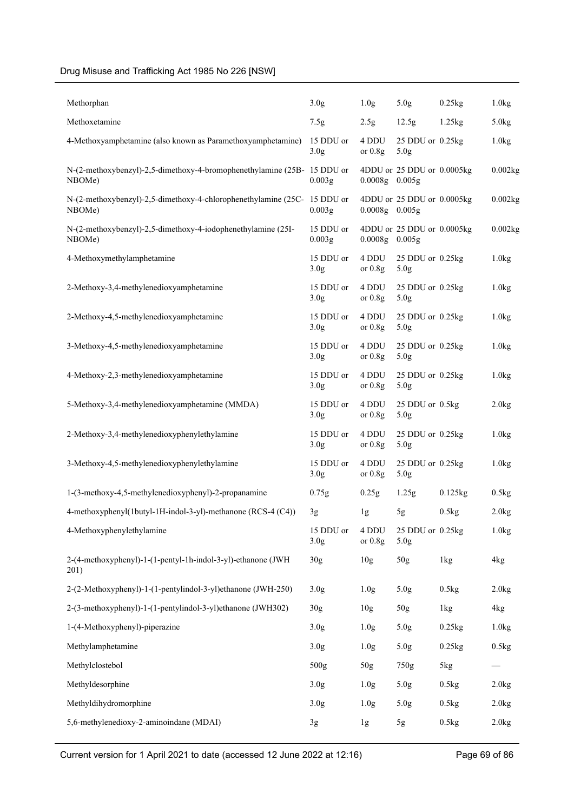| Methorphan                                                                       | 3.0 <sub>g</sub>              | 1.0 <sub>g</sub>   | 5.0 <sub>g</sub>                          | 0.25kg     | 1.0kg                 |
|----------------------------------------------------------------------------------|-------------------------------|--------------------|-------------------------------------------|------------|-----------------------|
| Methoxetamine                                                                    | 7.5g                          | 2.5g               | 12.5g                                     | 1.25kg     | 5.0kg                 |
| 4-Methoxyamphetamine (also known as Paramethoxyamphetamine)                      | 15 DDU or<br>3.0 <sub>g</sub> | 4 DDU<br>or $0.8g$ | $25$ DDU or $0.25$ kg<br>5.0 <sub>g</sub> |            | 1.0kg                 |
| N-(2-methoxybenzyl)-2,5-dimethoxy-4-bromophenethylamine (25B-15 DDU or<br>NBOMe) | 0.003g                        | $0.0008g$ $0.005g$ | 4DDU or 25 DDU or 0.0005kg                |            | 0.002kg               |
| N-(2-methoxybenzyl)-2,5-dimethoxy-4-chlorophenethylamine (25C-<br>NBOMe)         | 15 DDU or<br>0.003g           | $0.0008g$ $0.005g$ | 4DDU or 25 DDU or 0.0005kg                |            | $0.002$ <sub>kg</sub> |
| N-(2-methoxybenzyl)-2,5-dimethoxy-4-iodophenethylamine (25I-<br>NBOMe)           | 15 DDU or<br>0.003g           | $0.0008g$ $0.005g$ | 4DDU or 25 DDU or 0.0005kg                |            | 0.002kg               |
| 4-Methoxymethylamphetamine                                                       | 15 DDU or<br>3.0 <sub>g</sub> | 4 DDU<br>or $0.8g$ | 25 DDU or 0.25kg<br>5.0 <sub>g</sub>      |            | 1.0kg                 |
| 2-Methoxy-3,4-methylenedioxyamphetamine                                          | 15 DDU or<br>3.0 <sub>g</sub> | 4 DDU<br>or $0.8g$ | 25 DDU or 0.25kg<br>5.0 <sub>g</sub>      |            | 1.0kg                 |
| 2-Methoxy-4,5-methylenedioxyamphetamine                                          | 15 DDU or<br>3.0 <sub>g</sub> | 4 DDU<br>or $0.8g$ | 25 DDU or 0.25kg<br>5.0 <sub>g</sub>      |            | 1.0kg                 |
| 3-Methoxy-4,5-methylenedioxyamphetamine                                          | 15 DDU or<br>3.0 <sub>g</sub> | 4 DDU<br>or $0.8g$ | 25 DDU or 0.25kg<br>5.0 <sub>g</sub>      |            | 1.0kg                 |
| 4-Methoxy-2,3-methylenedioxyamphetamine                                          | 15 DDU or<br>3.0 <sub>g</sub> | 4 DDU<br>or $0.8g$ | 25 DDU or 0.25kg<br>5.0 <sub>g</sub>      |            | 1.0kg                 |
| 5-Methoxy-3,4-methylenedioxyamphetamine (MMDA)                                   | 15 DDU or<br>3.0 <sub>g</sub> | 4 DDU<br>or $0.8g$ | 25 DDU or 0.5kg<br>5.0 <sub>g</sub>       |            | 2.0kg                 |
| 2-Methoxy-3,4-methylenedioxyphenylethylamine                                     | 15 DDU or<br>3.0 <sub>g</sub> | 4 DDU<br>or $0.8g$ | 25 DDU or 0.25kg<br>5.0 <sub>g</sub>      |            | 1.0kg                 |
| 3-Methoxy-4,5-methylenedioxyphenylethylamine                                     | 15 DDU or<br>3.0 <sub>g</sub> | 4 DDU<br>or $0.8g$ | 25 DDU or 0.25kg<br>5.0 <sub>g</sub>      |            | 1.0kg                 |
| 1-(3-methoxy-4,5-methylenedioxyphenyl)-2-propanamine                             | 0.75g                         | 0.25g              | 1.25g                                     | $0.125$ kg | 0.5kg                 |
| 4-methoxyphenyl(1butyl-1H-indol-3-yl)-methanone (RCS-4 (C4))                     | 3g                            | 1g                 | 5g                                        | 0.5kg      | 2.0kg                 |
| 4-Methoxyphenylethylamine                                                        | 15 DDU or<br>3.0 <sub>g</sub> | 4 DDU<br>or $0.8g$ | 25 DDU or 0.25kg<br>5.0 <sub>g</sub>      |            | 1.0kg                 |
| 2-(4-methoxyphenyl)-1-(1-pentyl-1h-indol-3-yl)-ethanone (JWH<br>201)             | 30 <sub>g</sub>               | 10 <sub>g</sub>    | 50g                                       | 1kg        | 4kg                   |
| 2-(2-Methoxyphenyl)-1-(1-pentylindol-3-yl)ethanone (JWH-250)                     | 3.0 <sub>g</sub>              | 1.0 <sub>g</sub>   | 5.0g                                      | 0.5kg      | 2.0kg                 |
| 2-(3-methoxyphenyl)-1-(1-pentylindol-3-yl)ethanone (JWH302)                      | 30g                           | 10 <sub>g</sub>    | 50 <sub>g</sub>                           | 1kg        | 4kg                   |
| 1-(4-Methoxyphenyl)-piperazine                                                   | 3.0 <sub>g</sub>              | 1.0 <sub>g</sub>   | 5.0g                                      | 0.25kg     | 1.0kg                 |
| Methylamphetamine                                                                | 3.0 <sub>g</sub>              | 1.0 <sub>g</sub>   | 5.0g                                      | 0.25kg     | 0.5kg                 |
| Methylclostebol                                                                  | 500g                          | 50 <sub>g</sub>    | 750g                                      | 5kg        |                       |
| Methyldesorphine                                                                 | 3.0 <sub>g</sub>              | 1.0 <sub>g</sub>   | 5.0g                                      | 0.5kg      | 2.0kg                 |
| Methyldihydromorphine                                                            | 3.0 <sub>g</sub>              | 1.0 <sub>g</sub>   | 5.0g                                      | 0.5kg      | 2.0kg                 |
| 5,6-methylenedioxy-2-aminoindane (MDAI)                                          | 3g                            | 1g                 | 5g                                        | 0.5kg      | 2.0kg                 |

Current version for 1 April 2021 to date (accessed 12 June 2022 at 12:16) Page 69 of 86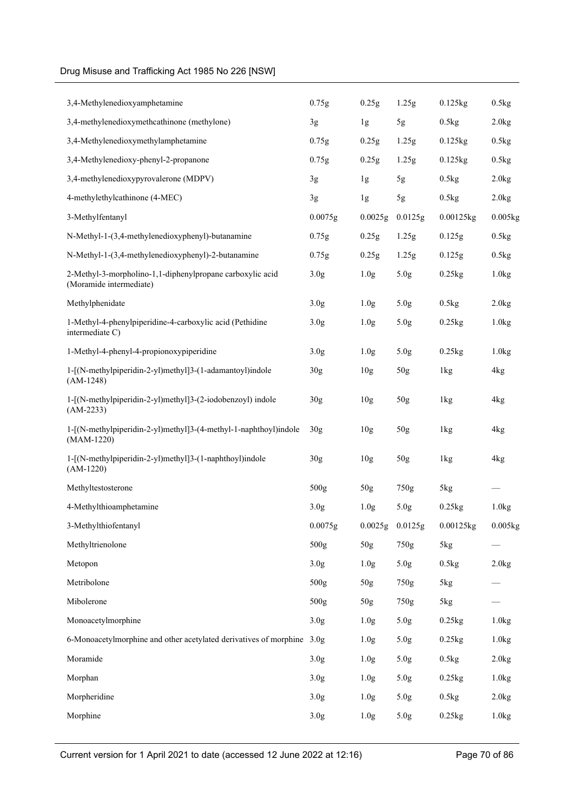| 3,4-Methylenedioxyamphetamine                                                        | 0.75g            | 0.25g               | 1.25g            | $0.125$ kg | 0.5kg                 |
|--------------------------------------------------------------------------------------|------------------|---------------------|------------------|------------|-----------------------|
| 3,4-methylenedioxymethcathinone (methylone)                                          | 3g               | 1g                  | 5g               | 0.5kg      | 2.0kg                 |
| 3,4-Methylenedioxymethylamphetamine                                                  | 0.75g            | 0.25g               | 1.25g            | $0.125$ kg | 0.5kg                 |
| 3,4-Methylenedioxy-phenyl-2-propanone                                                | 0.75g            | 0.25g               | 1.25g            | $0.125$ kg | 0.5kg                 |
| 3,4-methylenedioxypyrovalerone (MDPV)                                                | 3g               | 1g                  | 5g               | 0.5kg      | 2.0kg                 |
| 4-methylethylcathinone (4-MEC)                                                       | 3g               | 1g                  | 5g               | 0.5kg      | 2.0kg                 |
| 3-Methylfentanyl                                                                     | 0.0075g          | 0.0025g             | 0.0125g          | 0.00125kg  | $0.005$ <sub>kg</sub> |
| N-Methyl-1-(3,4-methylenedioxyphenyl)-butanamine                                     | 0.75g            | 0.25g               | 1.25g            | 0.125g     | 0.5kg                 |
| N-Methyl-1-(3,4-methylenedioxyphenyl)-2-butanamine                                   | 0.75g            | 0.25g               | 1.25g            | 0.125g     | 0.5kg                 |
| 2-Methyl-3-morpholino-1,1-diphenylpropane carboxylic acid<br>(Moramide intermediate) | 3.0 <sub>g</sub> | 1.0 <sub>g</sub>    | 5.0 <sub>g</sub> | 0.25kg     | 1.0kg                 |
| Methylphenidate                                                                      | 3.0 <sub>g</sub> | 1.0 <sub>g</sub>    | 5.0 <sub>g</sub> | 0.5kg      | 2.0kg                 |
| 1-Methyl-4-phenylpiperidine-4-carboxylic acid (Pethidine<br>intermediate C)          | 3.0 <sub>g</sub> | 1.0 <sub>g</sub>    | 5.0 <sub>g</sub> | 0.25kg     | 1.0kg                 |
| 1-Methyl-4-phenyl-4-propionoxypiperidine                                             | 3.0 <sub>g</sub> | 1.0 <sub>g</sub>    | 5.0 <sub>g</sub> | $0.25$ kg  | 1.0kg                 |
| 1-[(N-methylpiperidin-2-yl)methyl]3-(1-adamantoyl)indole<br>$(AM-1248)$              | 30 <sub>g</sub>  | 10 <sub>g</sub>     | 50 <sub>g</sub>  | 1kg        | 4kg                   |
| 1-[(N-methylpiperidin-2-yl)methyl]3-(2-iodobenzoyl) indole<br>$(AM-2233)$            | 30g              | 10 <sub>g</sub>     | 50 <sub>g</sub>  | 1kg        | 4kg                   |
| 1-[(N-methylpiperidin-2-yl)methyl]3-(4-methyl-1-naphthoyl)indole<br>$(MAM-1220)$     | 30 <sub>g</sub>  | 10 <sub>g</sub>     | 50 <sub>g</sub>  | 1kg        | 4kg                   |
| 1-[(N-methylpiperidin-2-yl)methyl]3-(1-naphthoyl)indole<br>$(AM-1220)$               | 30g              | 10 <sub>g</sub>     | 50g              | 1kg        | 4kg                   |
| Methyltestosterone                                                                   | 500g             | 50 <sub>g</sub>     | 750g             | 5kg        |                       |
| 4-Methylthioamphetamine                                                              | 3.0 <sub>g</sub> | 1.0 <sub>g</sub>    | 5.0 <sub>g</sub> | $0.25$ kg  | 1.0kg                 |
| 3-Methylthiofentanyl                                                                 | 0.0075g          | $0.0025g$ $0.0125g$ |                  | 0.00125kg  | 0.005kg               |
| Methyltrienolone                                                                     | 500g             | 50 <sub>g</sub>     | 750g             | 5kg        |                       |
| Metopon                                                                              | 3.0 <sub>g</sub> | 1.0 <sub>g</sub>    | 5.0g             | 0.5kg      | 2.0kg                 |
| Metribolone                                                                          | 500g             | 50g                 | 750g             | 5kg        |                       |
| Mibolerone                                                                           | 500g             | 50 <sub>g</sub>     | 750g             | 5kg        |                       |
| Monoacetylmorphine                                                                   | 3.0 <sub>g</sub> | 1.0 <sub>g</sub>    | 5.0g             | 0.25kg     | 1.0kg                 |
| 6-Monoacetylmorphine and other acetylated derivatives of morphine 3.0g               |                  | 1.0 <sub>g</sub>    | 5.0g             | 0.25kg     | 1.0kg                 |
| Moramide                                                                             | 3.0 <sub>g</sub> | 1.0 <sub>g</sub>    | 5.0g             | 0.5kg      | 2.0kg                 |
| Morphan                                                                              | 3.0 <sub>g</sub> | 1.0 <sub>g</sub>    | 5.0g             | 0.25kg     | 1.0kg                 |
| Morpheridine                                                                         | 3.0 <sub>g</sub> | 1.0 <sub>g</sub>    | 5.0g             | 0.5kg      | 2.0kg                 |
| Morphine                                                                             | 3.0 <sub>g</sub> | 1.0 <sub>g</sub>    | 5.0 <sub>g</sub> | 0.25kg     | 1.0kg                 |
|                                                                                      |                  |                     |                  |            |                       |

Current version for 1 April 2021 to date (accessed 12 June 2022 at 12:16) Page 70 of 86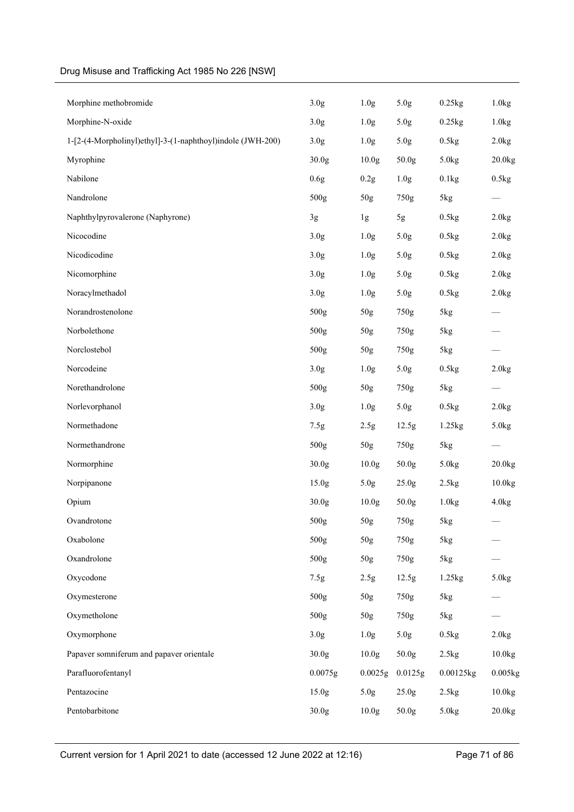| Morphine methobromide                                      | 3.0g              | 1.0 <sub>g</sub>  | 5.0g              | 0.25kg    | 1.0kg              |
|------------------------------------------------------------|-------------------|-------------------|-------------------|-----------|--------------------|
| Morphine-N-oxide                                           | 3.0 <sub>g</sub>  | 1.0 <sub>g</sub>  | 5.0g              | 0.25kg    | 1.0kg              |
| 1-[2-(4-Morpholinyl)ethyl]-3-(1-naphthoyl)indole (JWH-200) | 3.0 <sub>g</sub>  | 1.0 <sub>g</sub>  | 5.0g              | 0.5kg     | 2.0kg              |
| Myrophine                                                  | 30.0 <sub>g</sub> | 10.0 <sub>g</sub> | 50.0g             | 5.0kg     | 20.0kg             |
| Nabilone                                                   | 0.6g              | 0.2g              | 1.0 <sub>g</sub>  | 0.1kg     | 0.5kg              |
| Nandrolone                                                 | 500g              | 50g               | 750g              | 5kg       |                    |
| Naphthylpyrovalerone (Naphyrone)                           | 3g                | 1g                | 5g                | 0.5kg     | 2.0kg              |
| Nicocodine                                                 | 3.0 <sub>g</sub>  | 1.0 <sub>g</sub>  | 5.0g              | 0.5kg     | 2.0kg              |
| Nicodicodine                                               | 3.0 <sub>g</sub>  | 1.0 <sub>g</sub>  | 5.0g              | 0.5kg     | 2.0kg              |
| Nicomorphine                                               | 3.0 <sub>g</sub>  | 1.0 <sub>g</sub>  | 5.0g              | 0.5kg     | 2.0kg              |
| Noracylmethadol                                            | 3.0 <sub>g</sub>  | 1.0 <sub>g</sub>  | 5.0g              | 0.5kg     | 2.0kg              |
| Norandrostenolone                                          | 500g              | 50g               | 750g              | 5kg       |                    |
| Norbolethone                                               | 500g              | 50g               | 750g              | 5kg       |                    |
| Norclostebol                                               | 500g              | 50g               | 750g              | 5kg       |                    |
| Norcodeine                                                 | 3.0 <sub>g</sub>  | 1.0 <sub>g</sub>  | 5.0g              | 0.5kg     | 2.0kg              |
| Norethandrolone                                            | 500g              | 50g               | 750g              | 5kg       |                    |
| Norlevorphanol                                             | 3.0 <sub>g</sub>  | 1.0 <sub>g</sub>  | 5.0g              | 0.5kg     | 2.0kg              |
| Normethadone                                               | 7.5g              | 2.5g              | 12.5g             | 1.25kg    | 5.0 <sub>kg</sub>  |
| Normethandrone                                             | 500g              | $50\mathrm{g}$    | 750g              | 5kg       |                    |
| Normorphine                                                | 30.0 <sub>g</sub> | 10.0 <sub>g</sub> | 50.0g             | 5.0kg     | 20.0kg             |
| Norpipanone                                                | 15.0 <sub>g</sub> | 5.0g              | 25.0 <sub>g</sub> | 2.5kg     | 10.0 <sub>kg</sub> |
| Opium                                                      | 30.0g             | 10.0 <sub>g</sub> | 50.0g             | 1.0kg     | 4.0kg              |
| Ovandrotone                                                | 500g              | 50g               | 750g              | 5kg       |                    |
| Oxabolone                                                  | 500g              | 50g               | 750g              | 5kg       |                    |
| Oxandrolone                                                | 500g              | 50g               | 750g              | 5kg       |                    |
| Oxycodone                                                  | 7.5g              | 2.5g              | 12.5g             | 1.25kg    | 5.0kg              |
| Oxymesterone                                               | 500g              | 50g               | 750g              | 5kg       |                    |
| Oxymetholone                                               | 500g              | 50g               | 750g              | 5kg       |                    |
| Oxymorphone                                                | 3.0 <sub>g</sub>  | 1.0 <sub>g</sub>  | 5.0g              | 0.5kg     | 2.0kg              |
| Papaver somniferum and papaver orientale                   | 30.0 <sub>g</sub> | 10.0 <sub>g</sub> | 50.0g             | 2.5kg     | 10.0 <sub>kg</sub> |
| Parafluorofentanyl                                         | 0.0075g           | 0.0025g           | 0.0125g           | 0.00125kg | 0.005kg            |
| Pentazocine                                                | 15.0 <sub>g</sub> | 5.0g              | 25.0g             | 2.5kg     | 10.0kg             |
| Pentobarbitone                                             | 30.0g             | 10.0 <sub>g</sub> | 50.0g             | 5.0kg     | 20.0kg             |
|                                                            |                   |                   |                   |           |                    |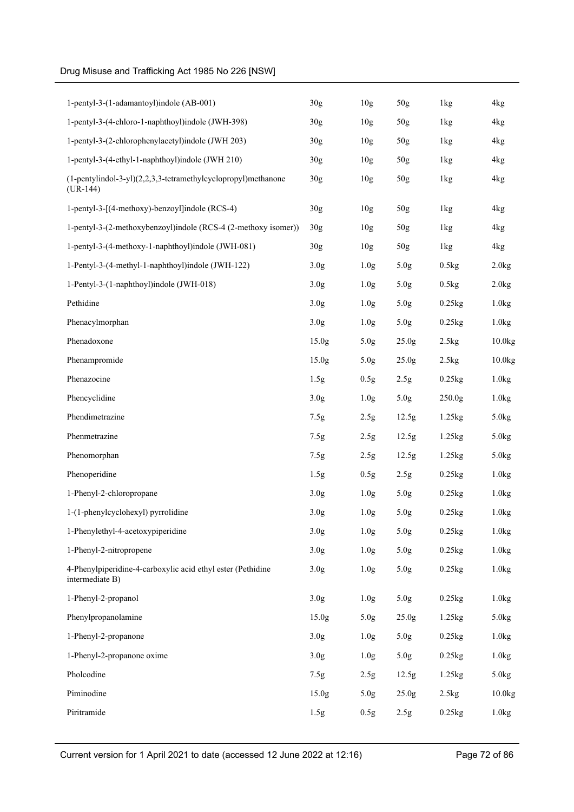| 1-pentyl-3-(1-adamantoyl)indole (AB-001)                                       | 30 <sub>g</sub>   | 10 <sub>g</sub>  | 50 <sub>g</sub>   | 1kg                  | 4 <sub>kg</sub>    |
|--------------------------------------------------------------------------------|-------------------|------------------|-------------------|----------------------|--------------------|
| 1-pentyl-3-(4-chloro-1-naphthoyl)indole (JWH-398)                              | 30 <sub>g</sub>   | 10 <sub>g</sub>  | 50 <sub>g</sub>   | 1kg                  | 4kg                |
| 1-pentyl-3-(2-chlorophenylacetyl)indole (JWH 203)                              | 30 <sub>g</sub>   | 10 <sub>g</sub>  | 50 <sub>g</sub>   | 1kg                  | 4 <sub>kg</sub>    |
| 1-pentyl-3-(4-ethyl-1-naphthoyl)indole (JWH 210)                               | 30 <sub>g</sub>   | 10 <sub>g</sub>  | 50 <sub>g</sub>   | 1kg                  | 4 <sub>kg</sub>    |
| $(1-pentylindol-3-yl)(2,2,3,3-tetramethylcyclopropyl)$ methanone<br>$(UR-144)$ | 30g               | 10 <sub>g</sub>  | 50 <sub>g</sub>   | 1kg                  | 4kg                |
| 1-pentyl-3-[(4-methoxy)-benzoyl]indole (RCS-4)                                 | 30g               | 10 <sub>g</sub>  | 50 <sub>g</sub>   | 1kg                  | 4kg                |
| 1-pentyl-3-(2-methoxybenzoyl)indole (RCS-4 (2-methoxy isomer))                 | 30 <sub>g</sub>   | 10 <sub>g</sub>  | 50 <sub>g</sub>   | 1kg                  | 4kg                |
| 1-pentyl-3-(4-methoxy-1-naphthoyl)indole (JWH-081)                             | 30 <sub>g</sub>   | 10 <sub>g</sub>  | 50 <sub>g</sub>   | 1kg                  | 4kg                |
| 1-Pentyl-3-(4-methyl-1-naphthoyl)indole (JWH-122)                              | 3.0 <sub>g</sub>  | 1.0 <sub>g</sub> | 5.0 <sub>g</sub>  | 0.5kg                | 2.0kg              |
| 1-Pentyl-3-(1-naphthoyl)indole (JWH-018)                                       | 3.0 <sub>g</sub>  | 1.0 <sub>g</sub> | 5.0 <sub>g</sub>  | 0.5kg                | 2.0kg              |
| Pethidine                                                                      | 3.0 <sub>g</sub>  | 1.0 <sub>g</sub> | 5.0 <sub>g</sub>  | $0.25$ kg            | 1.0kg              |
| Phenacylmorphan                                                                | 3.0 <sub>g</sub>  | 1.0 <sub>g</sub> | 5.0 <sub>g</sub>  | $0.25$ <sub>kg</sub> | 1.0kg              |
| Phenadoxone                                                                    | 15.0g             | 5.0 <sub>g</sub> | 25.0g             | 2.5kg                | 10.0kg             |
| Phenampromide                                                                  | 15.0 <sub>g</sub> | 5.0 <sub>g</sub> | 25.0 <sub>g</sub> | 2.5kg                | $10.0$ kg          |
| Phenazocine                                                                    | 1.5g              | 0.5g             | 2.5g              | $0.25$ kg            | 1.0kg              |
| Phencyclidine                                                                  | 3.0 <sub>g</sub>  | 1.0 <sub>g</sub> | 5.0 <sub>g</sub>  | 250.0 <sub>g</sub>   | 1.0kg              |
| Phendimetrazine                                                                | 7.5g              | 2.5g             | 12.5g             | 1.25kg               | 5.0kg              |
| Phenmetrazine                                                                  | 7.5g              | 2.5g             | 12.5g             | 1.25kg               | 5.0kg              |
| Phenomorphan                                                                   | 7.5g              | 2.5 <sub>g</sub> | 12.5g             | 1.25kg               | 5.0kg              |
| Phenoperidine                                                                  | 1.5g              | 0.5g             | 2.5g              | 0.25kg               | 1.0kg              |
| 1-Phenyl-2-chloropropane                                                       | 3.0 <sub>g</sub>  | 1.0 <sub>g</sub> | 5.0 <sub>g</sub>  | $0.25$ <sub>kg</sub> | 1.0kg              |
| 1-(1-phenylcyclohexyl) pyrrolidine                                             | 3.0 <sub>g</sub>  | 1.0 <sub>g</sub> | 5.0 <sub>g</sub>  | $0.25$ kg            | 1.0kg              |
| 1-Phenylethyl-4-acetoxypiperidine                                              | 3.0 <sub>g</sub>  | 1.0 <sub>g</sub> | 5.0 <sub>g</sub>  | $0.25$ kg            | 1.0kg              |
| 1-Phenyl-2-nitropropene                                                        | 3.0 <sub>g</sub>  | 1.0 <sub>g</sub> | 5.0 <sub>g</sub>  | 0.25kg               | 1.0kg              |
| 4-Phenylpiperidine-4-carboxylic acid ethyl ester (Pethidine<br>intermediate B) | 3.0 <sub>g</sub>  | 1.0 <sub>g</sub> | 5.0g              | 0.25kg               | 1.0kg              |
| 1-Phenyl-2-propanol                                                            | 3.0 <sub>g</sub>  | 1.0 <sub>g</sub> | 5.0g              | 0.25kg               | 1.0kg              |
| Phenylpropanolamine                                                            | 15.0 <sub>g</sub> | 5.0 <sub>g</sub> | 25.0g             | $1.25$ kg            | 5.0kg              |
| 1-Phenyl-2-propanone                                                           | 3.0 <sub>g</sub>  | 1.0 <sub>g</sub> | 5.0g              | 0.25kg               | 1.0kg              |
| 1-Phenyl-2-propanone oxime                                                     | 3.0 <sub>g</sub>  | 1.0 <sub>g</sub> | 5.0 <sub>g</sub>  | 0.25kg               | 1.0kg              |
| Pholcodine                                                                     | 7.5g              | 2.5 <sub>g</sub> | 12.5g             | 1.25kg               | 5.0kg              |
| Piminodine                                                                     | 15.0 <sub>g</sub> | 5.0 <sub>g</sub> | 25.0 <sub>g</sub> | 2.5kg                | 10.0 <sub>kg</sub> |
| Piritramide                                                                    | 1.5g              | 0.5g             | 2.5g              | 0.25kg               | 1.0kg              |
|                                                                                |                   |                  |                   |                      |                    |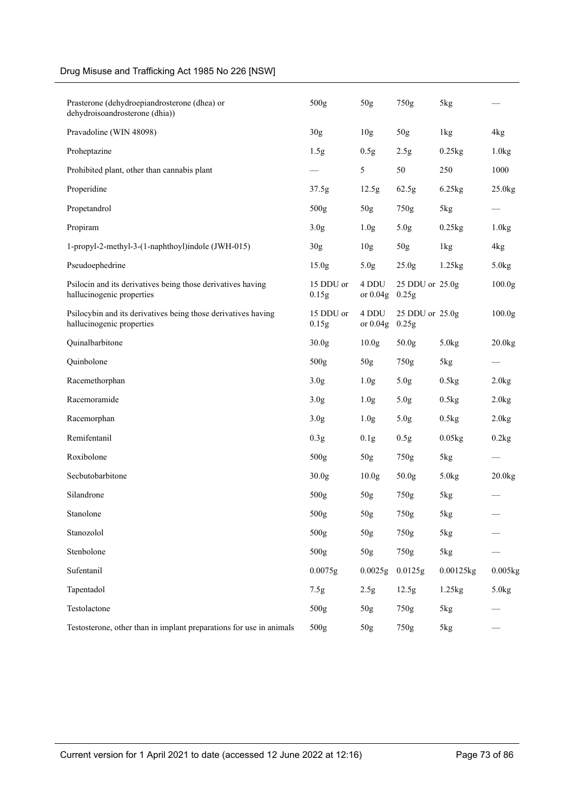| Prasterone (dehydroepiandrosterone (dhea) or<br>dehydroisoandrosterone (dhia))             | 500 <sub>g</sub>   | 50g                 | 750g                     | 5kg       |                      |
|--------------------------------------------------------------------------------------------|--------------------|---------------------|--------------------------|-----------|----------------------|
| Pravadoline (WIN 48098)                                                                    | 30g                | 10 <sub>g</sub>     | $50g$                    | 1kg       | 4kg                  |
| Proheptazine                                                                               | 1.5g               | 0.5g                | 2.5g                     | 0.25kg    | 1.0kg                |
| Prohibited plant, other than cannabis plant                                                |                    | 5                   | 50                       | 250       | 1000                 |
| Properidine                                                                                | 37.5g              | 12.5g               | 62.5g                    | 6.25kg    | 25.0kg               |
| Propetandrol                                                                               | 500g               | 50g                 | 750g                     | 5kg       |                      |
| Propiram                                                                                   | 3.0 <sub>g</sub>   | 1.0 <sub>g</sub>    | 5.0 <sub>g</sub>         | 0.25kg    | 1.0kg                |
| 1-propyl-2-methyl-3-(1-naphthoyl)indole (JWH-015)                                          | 30 <sub>g</sub>    | 10 <sub>g</sub>     | 50g                      | 1kg       | 4kg                  |
| Pseudoephedrine                                                                            | 15.0 <sub>g</sub>  | 5.0 <sub>g</sub>    | 25.0 <sub>g</sub>        | 1.25kg    | 5.0kg                |
| Psilocin and its derivatives being those derivatives having<br>hallucinogenic properties   | 15 DDU or<br>0.15g | 4 DDU<br>or $0.04g$ | 25 DDU or 25.0g<br>0.25g |           | 100.0 <sub>g</sub>   |
| Psilocybin and its derivatives being those derivatives having<br>hallucinogenic properties | 15 DDU or<br>0.15g | 4 DDU<br>or $0.04g$ | 25 DDU or 25.0g<br>0.25g |           | 100.0 <sub>g</sub>   |
| Quinalbarbitone                                                                            | 30.0 <sub>g</sub>  | 10.0 <sub>g</sub>   | 50.0g                    | 5.0kg     | $20.0$ kg            |
| Quinbolone                                                                                 | 500g               | 50g                 | 750g                     | 5kg       |                      |
| Racemethorphan                                                                             | 3.0 <sub>g</sub>   | 1.0 <sub>g</sub>    | 5.0 <sub>g</sub>         | 0.5kg     | 2.0kg                |
| Racemoramide                                                                               | 3.0 <sub>g</sub>   | 1.0 <sub>g</sub>    | 5.0 <sub>g</sub>         | 0.5kg     | 2.0kg                |
| Racemorphan                                                                                | 3.0 <sub>g</sub>   | 1.0 <sub>g</sub>    | 5.0 <sub>g</sub>         | 0.5kg     | 2.0kg                |
| Remifentanil                                                                               | 0.3g               | 0.1g                | 0.5g                     | 0.05kg    | 0.2kg                |
| Roxibolone                                                                                 | 500g               | 50 <sub>g</sub>     | 750g                     | 5kg       |                      |
| Secbutobarbitone                                                                           | 30.0 <sub>g</sub>  | 10.0 <sub>g</sub>   | 50.0 <sub>g</sub>        | 5.0kg     | $20.0$ <sub>kg</sub> |
| Silandrone                                                                                 | 500 <sub>g</sub>   | 50 <sub>g</sub>     | 750g                     | 5kg       |                      |
| Stanolone                                                                                  | 500g               | 50g                 | 750g                     | 5kg       |                      |
| Stanozolol                                                                                 | 500 <sub>g</sub>   | 50g                 | 750g                     | 5kg       |                      |
| Stenbolone                                                                                 | 500g               | 50g                 | 750g                     | 5kg       |                      |
| Sufentanil                                                                                 | 0.0075g            | 0.0025g             | 0.0125g                  | 0.00125kg | 0.005kg              |
| Tapentadol                                                                                 | 7.5g               | 2.5g                | 12.5g                    | 1.25kg    | 5.0kg                |
| Testolactone                                                                               | 500g               | 50g                 | 750g                     | 5kg       |                      |
| Testosterone, other than in implant preparations for use in animals                        | 500g               | 50g                 | 750g                     | 5kg       |                      |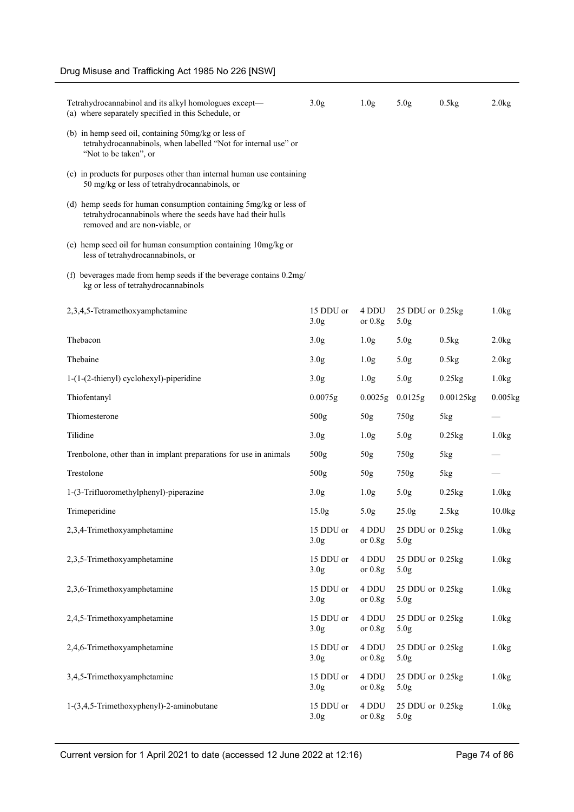| Tetrahydrocannabinol and its alkyl homologues except-<br>(a) where separately specified in this Schedule, or                                                      | 3.0 <sub>g</sub>              | 1.0 <sub>g</sub>   | 5.0 <sub>g</sub>                     | 0.5kg     | 2.0kg      |
|-------------------------------------------------------------------------------------------------------------------------------------------------------------------|-------------------------------|--------------------|--------------------------------------|-----------|------------|
| (b) in hemp seed oil, containing 50mg/kg or less of<br>tetrahydrocannabinols, when labelled "Not for internal use" or<br>"Not to be taken", or                    |                               |                    |                                      |           |            |
| (c) in products for purposes other than internal human use containing<br>50 mg/kg or less of tetrahydrocannabinols, or                                            |                               |                    |                                      |           |            |
| (d) hemp seeds for human consumption containing 5mg/kg or less of<br>tetrahydrocannabinols where the seeds have had their hulls<br>removed and are non-viable, or |                               |                    |                                      |           |            |
| (e) hemp seed oil for human consumption containing 10mg/kg or<br>less of tetrahydrocannabinols, or                                                                |                               |                    |                                      |           |            |
| (f) beverages made from hemp seeds if the beverage contains 0.2mg/<br>kg or less of tetrahydrocannabinols                                                         |                               |                    |                                      |           |            |
| 2,3,4,5-Tetramethoxyamphetamine                                                                                                                                   | 15 DDU or<br>3.0 <sub>g</sub> | 4 DDU<br>or $0.8g$ | 25 DDU or 0.25kg<br>5.0 <sub>g</sub> |           | 1.0kg      |
| Thebacon                                                                                                                                                          | 3.0 <sub>g</sub>              | 1.0 <sub>g</sub>   | 5.0 <sub>g</sub>                     | 0.5kg     | 2.0kg      |
| Thebaine                                                                                                                                                          | 3.0 <sub>g</sub>              | 1.0 <sub>g</sub>   | 5.0 <sub>g</sub>                     | 0.5kg     | 2.0kg      |
| 1-(1-(2-thienyl) cyclohexyl)-piperidine                                                                                                                           | 3.0 <sub>g</sub>              | 1.0 <sub>g</sub>   | 5.0 <sub>g</sub>                     | 0.25kg    | 1.0kg      |
| Thiofentanyl                                                                                                                                                      | 0.0075g                       | 0.0025g            | 0.0125g                              | 0.00125kg | $0.005$ kg |
| Thiomesterone                                                                                                                                                     | 500 <sub>g</sub>              | 50g                | 750g                                 | 5kg       |            |
| Tilidine                                                                                                                                                          | 3.0 <sub>g</sub>              | 1.0 <sub>g</sub>   | 5.0 <sub>g</sub>                     | 0.25kg    | 1.0kg      |
| Trenbolone, other than in implant preparations for use in animals                                                                                                 | 500 <sub>g</sub>              | 50 <sub>g</sub>    | 750g                                 | 5kg       |            |
| Trestolone                                                                                                                                                        | 500 <sub>g</sub>              | $50g$              | 750g                                 | 5kg       |            |
| 1-(3-Trifluoromethylphenyl)-piperazine                                                                                                                            | 3.0 <sub>g</sub>              | 1.0 <sub>g</sub>   | 5.0 <sub>g</sub>                     | 0.25kg    | 1.0kg      |
| Trimeperidine                                                                                                                                                     | 15.0 <sub>g</sub>             | 5.0 <sub>g</sub>   | 25.0 <sub>g</sub>                    | 2.5kg     | 10.0kg     |
| 2,3,4-Trimethoxyamphetamine                                                                                                                                       | 15 DDU or<br>3.0 <sub>g</sub> | 4 DDU<br>or $0.8g$ | 25 DDU or 0.25kg<br>5.0 <sub>g</sub> |           | 1.0kg      |
| 2,3,5-Trimethoxyamphetamine                                                                                                                                       | 15 DDU or<br>3.0 <sub>g</sub> | 4 DDU<br>or $0.8g$ | 25 DDU or 0.25kg<br>5.0 <sub>g</sub> |           | 1.0kg      |
| 2,3,6-Trimethoxyamphetamine                                                                                                                                       | 15 DDU or<br>3.0 <sub>g</sub> | 4 DDU<br>or $0.8g$ | 25 DDU or 0.25kg<br>5.0 <sub>g</sub> |           | 1.0kg      |
| 2,4,5-Trimethoxyamphetamine                                                                                                                                       | 15 DDU or<br>3.0 <sub>g</sub> | 4 DDU<br>or $0.8g$ | 25 DDU or 0.25kg<br>5.0 <sub>g</sub> |           | 1.0kg      |
| 2,4,6-Trimethoxyamphetamine                                                                                                                                       | 15 DDU or<br>3.0 <sub>g</sub> | 4 DDU<br>or $0.8g$ | 25 DDU or 0.25kg<br>5.0 <sub>g</sub> |           | 1.0kg      |
| 3,4,5-Trimethoxyamphetamine                                                                                                                                       | 15 DDU or<br>3.0 <sub>g</sub> | 4 DDU<br>or $0.8g$ | 25 DDU or 0.25kg<br>5.0 <sub>g</sub> |           | 1.0kg      |
| 1-(3,4,5-Trimethoxyphenyl)-2-aminobutane                                                                                                                          | 15 DDU or<br>3.0 <sub>g</sub> | 4 DDU<br>or $0.8g$ | 25 DDU or 0.25kg<br>5.0 <sub>g</sub> |           | 1.0kg      |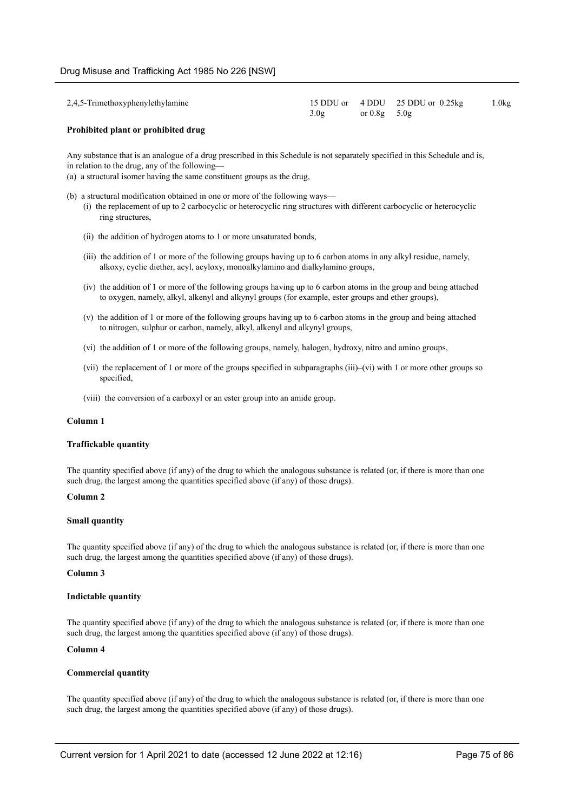| 2,4,5-Trimethoxyphenylethylamine |      |                  | 15 DDU or 4 DDU 25 DDU or 0.25kg | 1.0kg |
|----------------------------------|------|------------------|----------------------------------|-------|
|                                  | 3.0g | or $0.8g - 5.0g$ |                                  |       |

#### **Prohibited plant or prohibited drug**

Any substance that is an analogue of a drug prescribed in this Schedule is not separately specified in this Schedule and is, in relation to the drug, any of the following—

(a) a structural isomer having the same constituent groups as the drug,

- (b) a structural modification obtained in one or more of the following ways—
	- (i) the replacement of up to 2 carbocyclic or heterocyclic ring structures with different carbocyclic or heterocyclic ring structures,
	- (ii) the addition of hydrogen atoms to 1 or more unsaturated bonds,
	- (iii) the addition of 1 or more of the following groups having up to 6 carbon atoms in any alkyl residue, namely, alkoxy, cyclic diether, acyl, acyloxy, monoalkylamino and dialkylamino groups,
	- (iv) the addition of 1 or more of the following groups having up to 6 carbon atoms in the group and being attached to oxygen, namely, alkyl, alkenyl and alkynyl groups (for example, ester groups and ether groups),
	- (v) the addition of 1 or more of the following groups having up to 6 carbon atoms in the group and being attached to nitrogen, sulphur or carbon, namely, alkyl, alkenyl and alkynyl groups,
	- (vi) the addition of 1 or more of the following groups, namely, halogen, hydroxy, nitro and amino groups,
	- (vii) the replacement of 1 or more of the groups specified in subparagraphs (iii)–(vi) with 1 or more other groups so specified,
	- (viii) the conversion of a carboxyl or an ester group into an amide group.

### **Column 1**

#### **Traffickable quantity**

The quantity specified above (if any) of the drug to which the analogous substance is related (or, if there is more than one such drug, the largest among the quantities specified above (if any) of those drugs).

#### **Column 2**

#### **Small quantity**

The quantity specified above (if any) of the drug to which the analogous substance is related (or, if there is more than one such drug, the largest among the quantities specified above (if any) of those drugs).

#### **Column 3**

#### **Indictable quantity**

The quantity specified above (if any) of the drug to which the analogous substance is related (or, if there is more than one such drug, the largest among the quantities specified above (if any) of those drugs).

### **Column 4**

#### **Commercial quantity**

The quantity specified above (if any) of the drug to which the analogous substance is related (or, if there is more than one such drug, the largest among the quantities specified above (if any) of those drugs).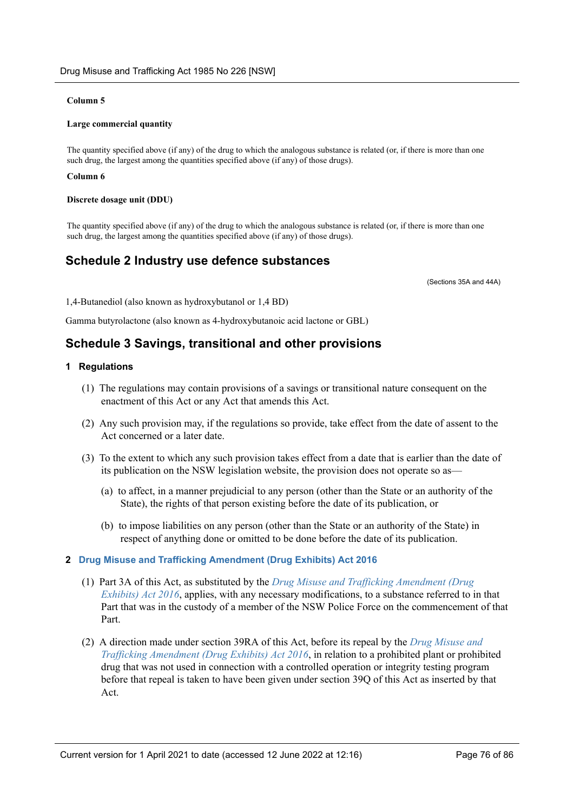## **Column 5**

### **Large commercial quantity**

The quantity specified above (if any) of the drug to which the analogous substance is related (or, if there is more than one such drug, the largest among the quantities specified above (if any) of those drugs).

#### **Column 6**

#### **Discrete dosage unit (DDU)**

The quantity specified above (if any) of the drug to which the analogous substance is related (or, if there is more than one such drug, the largest among the quantities specified above (if any) of those drugs).

# **Schedule 2 Industry use defence substances**

(Sections 35A and 44A)

1,4-Butanediol (also known as hydroxybutanol or 1,4 BD)

Gamma butyrolactone (also known as 4-hydroxybutanoic acid lactone or GBL)

# **Schedule 3 Savings, transitional and other provisions**

## **1 Regulations**

- (1) The regulations may contain provisions of a savings or transitional nature consequent on the enactment of this Act or any Act that amends this Act.
- (2) Any such provision may, if the regulations so provide, take effect from the date of assent to the Act concerned or a later date.
- (3) To the extent to which any such provision takes effect from a date that is earlier than the date of its publication on the NSW legislation website, the provision does not operate so as—
	- (a) to affect, in a manner prejudicial to any person (other than the State or an authority of the State), the rights of that person existing before the date of its publication, or
	- (b) to impose liabilities on any person (other than the State or an authority of the State) in respect of anything done or omitted to be done before the date of its publication.

## **2 [Drug Misuse and Trafficking Amendment \(Drug Exhibits\) Act 2016](https://legacy.legislation.nsw.gov.au/*/view/act/2016/6)**

- (1) Part 3A of this Act, as substituted by the *[Drug Misuse and Trafficking Amendment \(Drug](https://legacy.legislation.nsw.gov.au/*/view/act/2016/6) [Exhibits\) Act 2016](https://legacy.legislation.nsw.gov.au/*/view/act/2016/6)*, applies, with any necessary modifications, to a substance referred to in that Part that was in the custody of a member of the NSW Police Force on the commencement of that Part.
- (2) A direction made under section 39RA of this Act, before its repeal by the *[Drug Misuse and](https://legacy.legislation.nsw.gov.au/*/view/act/2016/6) [Trafficking Amendment \(Drug Exhibits\) Act 2016](https://legacy.legislation.nsw.gov.au/*/view/act/2016/6)*, in relation to a prohibited plant or prohibited drug that was not used in connection with a controlled operation or integrity testing program before that repeal is taken to have been given under section 39Q of this Act as inserted by that Act.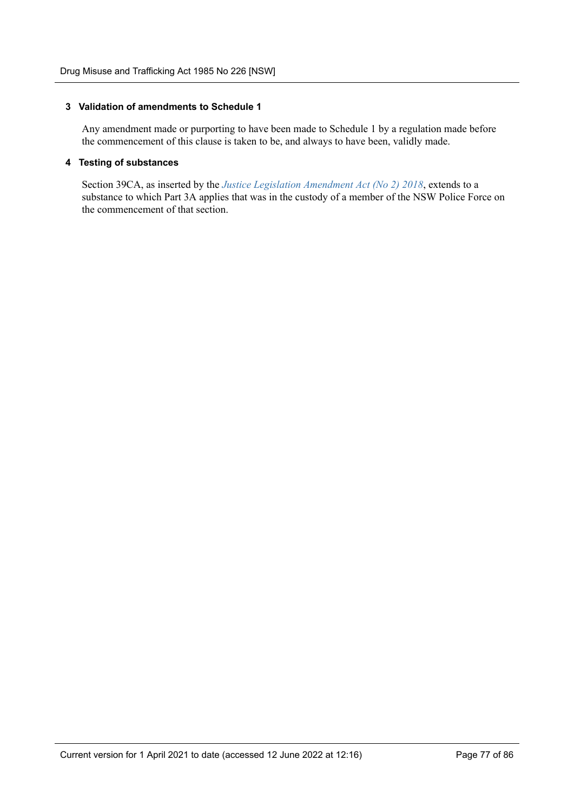## **3 Validation of amendments to Schedule 1**

Any amendment made or purporting to have been made to Schedule 1 by a regulation made before the commencement of this clause is taken to be, and always to have been, validly made.

## **4 Testing of substances**

Section 39CA, as inserted by the *[Justice Legislation Amendment Act \(No 2\) 2018](https://legacy.legislation.nsw.gov.au/*/view/act/2018/29)*, extends to a substance to which Part 3A applies that was in the custody of a member of the NSW Police Force on the commencement of that section.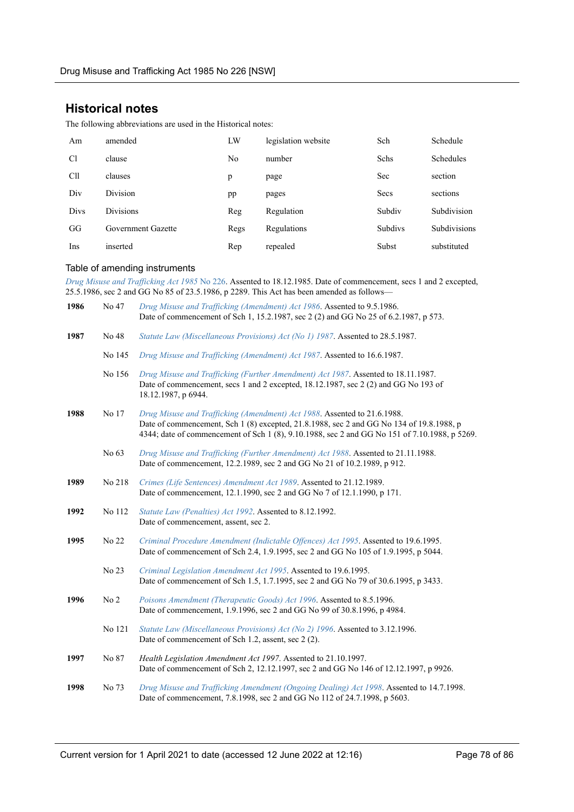# **Historical notes**

The following abbreviations are used in the Historical notes:

| Am             | amended            | LW   | legislation website | Sch            | Schedule     |
|----------------|--------------------|------|---------------------|----------------|--------------|
| C <sub>1</sub> | clause             | No   | number              | Schs           | Schedules    |
| Cll            | clauses            | p    | page                | <b>Sec</b>     | section      |
| Div            | Division           | pp   | pages               | Secs           | sections     |
| Divs           | <b>Divisions</b>   | Reg  | Regulation          | Subdiv         | Subdivision  |
| GG             | Government Gazette | Regs | Regulations         | <b>Subdivs</b> | Subdivisions |
| Ins            | inserted           | Rep  | repealed            | Subst          | substituted  |

## Table of amending instruments

*[Drug Misuse and Trafficking Act 1985](https://legacy.legislation.nsw.gov.au/*/view/act/1985/226)* No 226. Assented to 18.12.1985. Date of commencement, secs 1 and 2 excepted, 25.5.1986, sec 2 and GG No 85 of 23.5.1986, p 2289. This Act has been amended as follows—

| 1986 | No 47           | Drug Misuse and Trafficking (Amendment) Act 1986. Assented to 9.5.1986.<br>Date of commencement of Sch 1, 15.2.1987, sec 2 (2) and GG No 25 of 6.2.1987, p 573.                                                                                                       |
|------|-----------------|-----------------------------------------------------------------------------------------------------------------------------------------------------------------------------------------------------------------------------------------------------------------------|
| 1987 | No 48           | Statute Law (Miscellaneous Provisions) Act (No 1) 1987. Assented to 28.5.1987.                                                                                                                                                                                        |
|      | No 145          | Drug Misuse and Trafficking (Amendment) Act 1987. Assented to 16.6.1987.                                                                                                                                                                                              |
|      | No 156          | Drug Misuse and Trafficking (Further Amendment) Act 1987. Assented to 18.11.1987.<br>Date of commencement, secs 1 and 2 excepted, 18.12.1987, sec 2 (2) and GG No 193 of<br>18.12.1987, p 6944.                                                                       |
| 1988 | No 17           | Drug Misuse and Trafficking (Amendment) Act 1988. Assented to 21.6.1988.<br>Date of commencement, Sch 1 (8) excepted, 21.8.1988, sec 2 and GG No 134 of 19.8.1988, p<br>4344; date of commencement of Sch 1 (8), 9.10.1988, sec 2 and GG No 151 of 7.10.1988, p 5269. |
|      | No 63           | Drug Misuse and Trafficking (Further Amendment) Act 1988. Assented to 21.11.1988.<br>Date of commencement, 12.2.1989, sec 2 and GG No 21 of 10.2.1989, p 912.                                                                                                         |
| 1989 | No 218          | Crimes (Life Sentences) Amendment Act 1989. Assented to 21.12.1989.<br>Date of commencement, 12.1.1990, sec 2 and GG No 7 of 12.1.1990, p 171.                                                                                                                        |
| 1992 | No 112          | Statute Law (Penalties) Act 1992. Assented to 8.12.1992.<br>Date of commencement, assent, sec 2.                                                                                                                                                                      |
| 1995 | No 22           | Criminal Procedure Amendment (Indictable Offences) Act 1995. Assented to 19.6.1995.<br>Date of commencement of Sch 2.4, 1.9.1995, sec 2 and GG No 105 of 1.9.1995, p 5044.                                                                                            |
|      | No 23           | Criminal Legislation Amendment Act 1995. Assented to 19.6.1995.<br>Date of commencement of Sch 1.5, 1.7.1995, sec 2 and GG No 79 of 30.6.1995, p 3433.                                                                                                                |
| 1996 | No <sub>2</sub> | Poisons Amendment (Therapeutic Goods) Act 1996. Assented to 8.5.1996.<br>Date of commencement, 1.9.1996, sec 2 and GG No 99 of 30.8.1996, p 4984.                                                                                                                     |
|      | No 121          | Statute Law (Miscellaneous Provisions) Act (No 2) 1996. Assented to 3.12.1996.<br>Date of commencement of Sch 1.2, assent, sec 2 (2).                                                                                                                                 |
| 1997 | No 87           | Health Legislation Amendment Act 1997. Assented to 21.10.1997.<br>Date of commencement of Sch 2, 12.12.1997, sec 2 and GG No 146 of 12.12.1997, p 9926.                                                                                                               |
| 1998 | No 73           | Drug Misuse and Trafficking Amendment (Ongoing Dealing) Act 1998. Assented to 14.7.1998.<br>Date of commencement, 7.8.1998, sec 2 and GG No 112 of 24.7.1998, p 5603.                                                                                                 |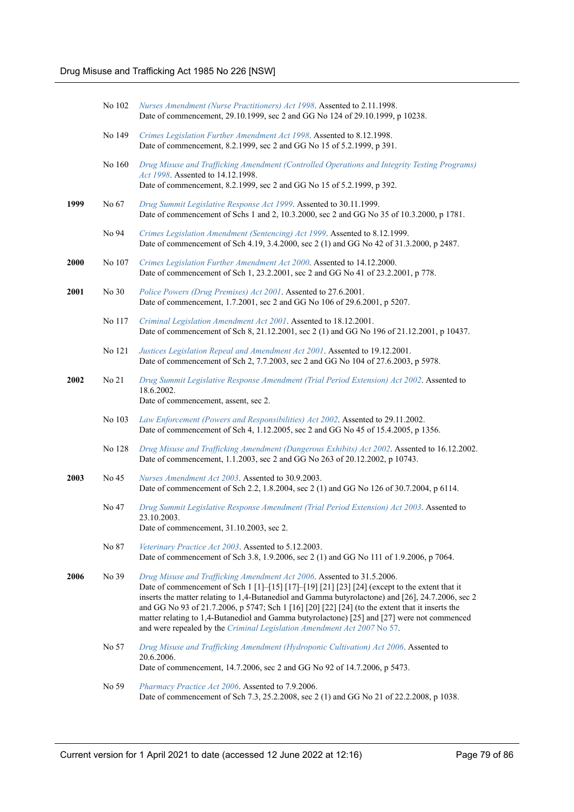|             | No 102 | Nurses Amendment (Nurse Practitioners) Act 1998. Assented to 2.11.1998.<br>Date of commencement, 29.10.1999, sec 2 and GG No 124 of 29.10.1999, p 10238.                                                                                                                                                                                                                                                                                                                                                                                                  |
|-------------|--------|-----------------------------------------------------------------------------------------------------------------------------------------------------------------------------------------------------------------------------------------------------------------------------------------------------------------------------------------------------------------------------------------------------------------------------------------------------------------------------------------------------------------------------------------------------------|
|             | No 149 | Crimes Legislation Further Amendment Act 1998. Assented to 8.12.1998.<br>Date of commencement, 8.2.1999, sec 2 and GG No 15 of 5.2.1999, p 391.                                                                                                                                                                                                                                                                                                                                                                                                           |
|             | No 160 | Drug Misuse and Trafficking Amendment (Controlled Operations and Integrity Testing Programs)<br>Act 1998. Assented to 14.12.1998.<br>Date of commencement, 8.2.1999, sec 2 and GG No 15 of 5.2.1999, p 392.                                                                                                                                                                                                                                                                                                                                               |
| 1999        | No 67  | Drug Summit Legislative Response Act 1999. Assented to 30.11.1999.<br>Date of commencement of Schs 1 and 2, 10.3.2000, sec 2 and GG No 35 of 10.3.2000, p 1781.                                                                                                                                                                                                                                                                                                                                                                                           |
|             | No 94  | Crimes Legislation Amendment (Sentencing) Act 1999. Assented to 8.12.1999.<br>Date of commencement of Sch 4.19, 3.4.2000, sec 2 (1) and GG No 42 of 31.3.2000, p 2487.                                                                                                                                                                                                                                                                                                                                                                                    |
| <b>2000</b> | No 107 | Crimes Legislation Further Amendment Act 2000. Assented to 14.12.2000.<br>Date of commencement of Sch 1, 23.2.2001, sec 2 and GG No 41 of 23.2.2001, p 778.                                                                                                                                                                                                                                                                                                                                                                                               |
| 2001        | No 30  | Police Powers (Drug Premises) Act 2001. Assented to 27.6.2001.<br>Date of commencement, 1.7.2001, sec 2 and GG No 106 of 29.6.2001, p 5207.                                                                                                                                                                                                                                                                                                                                                                                                               |
|             | No 117 | Criminal Legislation Amendment Act 2001. Assented to 18.12.2001.<br>Date of commencement of Sch 8, 21.12.2001, sec 2 (1) and GG No 196 of 21.12.2001, p 10437.                                                                                                                                                                                                                                                                                                                                                                                            |
|             | No 121 | Justices Legislation Repeal and Amendment Act 2001. Assented to 19.12.2001.<br>Date of commencement of Sch 2, 7.7.2003, sec 2 and GG No 104 of 27.6.2003, p 5978.                                                                                                                                                                                                                                                                                                                                                                                         |
| <b>2002</b> | No 21  | Drug Summit Legislative Response Amendment (Trial Period Extension) Act 2002. Assented to<br>18.6.2002.<br>Date of commencement, assent, sec 2.                                                                                                                                                                                                                                                                                                                                                                                                           |
|             | No 103 | Law Enforcement (Powers and Responsibilities) Act 2002. Assented to 29.11.2002.<br>Date of commencement of Sch 4, 1.12.2005, sec 2 and GG No 45 of 15.4.2005, p 1356.                                                                                                                                                                                                                                                                                                                                                                                     |
|             | No 128 | Drug Misuse and Trafficking Amendment (Dangerous Exhibits) Act 2002. Assented to 16.12.2002.<br>Date of commencement, 1.1.2003, sec 2 and GG No 263 of 20.12.2002, p 10743.                                                                                                                                                                                                                                                                                                                                                                               |
| <b>2003</b> | No 45  | Nurses Amendment Act 2003. Assented to 30.9.2003.<br>Date of commencement of Sch 2.2, 1.8.2004, sec 2 (1) and GG No 126 of 30.7.2004, p 6114.                                                                                                                                                                                                                                                                                                                                                                                                             |
|             | No 47  | Drug Summit Legislative Response Amendment (Trial Period Extension) Act 2003. Assented to<br>23.10.2003.<br>Date of commencement, 31.10.2003, sec 2.                                                                                                                                                                                                                                                                                                                                                                                                      |
|             | No 87  | Veterinary Practice Act 2003. Assented to 5.12.2003.<br>Date of commencement of Sch 3.8, 1.9.2006, sec 2 (1) and GG No 111 of 1.9.2006, p 7064.                                                                                                                                                                                                                                                                                                                                                                                                           |
| 2006        | No 39  | Drug Misuse and Trafficking Amendment Act 2006. Assented to 31.5.2006.<br>Date of commencement of Sch 1 [1]-[15] [17]-[19] [21] [23] [24] (except to the extent that it<br>inserts the matter relating to 1,4-Butanediol and Gamma butyrolactone) and [26], 24.7.2006, sec 2<br>and GG No 93 of 21.7.2006, p 5747; Sch 1 [16] [20] [22] [24] (to the extent that it inserts the<br>matter relating to 1,4-Butanediol and Gamma butyrolactone) [25] and [27] were not commenced<br>and were repealed by the Criminal Legislation Amendment Act 2007 No 57. |
|             | No 57  | Drug Misuse and Trafficking Amendment (Hydroponic Cultivation) Act 2006. Assented to<br>20.6.2006.<br>Date of commencement, 14.7.2006, sec 2 and GG No 92 of 14.7.2006, p 5473.                                                                                                                                                                                                                                                                                                                                                                           |
|             | No 59  | Pharmacy Practice Act 2006. Assented to 7.9.2006.<br>Date of commencement of Sch 7.3, 25.2.2008, sec 2 (1) and GG No 21 of 22.2.2008, p 1038.                                                                                                                                                                                                                                                                                                                                                                                                             |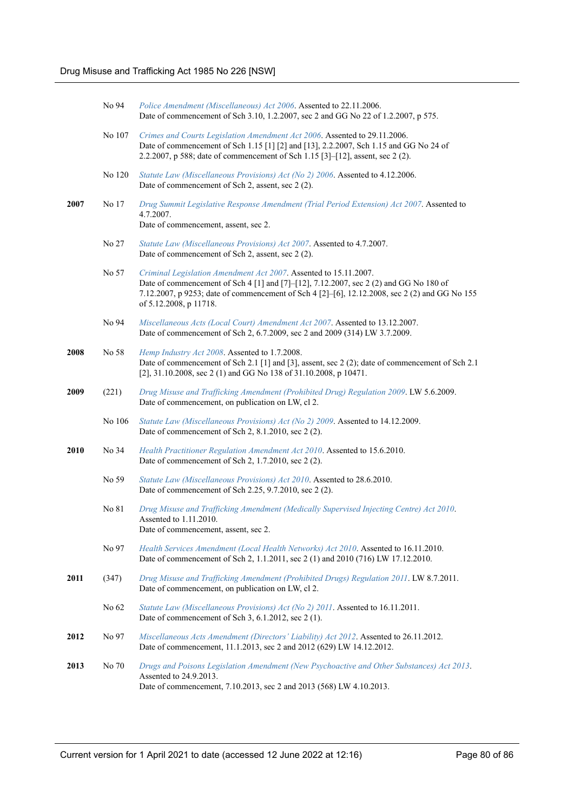|      | No 94  | Police Amendment (Miscellaneous) Act 2006. Assented to 22.11.2006.<br>Date of commencement of Sch 3.10, 1.2.2007, sec 2 and GG No 22 of 1.2.2007, p 575.                                                                                                                             |
|------|--------|--------------------------------------------------------------------------------------------------------------------------------------------------------------------------------------------------------------------------------------------------------------------------------------|
|      | No 107 | Crimes and Courts Legislation Amendment Act 2006. Assented to 29.11.2006.<br>Date of commencement of Sch 1.15 [1] [2] and [13], 2.2.2007, Sch 1.15 and GG No 24 of<br>2.2.2007, p 588; date of commencement of Sch 1.15 [3]-[12], assent, sec 2 (2).                                 |
|      | No 120 | Statute Law (Miscellaneous Provisions) Act (No 2) 2006. Assented to 4.12.2006.<br>Date of commencement of Sch 2, assent, sec 2 (2).                                                                                                                                                  |
| 2007 | No 17  | Drug Summit Legislative Response Amendment (Trial Period Extension) Act 2007. Assented to<br>4.7.2007.<br>Date of commencement, assent, sec 2.                                                                                                                                       |
|      | No 27  | Statute Law (Miscellaneous Provisions) Act 2007. Assented to 4.7.2007.<br>Date of commencement of Sch 2, assent, sec 2 (2).                                                                                                                                                          |
|      | No 57  | Criminal Legislation Amendment Act 2007. Assented to 15.11.2007.<br>Date of commencement of Sch 4 [1] and [7]–[12], 7.12.2007, sec 2 (2) and GG No 180 of<br>7.12.2007, p 9253; date of commencement of Sch 4 [2]-[6], 12.12.2008, sec 2 (2) and GG No 155<br>of 5.12.2008, p 11718. |
|      | No 94  | Miscellaneous Acts (Local Court) Amendment Act 2007. Assented to 13.12.2007.<br>Date of commencement of Sch 2, 6.7.2009, sec 2 and 2009 (314) LW 3.7.2009.                                                                                                                           |
| 2008 | No 58  | Hemp Industry Act 2008. Assented to 1.7.2008.<br>Date of commencement of Sch 2.1 [1] and [3], assent, sec 2 (2); date of commencement of Sch 2.1<br>[2], 31.10.2008, sec 2 (1) and GG No 138 of 31.10.2008, p 10471.                                                                 |
| 2009 | (221)  | Drug Misuse and Trafficking Amendment (Prohibited Drug) Regulation 2009. LW 5.6.2009.<br>Date of commencement, on publication on LW, cl 2.                                                                                                                                           |
|      | No 106 | Statute Law (Miscellaneous Provisions) Act (No 2) 2009. Assented to 14.12.2009.<br>Date of commencement of Sch 2, 8.1.2010, sec 2 (2).                                                                                                                                               |
| 2010 | No 34  | Health Practitioner Regulation Amendment Act 2010. Assented to 15.6.2010.<br>Date of commencement of Sch 2, 1.7.2010, sec 2 (2).                                                                                                                                                     |
|      | No 59  | Statute Law (Miscellaneous Provisions) Act 2010. Assented to 28.6.2010.<br>Date of commencement of Sch 2.25, 9.7.2010, sec 2 (2).                                                                                                                                                    |
|      | No 81  | Drug Misuse and Trafficking Amendment (Medically Supervised Injecting Centre) Act 2010.<br>Assented to 1.11.2010.<br>Date of commencement, assent, sec 2.                                                                                                                            |
|      | No 97  | Health Services Amendment (Local Health Networks) Act 2010. Assented to 16.11.2010.<br>Date of commencement of Sch 2, 1.1.2011, sec 2 (1) and 2010 (716) LW 17.12.2010.                                                                                                              |
| 2011 | (347)  | Drug Misuse and Trafficking Amendment (Prohibited Drugs) Regulation 2011. LW 8.7.2011.<br>Date of commencement, on publication on LW, cl 2.                                                                                                                                          |
|      | No 62  | Statute Law (Miscellaneous Provisions) Act (No 2) 2011. Assented to 16.11.2011.<br>Date of commencement of Sch 3, 6.1.2012, sec 2 (1).                                                                                                                                               |
| 2012 | No 97  | Miscellaneous Acts Amendment (Directors' Liability) Act 2012. Assented to 26.11.2012.<br>Date of commencement, 11.1.2013, sec 2 and 2012 (629) LW 14.12.2012.                                                                                                                        |
| 2013 | No 70  | Drugs and Poisons Legislation Amendment (New Psychoactive and Other Substances) Act 2013.<br>Assented to 24.9.2013.<br>Date of commencement, 7.10.2013, sec 2 and 2013 (568) LW 4.10.2013.                                                                                           |
|      |        |                                                                                                                                                                                                                                                                                      |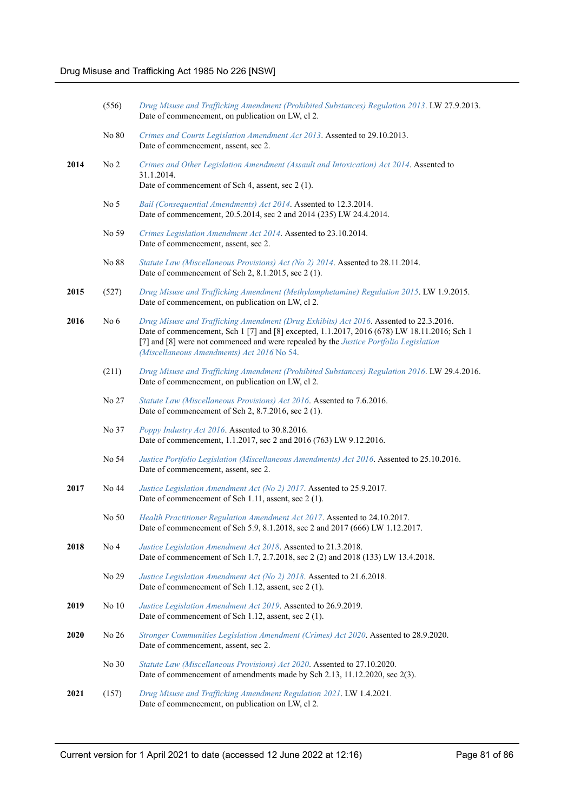|      | (556)           | Drug Misuse and Trafficking Amendment (Prohibited Substances) Regulation 2013. LW 27.9.2013.<br>Date of commencement, on publication on LW, cl 2.                                                                                                                                                                            |
|------|-----------------|------------------------------------------------------------------------------------------------------------------------------------------------------------------------------------------------------------------------------------------------------------------------------------------------------------------------------|
|      | No 80           | Crimes and Courts Legislation Amendment Act 2013. Assented to 29.10.2013.<br>Date of commencement, assent, sec 2.                                                                                                                                                                                                            |
| 2014 | No <sub>2</sub> | Crimes and Other Legislation Amendment (Assault and Intoxication) Act 2014. Assented to<br>31.1.2014.<br>Date of commencement of Sch 4, assent, sec 2 (1).                                                                                                                                                                   |
|      | No <sub>5</sub> | Bail (Consequential Amendments) Act 2014. Assented to 12.3.2014.                                                                                                                                                                                                                                                             |
|      | No 59           | Date of commencement, 20.5.2014, sec 2 and 2014 (235) LW 24.4.2014.                                                                                                                                                                                                                                                          |
|      |                 | Crimes Legislation Amendment Act 2014. Assented to 23.10.2014.<br>Date of commencement, assent, sec 2.                                                                                                                                                                                                                       |
|      | No 88           | Statute Law (Miscellaneous Provisions) Act (No 2) 2014. Assented to 28.11.2014.<br>Date of commencement of Sch 2, 8.1.2015, sec 2 (1).                                                                                                                                                                                       |
| 2015 | (527)           | Drug Misuse and Trafficking Amendment (Methylamphetamine) Regulation 2015. LW 1.9.2015.<br>Date of commencement, on publication on LW, cl 2.                                                                                                                                                                                 |
| 2016 | No $6$          | Drug Misuse and Trafficking Amendment (Drug Exhibits) Act 2016. Assented to 22.3.2016.<br>Date of commencement, Sch 1 [7] and [8] excepted, 1.1.2017, 2016 (678) LW 18.11.2016; Sch 1<br>[7] and [8] were not commenced and were repealed by the Justice Portfolio Legislation<br>(Miscellaneous Amendments) Act 2016 No 54. |
|      | (211)           | Drug Misuse and Trafficking Amendment (Prohibited Substances) Regulation 2016. LW 29.4.2016.<br>Date of commencement, on publication on LW, cl 2.                                                                                                                                                                            |
|      | No 27           | Statute Law (Miscellaneous Provisions) Act 2016. Assented to 7.6.2016.<br>Date of commencement of Sch 2, 8.7.2016, sec 2 (1).                                                                                                                                                                                                |
|      | No 37           | Poppy Industry Act 2016. Assented to 30.8.2016.<br>Date of commencement, 1.1.2017, sec 2 and 2016 (763) LW 9.12.2016.                                                                                                                                                                                                        |
|      | No 54           | Justice Portfolio Legislation (Miscellaneous Amendments) Act 2016. Assented to 25.10.2016.<br>Date of commencement, assent, sec 2.                                                                                                                                                                                           |
| 2017 | No 44           | Justice Legislation Amendment Act (No 2) 2017. Assented to 25.9.2017.<br>Date of commencement of Sch 1.11, assent, sec 2 (1).                                                                                                                                                                                                |
|      | No 50           | Health Practitioner Regulation Amendment Act 2017. Assented to 24.10.2017.<br>Date of commencement of Sch 5.9, 8.1.2018, sec 2 and 2017 (666) LW 1.12.2017.                                                                                                                                                                  |
| 2018 | No <sub>4</sub> | Justice Legislation Amendment Act 2018. Assented to 21.3.2018.<br>Date of commencement of Sch 1.7, 2.7.2018, sec 2 (2) and 2018 (133) LW 13.4.2018.                                                                                                                                                                          |
|      | No 29           | Justice Legislation Amendment Act (No 2) 2018. Assented to 21.6.2018.<br>Date of commencement of Sch 1.12, assent, sec 2 (1).                                                                                                                                                                                                |
| 2019 | No 10           | Justice Legislation Amendment Act 2019. Assented to 26.9.2019.<br>Date of commencement of Sch 1.12, assent, sec 2 (1).                                                                                                                                                                                                       |
| 2020 | No 26           | Stronger Communities Legislation Amendment (Crimes) Act 2020. Assented to 28.9.2020.<br>Date of commencement, assent, sec 2.                                                                                                                                                                                                 |
|      | No 30           | Statute Law (Miscellaneous Provisions) Act 2020. Assented to 27.10.2020.<br>Date of commencement of amendments made by Sch 2.13, 11.12.2020, sec 2(3).                                                                                                                                                                       |
| 2021 | (157)           | Drug Misuse and Trafficking Amendment Regulation 2021. LW 1.4.2021.<br>Date of commencement, on publication on LW, cl 2.                                                                                                                                                                                                     |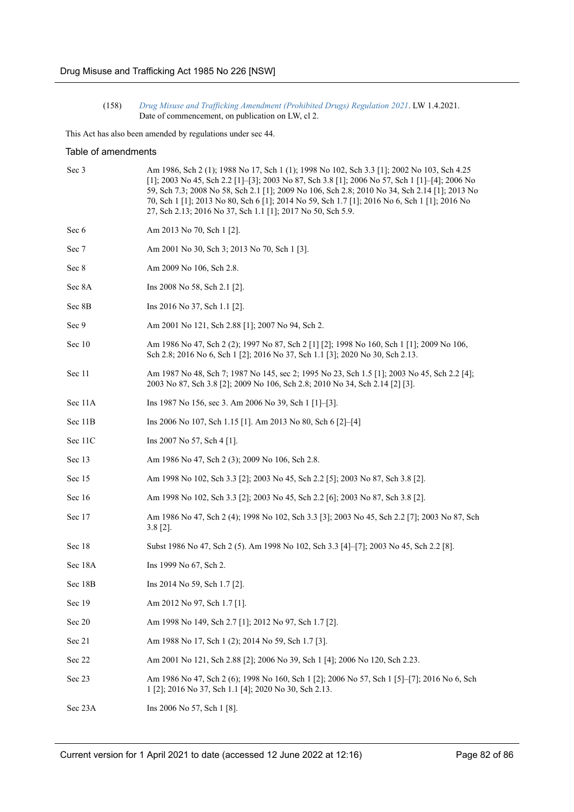(158) *[Drug Misuse and Trafficking Amendment \(Prohibited Drugs\) Regulation 2021](https://legacy.legislation.nsw.gov.au/regulations/2021-158.pdf)*. LW 1.4.2021. Date of commencement, on publication on LW, cl 2.

This Act has also been amended by regulations under sec 44.

## Table of amendments

| Sec 3   | Am 1986, Sch 2 (1); 1988 No 17, Sch 1 (1); 1998 No 102, Sch 3.3 [1]; 2002 No 103, Sch 4.25<br>[1]; 2003 No 45, Sch 2.2 [1]-[3]; 2003 No 87, Sch 3.8 [1]; 2006 No 57, Sch 1 [1]-[4]; 2006 No<br>59, Sch 7.3; 2008 No 58, Sch 2.1 [1]; 2009 No 106, Sch 2.8; 2010 No 34, Sch 2.14 [1]; 2013 No<br>70, Sch 1 [1]; 2013 No 80, Sch 6 [1]; 2014 No 59, Sch 1.7 [1]; 2016 No 6, Sch 1 [1]; 2016 No<br>27, Sch 2.13; 2016 No 37, Sch 1.1 [1]; 2017 No 50, Sch 5.9. |
|---------|-------------------------------------------------------------------------------------------------------------------------------------------------------------------------------------------------------------------------------------------------------------------------------------------------------------------------------------------------------------------------------------------------------------------------------------------------------------|
| Sec 6   | Am 2013 No 70, Sch 1 [2].                                                                                                                                                                                                                                                                                                                                                                                                                                   |
| Sec 7   | Am 2001 No 30, Sch 3; 2013 No 70, Sch 1 [3].                                                                                                                                                                                                                                                                                                                                                                                                                |
| Sec 8   | Am 2009 No 106, Sch 2.8.                                                                                                                                                                                                                                                                                                                                                                                                                                    |
| Sec 8A  | Ins 2008 No 58, Sch 2.1 [2].                                                                                                                                                                                                                                                                                                                                                                                                                                |
| Sec 8B  | Ins 2016 No 37, Sch 1.1 [2].                                                                                                                                                                                                                                                                                                                                                                                                                                |
| Sec 9   | Am 2001 No 121, Sch 2.88 [1]; 2007 No 94, Sch 2.                                                                                                                                                                                                                                                                                                                                                                                                            |
| Sec 10  | Am 1986 No 47, Sch 2 (2); 1997 No 87, Sch 2 [1] [2]; 1998 No 160, Sch 1 [1]; 2009 No 106,<br>Sch 2.8; 2016 No 6, Sch 1 [2]; 2016 No 37, Sch 1.1 [3]; 2020 No 30, Sch 2.13.                                                                                                                                                                                                                                                                                  |
| Sec 11  | Am 1987 No 48, Sch 7; 1987 No 145, sec 2; 1995 No 23, Sch 1.5 [1]; 2003 No 45, Sch 2.2 [4];<br>2003 No 87, Sch 3.8 [2]; 2009 No 106, Sch 2.8; 2010 No 34, Sch 2.14 [2] [3].                                                                                                                                                                                                                                                                                 |
| Sec 11A | Ins 1987 No 156, sec 3. Am 2006 No 39, Sch 1 [1]-[3].                                                                                                                                                                                                                                                                                                                                                                                                       |
| Sec 11B | Ins 2006 No 107, Sch 1.15 [1]. Am 2013 No 80, Sch 6 [2]-[4]                                                                                                                                                                                                                                                                                                                                                                                                 |
| Sec 11C | Ins 2007 No 57, Sch 4 [1].                                                                                                                                                                                                                                                                                                                                                                                                                                  |
| Sec 13  | Am 1986 No 47, Sch 2 (3); 2009 No 106, Sch 2.8.                                                                                                                                                                                                                                                                                                                                                                                                             |
| Sec 15  | Am 1998 No 102, Sch 3.3 [2]; 2003 No 45, Sch 2.2 [5]; 2003 No 87, Sch 3.8 [2].                                                                                                                                                                                                                                                                                                                                                                              |
| Sec 16  | Am 1998 No 102, Sch 3.3 [2]; 2003 No 45, Sch 2.2 [6]; 2003 No 87, Sch 3.8 [2].                                                                                                                                                                                                                                                                                                                                                                              |
| Sec 17  | Am 1986 No 47, Sch 2 (4); 1998 No 102, Sch 3.3 [3]; 2003 No 45, Sch 2.2 [7]; 2003 No 87, Sch<br>$3.8$ [2].                                                                                                                                                                                                                                                                                                                                                  |
| Sec 18  | Subst 1986 No 47, Sch 2 (5). Am 1998 No 102, Sch 3.3 [4]–[7]; 2003 No 45, Sch 2.2 [8].                                                                                                                                                                                                                                                                                                                                                                      |
| Sec 18A | Ins 1999 No 67, Sch 2.                                                                                                                                                                                                                                                                                                                                                                                                                                      |
| Sec 18B | Ins 2014 No 59, Sch 1.7 [2].                                                                                                                                                                                                                                                                                                                                                                                                                                |
| Sec 19  | Am 2012 No 97, Sch 1.7 [1].                                                                                                                                                                                                                                                                                                                                                                                                                                 |
| Sec 20  | Am 1998 No 149, Sch 2.7 [1]; 2012 No 97, Sch 1.7 [2].                                                                                                                                                                                                                                                                                                                                                                                                       |
| Sec 21  | Am 1988 No 17, Sch 1 (2); 2014 No 59, Sch 1.7 [3].                                                                                                                                                                                                                                                                                                                                                                                                          |
| Sec 22  | Am 2001 No 121, Sch 2.88 [2]; 2006 No 39, Sch 1 [4]; 2006 No 120, Sch 2.23.                                                                                                                                                                                                                                                                                                                                                                                 |
| Sec 23  | Am 1986 No 47, Sch 2 (6); 1998 No 160, Sch 1 [2]; 2006 No 57, Sch 1 [5]-[7]; 2016 No 6, Sch<br>1 [2]; 2016 No 37, Sch 1.1 [4]; 2020 No 30, Sch 2.13.                                                                                                                                                                                                                                                                                                        |
| Sec 23A | Ins 2006 No 57, Sch 1 [8].                                                                                                                                                                                                                                                                                                                                                                                                                                  |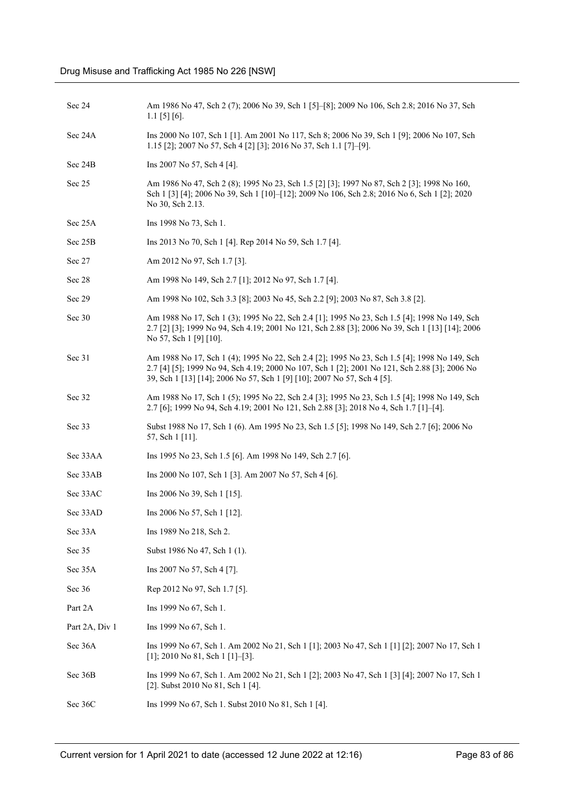| Sec 24 | Am 1986 No 47, Sch 2 (7); 2006 No 39, Sch 1 [5]-[8]; 2009 No 106, Sch 2.8; 2016 No 37, Sch |
|--------|--------------------------------------------------------------------------------------------|
|        | $1.1$ [5] [6].                                                                             |

Sec 24A Ins 2000 No 107, Sch 1 [1]. Am 2001 No 117, Sch 8; 2006 No 39, Sch 1 [9]; 2006 No 107, Sch 1.15 [2]; 2007 No 57, Sch 4 [2] [3]; 2016 No 37, Sch 1.1 [7]–[9].

Sec 24B Ins 2007 No 57, Sch 4 [4].

- Sec 25 Am 1986 No 47, Sch 2 (8); 1995 No 23, Sch 1.5 [2] [3]; 1997 No 87, Sch 2 [3]; 1998 No 160, Sch 1 [3] [4]; 2006 No 39, Sch 1 [10]–[12]; 2009 No 106, Sch 2.8; 2016 No 6, Sch 1 [2]; 2020 No 30, Sch 2.13.
- Sec 25A Ins 1998 No 73, Sch 1.

Sec 25B Ins 2013 No 70, Sch 1 [4]. Rep 2014 No 59, Sch 1.7 [4].

- Sec 27 Am 2012 No 97, Sch 1.7 [3].
- Sec 28 Am 1998 No 149, Sch 2.7 [1]; 2012 No 97, Sch 1.7 [4].

Sec 29 Am 1998 No 102, Sch 3.3 [8]; 2003 No 45, Sch 2.2 [9]; 2003 No 87, Sch 3.8 [2].

- Sec 30 Am 1988 No 17, Sch 1 (3); 1995 No 22, Sch 2.4 [1]; 1995 No 23, Sch 1.5 [4]; 1998 No 149, Sch 2.7 [2] [3]; 1999 No 94, Sch 4.19; 2001 No 121, Sch 2.88 [3]; 2006 No 39, Sch 1 [13] [14]; 2006 No 57, Sch 1 [9] [10].
- Sec 31 Am 1988 No 17, Sch 1 (4); 1995 No 22, Sch 2.4 [2]; 1995 No 23, Sch 1.5 [4]; 1998 No 149, Sch 2.7 [4] [5]; 1999 No 94, Sch 4.19; 2000 No 107, Sch 1 [2]; 2001 No 121, Sch 2.88 [3]; 2006 No 39, Sch 1 [13] [14]; 2006 No 57, Sch 1 [9] [10]; 2007 No 57, Sch 4 [5].
- Sec 32 Am 1988 No 17, Sch 1 (5); 1995 No 22, Sch 2.4 [3]; 1995 No 23, Sch 1.5 [4]; 1998 No 149, Sch 2.7 [6]; 1999 No 94, Sch 4.19; 2001 No 121, Sch 2.88 [3]; 2018 No 4, Sch 1.7 [1]–[4].
- Sec 33 Subst 1988 No 17, Sch 1 (6). Am 1995 No 23, Sch 1.5 [5]; 1998 No 149, Sch 2.7 [6]; 2006 No 57, Sch 1 [11].
- Sec 33AA Ins 1995 No 23, Sch 1.5 [6]. Am 1998 No 149, Sch 2.7 [6].
- Sec 33AB Ins 2000 No 107, Sch 1 [3]. Am 2007 No 57, Sch 4 [6].
- Sec 33AC Ins 2006 No 39, Sch 1 [15].
- Sec 33AD Ins 2006 No 57, Sch 1 [12].
- Sec 33A Ins 1989 No 218, Sch 2.
- Sec 35 Subst 1986 No 47, Sch 1 (1).
- Sec 35A Ins 2007 No 57, Sch 4 [7].
- Sec 36 Rep 2012 No 97, Sch 1.7 [5].
- Part 2A Ins 1999 No 67, Sch 1.
- Part 2A, Div 1 Ins 1999 No 67, Sch 1.
- Sec 36A Ins 1999 No 67, Sch 1. Am 2002 No 21, Sch 1 [1]; 2003 No 47, Sch 1 [1] [2]; 2007 No 17, Sch 1 [1]; 2010 No 81, Sch 1 [1]-[3].
- Sec 36B Ins 1999 No 67, Sch 1. Am 2002 No 21, Sch 1 [2]; 2003 No 47, Sch 1 [3] [4]; 2007 No 17, Sch 1 [2]. Subst 2010 No 81, Sch 1 [4].
- Sec 36C Ins 1999 No 67, Sch 1. Subst 2010 No 81, Sch 1 [4].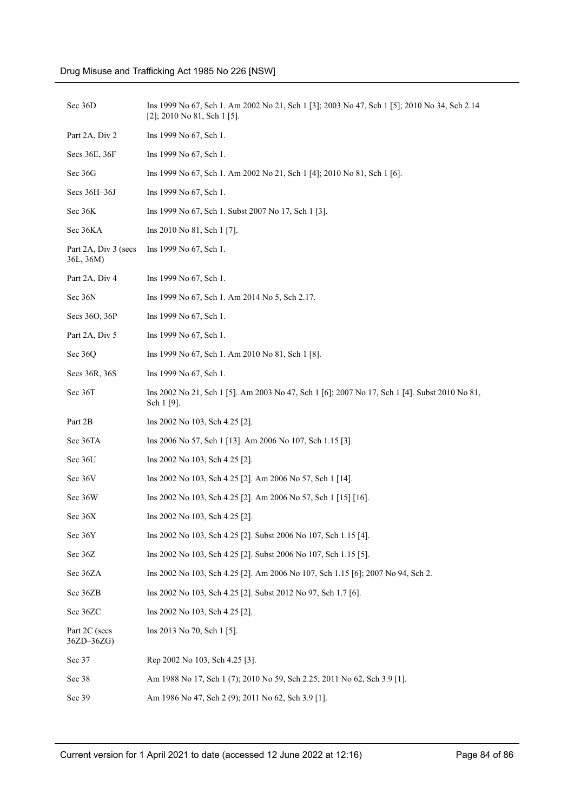| Sec 36D                           | Ins 1999 No 67, Sch 1. Am 2002 No 21, Sch 1 [3]; 2003 No 47, Sch 1 [5]; 2010 No 34, Sch 2.14<br>[2]; 2010 No 81, Sch 1 [5]. |
|-----------------------------------|-----------------------------------------------------------------------------------------------------------------------------|
| Part 2A, Div 2                    | Ins 1999 No 67, Sch 1.                                                                                                      |
| Secs 36E, 36F                     | Ins 1999 No 67, Sch 1.                                                                                                      |
| Sec 36G                           | Ins 1999 No 67, Sch 1. Am 2002 No 21, Sch 1 [4]; 2010 No 81, Sch 1 [6].                                                     |
| Secs 36H-36J                      | Ins 1999 No 67, Sch 1.                                                                                                      |
| Sec 36K                           | Ins 1999 No 67, Sch 1. Subst 2007 No 17, Sch 1 [3].                                                                         |
| Sec 36KA                          | Ins 2010 No 81, Sch 1 [7].                                                                                                  |
| Part 2A, Div 3 (secs<br>36L, 36M) | Ins 1999 No 67, Sch 1.                                                                                                      |
| Part 2A, Div 4                    | Ins 1999 No 67, Sch 1.                                                                                                      |
| Sec 36N                           | Ins 1999 No 67, Sch 1. Am 2014 No 5, Sch 2.17.                                                                              |
| Secs 36O, 36P                     | Ins 1999 No 67, Sch 1.                                                                                                      |
| Part 2A, Div 5                    | Ins 1999 No 67, Sch 1.                                                                                                      |
| Sec 36Q                           | Ins 1999 No 67, Sch 1. Am 2010 No 81, Sch 1 [8].                                                                            |
| Secs 36R, 36S                     | Ins 1999 No 67, Sch 1.                                                                                                      |
| Sec 36T                           | Ins 2002 No 21, Sch 1 [5]. Am 2003 No 47, Sch 1 [6]; 2007 No 17, Sch 1 [4]. Subst 2010 No 81,<br>Sch 1 [9].                 |
| Part 2B                           | Ins 2002 No 103, Sch 4.25 [2].                                                                                              |
| Sec 36TA                          | Ins 2006 No 57, Sch 1 [13]. Am 2006 No 107, Sch 1.15 [3].                                                                   |
| Sec 36U                           | Ins 2002 No 103, Sch 4.25 [2].                                                                                              |
| Sec 36V                           | Ins 2002 No 103, Sch 4.25 [2]. Am 2006 No 57, Sch 1 [14].                                                                   |
| Sec 36W                           | Ins 2002 No 103, Sch 4.25 [2]. Am 2006 No 57, Sch 1 [15] [16].                                                              |
| Sec 36X                           | Ins 2002 No 103, Sch 4.25 [2].                                                                                              |
| Sec 36Y                           | Ins 2002 No 103, Sch 4.25 [2]. Subst 2006 No 107, Sch 1.15 [4].                                                             |
| Sec 36Z                           | Ins 2002 No 103, Sch 4.25 [2]. Subst 2006 No 107, Sch 1.15 [5].                                                             |
| Sec 36ZA                          | Ins 2002 No 103, Sch 4.25 [2]. Am 2006 No 107, Sch 1.15 [6]; 2007 No 94, Sch 2.                                             |
| Sec 36ZB                          | Ins 2002 No 103, Sch 4.25 [2]. Subst 2012 No 97, Sch 1.7 [6].                                                               |
| Sec 36ZC                          | Ins 2002 No 103, Sch 4.25 [2].                                                                                              |
| Part 2C (secs<br>36ZD-36ZG)       | Ins 2013 No 70, Sch 1 [5].                                                                                                  |
| Sec 37                            | Rep 2002 No 103, Sch 4.25 [3].                                                                                              |
| Sec 38                            | Am 1988 No 17, Sch 1 (7); 2010 No 59, Sch 2.25; 2011 No 62, Sch 3.9 [1].                                                    |
| Sec 39                            | Am 1986 No 47, Sch 2 (9); 2011 No 62, Sch 3.9 [1].                                                                          |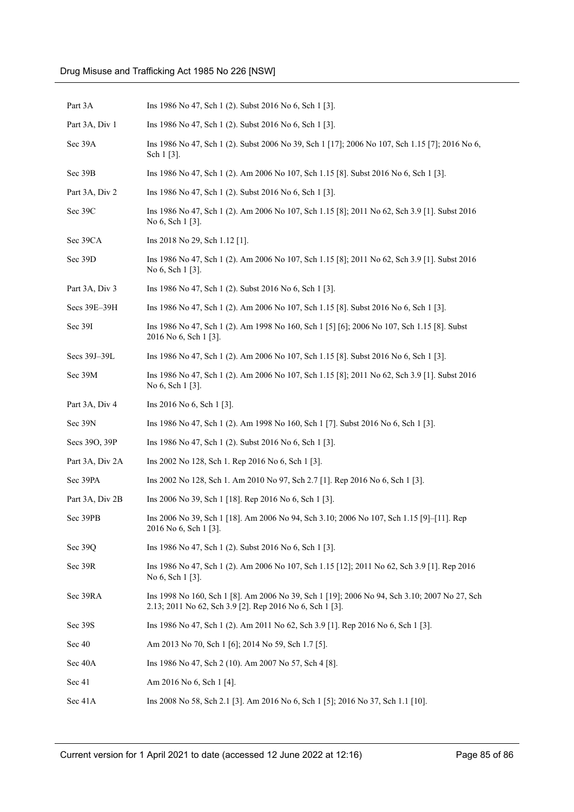| Part 3A         | Ins 1986 No 47, Sch 1 (2). Subst 2016 No 6, Sch 1 [3].                                                                                                   |
|-----------------|----------------------------------------------------------------------------------------------------------------------------------------------------------|
| Part 3A, Div 1  | Ins 1986 No 47, Sch 1 (2). Subst 2016 No 6, Sch 1 [3].                                                                                                   |
| Sec 39A         | Ins 1986 No 47, Sch 1 (2). Subst 2006 No 39, Sch 1 [17]; 2006 No 107, Sch 1.15 [7]; 2016 No 6,<br>Sch $1 \, [3]$ .                                       |
| Sec 39B         | Ins 1986 No 47, Sch 1 (2). Am 2006 No 107, Sch 1.15 [8]. Subst 2016 No 6, Sch 1 [3].                                                                     |
| Part 3A, Div 2  | Ins 1986 No 47, Sch 1 (2). Subst 2016 No 6, Sch 1 [3].                                                                                                   |
| Sec 39C         | Ins 1986 No 47, Sch 1 (2). Am 2006 No 107, Sch 1.15 [8]; 2011 No 62, Sch 3.9 [1]. Subst 2016<br>No 6, Sch 1 [3].                                         |
| Sec 39CA        | Ins 2018 No 29, Sch 1.12 [1].                                                                                                                            |
| Sec 39D         | Ins 1986 No 47, Sch 1 (2). Am 2006 No 107, Sch 1.15 [8]; 2011 No 62, Sch 3.9 [1]. Subst 2016<br>No 6, Sch 1 [3].                                         |
| Part 3A, Div 3  | Ins 1986 No 47, Sch 1 (2). Subst 2016 No 6, Sch 1 [3].                                                                                                   |
| Secs 39E-39H    | Ins 1986 No 47, Sch 1 (2). Am 2006 No 107, Sch 1.15 [8]. Subst 2016 No 6, Sch 1 [3].                                                                     |
| Sec 39I         | Ins 1986 No 47, Sch 1 (2). Am 1998 No 160, Sch 1 [5] [6]; 2006 No 107, Sch 1.15 [8]. Subst<br>2016 No 6, Sch 1 [3].                                      |
| Secs 39J-39L    | Ins 1986 No 47, Sch 1 (2). Am 2006 No 107, Sch 1.15 [8]. Subst 2016 No 6, Sch 1 [3].                                                                     |
| Sec 39M         | Ins 1986 No 47, Sch 1 (2). Am 2006 No 107, Sch 1.15 [8]; 2011 No 62, Sch 3.9 [1]. Subst 2016<br>No 6, Sch 1 [3].                                         |
| Part 3A, Div 4  | Ins 2016 No 6, Sch 1 [3].                                                                                                                                |
| Sec 39N         | Ins 1986 No 47, Sch 1 (2). Am 1998 No 160, Sch 1 [7]. Subst 2016 No 6, Sch 1 [3].                                                                        |
| Secs 390, 39P   | Ins 1986 No 47, Sch 1 (2). Subst 2016 No 6, Sch 1 [3].                                                                                                   |
| Part 3A, Div 2A | Ins 2002 No 128, Sch 1. Rep 2016 No 6, Sch 1 [3].                                                                                                        |
| Sec 39PA        | Ins 2002 No 128, Sch 1. Am 2010 No 97, Sch 2.7 [1]. Rep 2016 No 6, Sch 1 [3].                                                                            |
| Part 3A, Div 2B | Ins 2006 No 39, Sch 1 [18]. Rep 2016 No 6, Sch 1 [3].                                                                                                    |
| Sec 39PB        | Ins 2006 No 39, Sch 1 [18]. Am 2006 No 94, Sch 3.10; 2006 No 107, Sch 1.15 [9]-[11]. Rep<br>2016 No 6, Sch 1 [3].                                        |
| Sec 39Q         | Ins 1986 No 47, Sch 1 (2). Subst 2016 No 6, Sch 1 [3].                                                                                                   |
| Sec 39R         | Ins 1986 No 47, Sch 1 (2). Am 2006 No 107, Sch 1.15 [12]; 2011 No 62, Sch 3.9 [1]. Rep 2016<br>No 6, Sch 1 [3].                                          |
| Sec 39RA        | Ins 1998 No 160, Sch 1 [8]. Am 2006 No 39, Sch 1 [19]; 2006 No 94, Sch 3.10; 2007 No 27, Sch<br>2.13; 2011 No 62, Sch 3.9 [2]. Rep 2016 No 6, Sch 1 [3]. |
| Sec 39S         | Ins 1986 No 47, Sch 1 (2). Am 2011 No 62, Sch 3.9 [1]. Rep 2016 No 6, Sch 1 [3].                                                                         |
| Sec 40          | Am 2013 No 70, Sch 1 [6]; 2014 No 59, Sch 1.7 [5].                                                                                                       |
| Sec 40A         | Ins 1986 No 47, Sch 2 (10). Am 2007 No 57, Sch 4 [8].                                                                                                    |
| Sec 41          | Am 2016 No 6, Sch 1 [4].                                                                                                                                 |
| Sec 41A         | Ins 2008 No 58, Sch 2.1 [3]. Am 2016 No 6, Sch 1 [5]; 2016 No 37, Sch 1.1 [10].                                                                          |